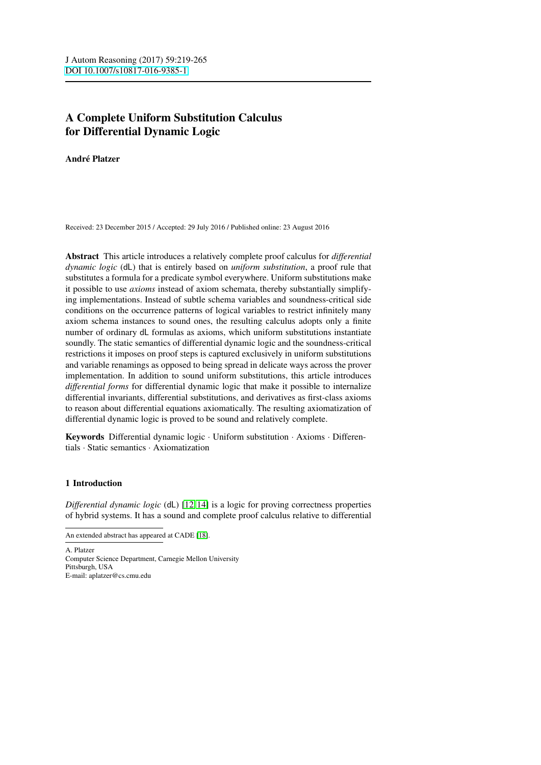# A Complete Uniform Substitution Calculus for Differential Dynamic Logic

André Platzer

Received: 23 December 2015 / Accepted: 29 July 2016 / Published online: 23 August 2016

Abstract This article introduces a relatively complete proof calculus for *differential dynamic logic* (dL) that is entirely based on *uniform substitution*, a proof rule that substitutes a formula for a predicate symbol everywhere. Uniform substitutions make it possible to use *axioms* instead of axiom schemata, thereby substantially simplifying implementations. Instead of subtle schema variables and soundness-critical side conditions on the occurrence patterns of logical variables to restrict infinitely many axiom schema instances to sound ones, the resulting calculus adopts only a finite number of ordinary dL formulas as axioms, which uniform substitutions instantiate soundly. The static semantics of differential dynamic logic and the soundness-critical restrictions it imposes on proof steps is captured exclusively in uniform substitutions and variable renamings as opposed to being spread in delicate ways across the prover implementation. In addition to sound uniform substitutions, this article introduces *differential forms* for differential dynamic logic that make it possible to internalize differential invariants, differential substitutions, and derivatives as first-class axioms to reason about differential equations axiomatically. The resulting axiomatization of differential dynamic logic is proved to be sound and relatively complete.

Keywords Differential dynamic logic · Uniform substitution · Axioms · Differentials · Static semantics · Axiomatization

## 1 Introduction

*Differential dynamic logic* (dL) [\[12,](#page-44-0) [14\]](#page-44-1) is a logic for proving correctness properties of hybrid systems. It has a sound and complete proof calculus relative to differential

A. Platzer Computer Science Department, Carnegie Mellon University Pittsburgh, USA E-mail: aplatzer@cs.cmu.edu

An extended abstract has appeared at CADE [\[18\]](#page-44-2).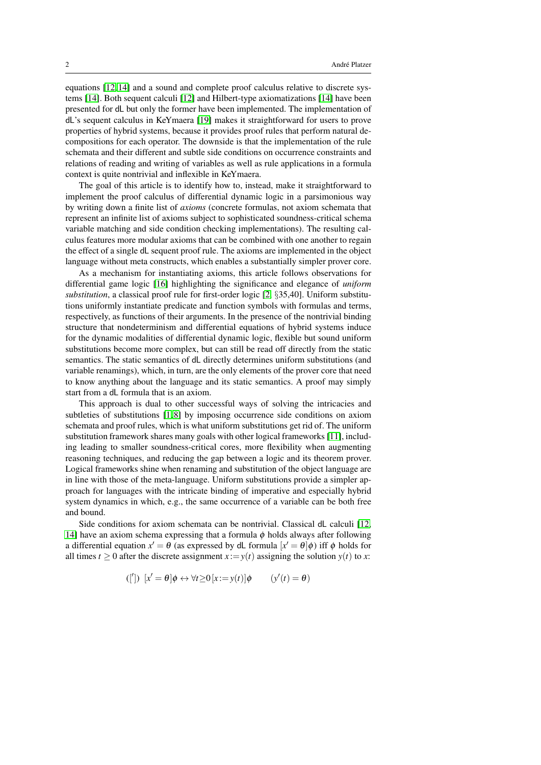equations [\[12,](#page-44-0) [14\]](#page-44-1) and a sound and complete proof calculus relative to discrete systems [\[14\]](#page-44-1). Both sequent calculi [\[12\]](#page-44-0) and Hilbert-type axiomatizations [\[14\]](#page-44-1) have been presented for dL but only the former have been implemented. The implementation of dL's sequent calculus in KeYmaera [\[19\]](#page-44-3) makes it straightforward for users to prove properties of hybrid systems, because it provides proof rules that perform natural decompositions for each operator. The downside is that the implementation of the rule schemata and their different and subtle side conditions on occurrence constraints and relations of reading and writing of variables as well as rule applications in a formula context is quite nontrivial and inflexible in KeYmaera.

The goal of this article is to identify how to, instead, make it straightforward to implement the proof calculus of differential dynamic logic in a parsimonious way by writing down a finite list of *axioms* (concrete formulas, not axiom schemata that represent an infinite list of axioms subject to sophisticated soundness-critical schema variable matching and side condition checking implementations). The resulting calculus features more modular axioms that can be combined with one another to regain the effect of a single dL sequent proof rule. The axioms are implemented in the object language without meta constructs, which enables a substantially simpler prover core.

As a mechanism for instantiating axioms, this article follows observations for differential game logic [\[16\]](#page-44-4) highlighting the significance and elegance of *uniform substitution*, a classical proof rule for first-order logic [\[2,](#page-44-5) §35,40]. Uniform substitutions uniformly instantiate predicate and function symbols with formulas and terms, respectively, as functions of their arguments. In the presence of the nontrivial binding structure that nondeterminism and differential equations of hybrid systems induce for the dynamic modalities of differential dynamic logic, flexible but sound uniform substitutions become more complex, but can still be read off directly from the static semantics. The static semantics of dL directly determines uniform substitutions (and variable renamings), which, in turn, are the only elements of the prover core that need to know anything about the language and its static semantics. A proof may simply start from a dL formula that is an axiom.

This approach is dual to other successful ways of solving the intricacies and subtleties of substitutions [\[1,](#page-44-6)8] by imposing occurrence side conditions on axiom schemata and proof rules, which is what uniform substitutions get rid of. The uniform substitution framework shares many goals with other logical frameworks [\[11\]](#page-44-8), including leading to smaller soundness-critical cores, more flexibility when augmenting reasoning techniques, and reducing the gap between a logic and its theorem prover. Logical frameworks shine when renaming and substitution of the object language are in line with those of the meta-language. Uniform substitutions provide a simpler approach for languages with the intricate binding of imperative and especially hybrid system dynamics in which, e.g., the same occurrence of a variable can be both free and bound.

Side conditions for axiom schemata can be nontrivial. Classical dL calculi [\[12,](#page-44-0) [14\]](#page-44-1) have an axiom schema expressing that a formula  $\phi$  holds always after following a differential equation  $x' = \theta$  (as expressed by dL formula  $[x' = \theta]\phi$ ) iff  $\phi$  holds for all times  $t \ge 0$  after the discrete assignment  $x := y(t)$  assigning the solution  $y(t)$  to x:

<span id="page-1-0"></span>
$$
([') \ [x' = \theta] \phi \leftrightarrow \forall t \ge 0 \ [x := y(t)] \phi \qquad (y'(t) = \theta)
$$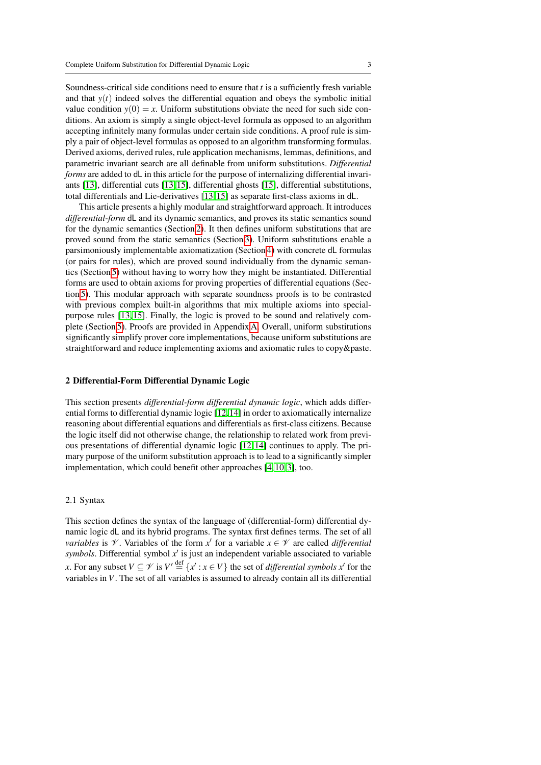Soundness-critical side conditions need to ensure that *t* is a sufficiently fresh variable and that  $y(t)$  indeed solves the differential equation and obeys the symbolic initial value condition  $y(0) = x$ . Uniform substitutions obviate the need for such side conditions. An axiom is simply a single object-level formula as opposed to an algorithm accepting infinitely many formulas under certain side conditions. A proof rule is simply a pair of object-level formulas as opposed to an algorithm transforming formulas. Derived axioms, derived rules, rule application mechanisms, lemmas, definitions, and parametric invariant search are all definable from uniform substitutions. *Differential forms* are added to dL in this article for the purpose of internalizing differential invariants [\[13\]](#page-44-9), differential cuts [\[13,](#page-44-9) [15\]](#page-44-10), differential ghosts [\[15\]](#page-44-10), differential substitutions, total differentials and Lie-derivatives [\[13,](#page-44-9) [15\]](#page-44-10) as separate first-class axioms in dL.

This article presents a highly modular and straightforward approach. It introduces *differential-form* dL and its dynamic semantics, and proves its static semantics sound for the dynamic semantics (Section [2\)](#page-2-0). It then defines uniform substitutions that are proved sound from the static semantics (Section [3\)](#page-12-0). Uniform substitutions enable a parsimoniously implementable axiomatization (Section [4\)](#page-17-0) with concrete dL formulas (or pairs for rules), which are proved sound individually from the dynamic semantics (Section [5\)](#page-20-0) without having to worry how they might be instantiated. Differential forms are used to obtain axioms for proving properties of differential equations (Section [5\)](#page-20-0). This modular approach with separate soundness proofs is to be contrasted with previous complex built-in algorithms that mix multiple axioms into specialpurpose rules [\[13,](#page-44-9) [15\]](#page-44-10). Finally, the logic is proved to be sound and relatively complete (Section [5\)](#page-20-0). Proofs are provided in Appendix [A.](#page-33-0) Overall, uniform substitutions significantly simplify prover core implementations, because uniform substitutions are straightforward and reduce implementing axioms and axiomatic rules to copy&paste.

#### <span id="page-2-1"></span><span id="page-2-0"></span>2 Differential-Form Differential Dynamic Logic

This section presents *differential-form differential dynamic logic*, which adds differential forms to differential dynamic logic [\[12,](#page-44-0) [14\]](#page-44-1) in order to axiomatically internalize reasoning about differential equations and differentials as first-class citizens. Because the logic itself did not otherwise change, the relationship to related work from previous presentations of differential dynamic logic [\[12,](#page-44-0) [14\]](#page-44-1) continues to apply. The primary purpose of the uniform substitution approach is to lead to a significantly simpler implementation, which could benefit other approaches [\[4,](#page-44-11) [10,](#page-44-12) [3\]](#page-44-13), too.

#### 2.1 Syntax

This section defines the syntax of the language of (differential-form) differential dynamic logic dL and its hybrid programs. The syntax first defines terms. The set of all *variables* is  $\mathcal V$ . Variables of the form  $x'$  for a variable  $x \in \mathcal V$  are called *differential* symbols. Differential symbol  $x'$  is just an independent variable associated to variable *x*. For any subset  $V \subseteq V$  is  $V' \stackrel{\text{def}}{=} \{x' : x \in V\}$  the set of *differential symbols*  $x'$  for the variables in *V*. The set of all variables is assumed to already contain all its differential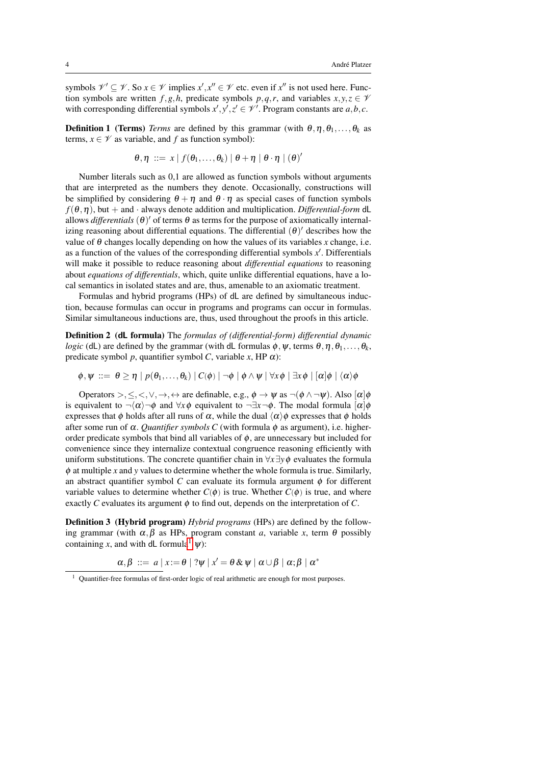symbols  $\mathcal{V}' \subseteq \mathcal{V}$ . So  $x \in \mathcal{V}$  implies  $x', x'' \in \mathcal{V}$  etc. even if  $x''$  is not used here. Function symbols are written *f*,*g*,*h*, predicate symbols *p*,*q*,*r*, and variables  $x, y, z \in V$ with corresponding differential symbols  $x', y', z' \in \mathcal{V}'$ . Program constants are  $a, b, c$ .

**Definition 1** (Terms) *Terms* are defined by this grammar (with  $\theta$ ,  $\eta$ ,  $\theta$ <sub>1</sub>,...,  $\theta$ <sub>k</sub> as terms,  $x \in \mathcal{V}$  as variable, and f as function symbol):

$$
\theta, \eta \ ::= x \mid f(\theta_1, \ldots, \theta_k) \mid \theta + \eta \mid \theta \cdot \eta \mid (\theta)'
$$

Number literals such as 0,1 are allowed as function symbols without arguments that are interpreted as the numbers they denote. Occasionally, constructions will be simplified by considering  $\theta + \eta$  and  $\theta \cdot \eta$  as special cases of function symbols  $f(\theta, \eta)$ , but + and · always denote addition and multiplication. *Differential-form* dL allows *differentials*  $(\theta)'$  of terms  $\theta$  as terms for the purpose of axiomatically internalizing reasoning about differential equations. The differential  $(\theta)'$  describes how the value of  $\theta$  changes locally depending on how the values of its variables *x* change, i.e. as a function of the values of the corresponding differential symbols  $x'$ . Differentials will make it possible to reduce reasoning about *differential equations* to reasoning about *equations of differentials*, which, quite unlike differential equations, have a local semantics in isolated states and are, thus, amenable to an axiomatic treatment.

Formulas and hybrid programs (HPs) of dL are defined by simultaneous induction, because formulas can occur in programs and programs can occur in formulas. Similar simultaneous inductions are, thus, used throughout the proofs in this article.

Definition 2 (dL formula) The *formulas of (differential-form) differential dynamic logic* (dL) are defined by the grammar (with dL formulas  $\phi$ ,  $\psi$ , terms  $\theta$ ,  $\eta$ ,  $\theta$ <sub>1</sub>,...,  $\theta$ <sub>k</sub>, predicate symbol *p*, quantifier symbol *C*, variable *x*, HP  $\alpha$ ):

 $\phi, \psi ::= \theta \ge \eta \mid p(\theta_1, \ldots, \theta_k) \mid C(\phi) \mid \neg \phi \mid \phi \land \psi \mid \forall x \phi \mid \exists x \phi \mid [\alpha] \phi \mid \langle \alpha \rangle \phi$ 

Operators >, <, <,  $\vee$ ,  $\rightarrow$ ,  $\leftrightarrow$  are definable, e.g.,  $\phi \rightarrow \psi$  as  $\neg(\phi \land \neg \psi)$ . Also  $[\alpha] \phi$ is equivalent to  $\neg(\alpha) \neg \phi$  and  $\forall x \phi$  equivalent to  $\neg \exists x \neg \phi$ . The modal formula  $[\alpha] \phi$ expresses that  $\phi$  holds after all runs of  $\alpha$ , while the dual  $\langle \alpha \rangle \phi$  expresses that  $\phi$  holds after some run of  $\alpha$ . *Quantifier symbols C* (with formula  $\phi$  as argument), i.e. higherorder predicate symbols that bind all variables of  $\phi$ , are unnecessary but included for convenience since they internalize contextual congruence reasoning efficiently with uniform substitutions. The concrete quantifier chain in ∀*x*∃*y*φ evaluates the formula  $\phi$  at multiple *x* and *y* values to determine whether the whole formula is true. Similarly, an abstract quantifier symbol *C* can evaluate its formula argument  $\phi$  for different variable values to determine whether  $C(\phi)$  is true. Whether  $C(\phi)$  is true, and where exactly *C* evaluates its argument  $\phi$  to find out, depends on the interpretation of *C*.

**Definition 3** (Hybrid program) *Hybrid programs* (HPs) are defined by the following grammar (with  $\alpha, \beta$  as HPs, program constant *a*, variable *x*, term  $\theta$  possibly containing *x*, and with dL formula<sup>[1](#page-3-0)</sup>  $\psi$ :

$$
\alpha, \beta \ ::= a \ | \ x := \theta \ | \ ?\psi \ | \ x' = \theta \& \ \psi \ | \ \alpha \cup \beta \ | \ \alpha; \beta \ | \ \alpha^*
$$

<span id="page-3-0"></span><sup>1</sup> Quantifier-free formulas of first-order logic of real arithmetic are enough for most purposes.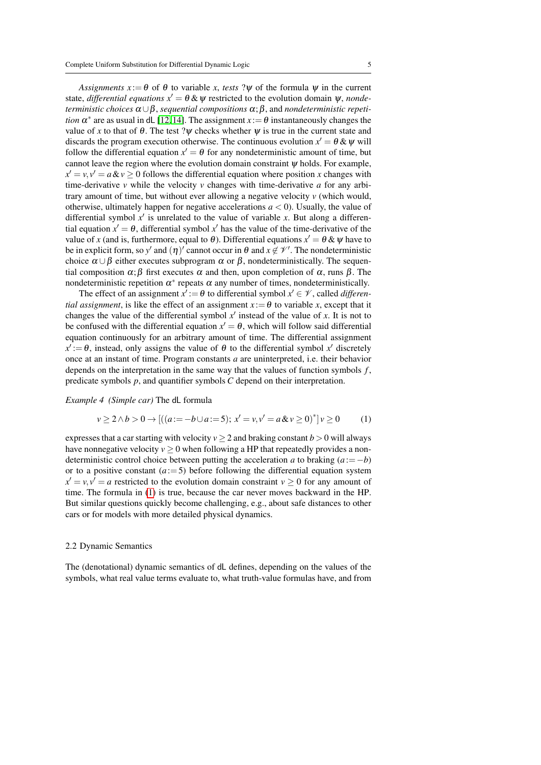*Assignments*  $x := \theta$  of  $\theta$  to variable *x*, *tests* ? $\psi$  of the formula  $\psi$  in the current state, *differential equations*  $x' = \theta \& \psi$  restricted to the evolution domain  $\psi$ , *nondeterministic choices*  $\alpha \cup \beta$ , *sequential compositions*  $\alpha$ ;  $\beta$ , and *nondeterministic repetition*  $\alpha^*$  are as usual in dL [\[12,](#page-44-0) [14\]](#page-44-1). The assignment  $x := \theta$  instantaneously changes the value of *x* to that of  $\theta$ . The test ? $\psi$  checks whether  $\psi$  is true in the current state and discards the program execution otherwise. The continuous evolution  $x' = \theta \& \psi$  will follow the differential equation  $x' = \theta$  for any nondeterministic amount of time, but cannot leave the region where the evolution domain constraint  $\psi$  holds. For example,  $x' = v, v' = a \& v \ge 0$  follows the differential equation where position *x* changes with time-derivative *v* while the velocity *v* changes with time-derivative *a* for any arbitrary amount of time, but without ever allowing a negative velocity *v* (which would, otherwise, ultimately happen for negative accelerations  $a < 0$ ). Usually, the value of differential symbol  $x'$  is unrelated to the value of variable x. But along a differential equation  $x' = \theta$ , differential symbol  $x'$  has the value of the time-derivative of the value of *x* (and is, furthermore, equal to  $\theta$ ). Differential equations  $x' = \theta \& \psi$  have to be in explicit form, so y' and  $(\eta)'$  cannot occur in  $\theta$  and  $x \notin \mathcal{V}'$ . The nondeterministic choice  $\alpha \cup \beta$  either executes subprogram  $\alpha$  or  $\beta$ , nondeterministically. The sequential composition  $\alpha$ ;  $\beta$  first executes  $\alpha$  and then, upon completion of  $\alpha$ , runs  $\beta$ . The nondeterministic repetition  $\alpha^*$  repeats  $\alpha$  any number of times, nondeterministically.

The effect of an assignment  $x' := \theta$  to differential symbol  $x' \in \mathcal{V}$ , called *differential assignment*, is like the effect of an assignment  $x := \theta$  to variable *x*, except that it changes the value of the differential symbol  $x'$  instead of the value of  $x$ . It is not to be confused with the differential equation  $x' = \theta$ , which will follow said differential equation continuously for an arbitrary amount of time. The differential assignment  $x' := \theta$ , instead, only assigns the value of  $\theta$  to the differential symbol x' discretely once at an instant of time. Program constants *a* are uninterpreted, i.e. their behavior depends on the interpretation in the same way that the values of function symbols *f* , predicate symbols *p*, and quantifier symbols *C* depend on their interpretation.

*Example 4 (Simple car)* The dL formula

<span id="page-4-0"></span>
$$
v \ge 2 \land b > 0 \to [((a := -b \cup a := 5); x' = v, v' = a \& v \ge 0)^*] v \ge 0 \tag{1}
$$

expresses that a car starting with velocity  $v \ge 2$  and braking constant  $b > 0$  will always have nonnegative velocity  $v > 0$  when following a HP that repeatedly provides a nondeterministic control choice between putting the acceleration *a* to braking  $(a == -b)$ or to a positive constant  $(a := 5)$  before following the differential equation system  $x' = v, v' = a$  restricted to the evolution domain constraint  $v \ge 0$  for any amount of time. The formula in [\(1\)](#page-4-0) is true, because the car never moves backward in the HP. But similar questions quickly become challenging, e.g., about safe distances to other cars or for models with more detailed physical dynamics.

### 2.2 Dynamic Semantics

The (denotational) dynamic semantics of dL defines, depending on the values of the symbols, what real value terms evaluate to, what truth-value formulas have, and from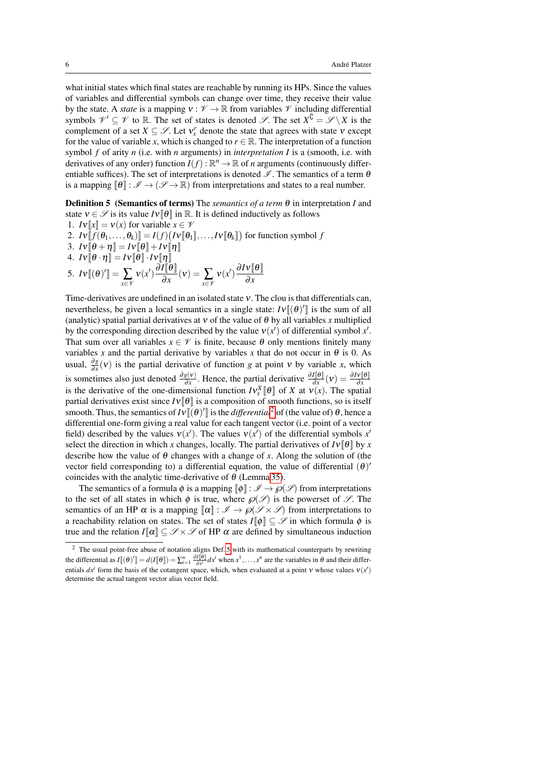what initial states which final states are reachable by running its HPs. Since the values of variables and differential symbols can change over time, they receive their value by the state. A *state* is a mapping  $v : \mathcal{V} \to \mathbb{R}$  from variables  $\mathcal{V}$  including differential symbols  $\mathcal{V}' \subseteq \mathcal{V}$  to  $\mathbb{R}$ . The set of states is denoted  $\mathcal{S}$ . The set  $X^{\complement} = \mathcal{S} \setminus X$  is the complement of a set  $X \subseteq \mathcal{S}$ . Let  $v_x^r$  denote the state that agrees with state  $v$  except for the value of variable *x*, which is changed to  $r \in \mathbb{R}$ . The interpretation of a function symbol *f* of arity *n* (i.e. with *n* arguments) in *interpretation I* is a (smooth, i.e. with derivatives of any order) function  $I(f)$ :  $\mathbb{R}^n \to \mathbb{R}$  of *n* arguments (continuously differentiable suffices). The set of interpretations is denoted  $\mathscr I$ . The semantics of a term  $\theta$ is a mapping  $[\![\theta]\!] : \mathscr{I} \to (\mathscr{I} \to \mathbb{R})$  from interpretations and states to a real number.

<span id="page-5-1"></span>Definition 5 (Semantics of terms) The *semantics of a term* θ in interpretation *I* and state  $v \in \mathcal{S}$  is its value  $Iv[\theta]$  in R. It is defined inductively as follows 1.  $Iv[[x]] = v(x)$  for variable  $x \in \mathcal{V}$ 

2.  $Iv[\![ f(\theta_1,\ldots,\theta_k)]\!] = I(f) \big( Iv[\![\theta_1]\!],\ldots,Iv[\![\theta_k]\!]\big)$  for function symbol  $f$ 

- 3.  $Iv[\![\theta + \eta]\!] = IV[\![\theta]\!] + IV[\![\eta]\!]$
- 

4. 
$$
IV[\theta \cdot \eta] = IV[\theta] \cdot IV[\eta]
$$
  
5.  $IV[(\theta)'] = \sum_{x \in \mathscr{V}} V(x') \frac{\partial I[\theta]}{\partial x}(v) = \sum_{x \in \mathscr{V}} V(x') \frac{\partial IV[\theta]}{\partial x}$ 

Time-derivatives are undefined in an isolated state ν. The clou is that differentials can, nevertheless, be given a local semantics in a single state:  $Iv[(\theta)']$  is the sum of all (analytic) spatial partial derivatives at  $v$  of the value of  $\theta$  by all variables *x* multiplied by the corresponding direction described by the value  $v(x')$  of differential symbol x'. That sum over all variables  $x \in \mathcal{V}$  is finite, because  $\theta$  only mentions finitely many variables *x* and the partial derivative by variables *x* that do not occur in  $\theta$  is 0. As usual,  $\frac{\partial g}{\partial x}(v)$  is the partial derivative of function *g* at point *v* by variable *x*, which is sometimes also just denoted  $\frac{\partial g(v)}{\partial x}$ . Hence, the partial derivative  $\frac{\partial I[\theta]}{\partial x}(v) = \frac{\partial Iv[\theta]}{\partial x}$ <br>is the derivative of the one-dimensional function  $IV_x^X[\theta]$  of X at  $V(x)$ . The spatial partial derivatives exist since  $Iv[\theta]$  is a composition of smooth functions, so is itself smooth. Thus, the semantics of  $IV[[(\theta)']]$  is the *differential*<sup>[2](#page-5-0)</sup> of (the value of)  $\theta$ , hence a differential one-form giving a real value for each tangent vector (i.e. point of a vector field) described by the values  $v(x')$ . The values  $v(x')$  of the differential symbols x' select the direction in which *x* changes, locally. The partial derivatives of  $Iv[\theta]$  by *x* describe how the value of  $\theta$  changes with a change of x. Along the solution of (the vector field corresponding to) a differential equation, the value of differential  $(\theta)$ coincides with the analytic time-derivative of  $\theta$  (Lemma [35\)](#page-26-0).

The semantics of a formula  $\phi$  is a mapping  $\llbracket \phi \rrbracket : \mathscr{I} \to \wp(\mathscr{S})$  from interpretations to the set of all states in which  $\phi$  is true, where  $\mathcal{O}(\mathcal{S})$  is the powerset of  $\mathcal{S}$ . The semantics of an HP  $\alpha$  is a mapping  $\llbracket \alpha \rrbracket : \mathscr{I} \to \mathscr{P}(\mathscr{S} \times \mathscr{S})$  from interpretations to a reachability relation on states. The set of states  $I[\![\phi]\!] \subseteq \mathscr{S}$  in which formula  $\phi$  is true and the relation  $I[\![\alpha]\!] \subseteq \mathscr{S} \times \mathscr{S}$  of HP  $\alpha$  are defined by simultaneous induction

<span id="page-5-0"></span><sup>&</sup>lt;sup>2</sup> The usual point-free abuse of notation aligns Def[. 5](#page-5-1) with its mathematical counterparts by rewriting the differential as  $I[(\theta)'] = d(I[\theta]) = \sum_{i=1}^{n} \frac{\partial I[\theta]}{\partial x^{i}} dx^{i}$  when  $x^{1}, \ldots, x^{n}$  are the variables in  $\theta$  and their differentials  $dx^i$  form the basis of the cotangent space, which, when evaluated at a point v whose values  $v(x')$ determine the actual tangent vector alias vector field.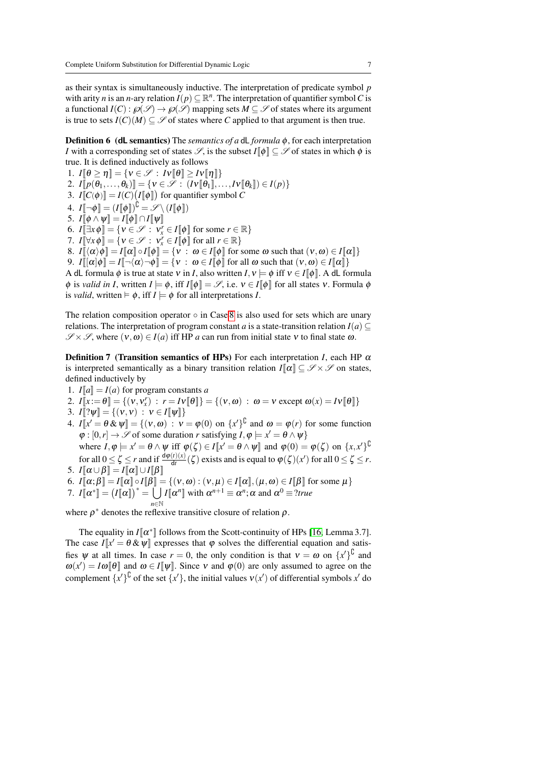as their syntax is simultaneously inductive. The interpretation of predicate symbol *p* with arity *n* is an *n*-ary relation  $I(p) \subseteq \mathbb{R}^n$ . The interpretation of quantifier symbol *C* is a functional  $I(C)$ :  $\mathcal{O}(\mathcal{S}) \to \mathcal{O}(\mathcal{S})$  mapping sets  $M \subset \mathcal{S}$  of states where its argument is true to sets  $I(C)(M) \subseteq \mathcal{S}$  of states where *C* applied to that argument is then true.

Definition 6 (dL semantics) The *semantics of a* dL *formula* φ, for each interpretation *I* with a corresponding set of states  $\mathscr{S}$ , is the subset  $I[\![\phi]\!] \subset \mathscr{S}$  of states in which  $\phi$  is true. It is defined inductively as follows

1.  $I[\![\theta \geq \eta]\!] = \{v \in \mathcal{S} : Iv[\![\theta]\!] \geq Iv[\![\eta]\!] \}$ 2.  $I[\![p(\theta_1,\ldots,\theta_k)]\!] = \{v \in \mathcal{S} : (Iv[\![\theta_1]\!],\ldots,Iv[\![\theta_k]\!]) \in I(p)\}$ 3.  $I[[C(\phi)]] = I(C) (I[[\phi]])$  for quantifier symbol *C* 4.  $I[\neg \phi] = (I[\![\phi]\!])^{\mathbb{C}} = \mathscr{S} \setminus (I[\![\phi]\!])$ 5.  $I[\phi \wedge \psi] = I[\phi] \cap I[\psi]$ 6.  $I[\exists x \phi] = \{v \in \mathcal{S} : v_x^r \in I[\![\phi]\!] \text{ for some } r \in \mathbb{R}\}\$ 7.  $I[\![\forall x \phi]\!] = {\mathbf{v} \in \mathscr{S} : \mathbf{v}_x^r \in I[\![\phi]\!] \text{ for all } r \in \mathbb{R}}$ 8.  $I[\![\langle \alpha \rangle \phi] \!] = I[\![\alpha]\!] \circ I[\![\phi]\!] = \{v : \omega \in I[\![\phi]\!] \text{ for some } \omega \text{ such that } (v, \omega) \in I[\![\alpha]\!] \}$ 9.  $I\|[\alpha]\phi\| = I[\neg(\alpha)\neg\phi\] = \{v : \omega \in I[\phi]\}$  for all  $\omega$  such that  $(v, \omega) \in I[\alpha]\}$ A dL formula  $\phi$  is true at state v in *I*, also written  $I, v \models \phi$  iff  $v \in I[\phi]$ . A dL formula

<span id="page-6-0"></span> $\phi$  is *valid in I*, written  $I \models \phi$ , iff  $I[\![\phi]\!] = \mathscr{S}$ , i.e.  $v \in I[\![\phi]\!]$  for all states v. Formula  $\phi$ is *valid*, written  $\models \phi$ , iff  $I \models \phi$  for all interpretations *I*.

The relation composition operator  $\circ$  in Case [8](#page-6-0) is also used for sets which are unary relations. The interpretation of program constant *a* is a state-transition relation  $I(a) \subseteq$  $\mathscr{S} \times \mathscr{S}$ , where  $(v, \omega) \in I(a)$  iff HP *a* can run from initial state v to final state  $\omega$ .

<span id="page-6-1"></span>**Definition 7 (Transition semantics of HPs)** For each interpretation *I*, each HP  $\alpha$ is interpreted semantically as a binary transition relation  $I[\![\alpha]\!] \subseteq \mathscr{S} \times \mathscr{S}$  on states, defined inductively by

- 1.  $I[a] = I(a)$  for program constants *a*
- 2.  $I[\![x := \theta]\!] = \{ (v, v_x^r) : r = IV[\![\theta]\!] \} = \{ (v, \omega) : \omega = v \text{ except } \omega(x) = IV[\![\theta]\!] \}$ 3.  $I[[? \psi] = \{ (v, v) : v \in I[[\psi]] \}$
- 
- 4.  $I[x' = \theta \& \psi] = \{ (v, \omega) : v = \varphi(0) \text{ on } \{x'\}^{\cup} \text{ and } \omega = \varphi(r) \text{ for some function }$  $\varphi : [0, r] \to \mathscr{S}$  of some duration *r* satisfying  $I, \varphi \models x' = \theta \land \psi$ where  $I, \varphi \models x' = \theta \land \psi$  iff  $\varphi(\zeta) \in I[x' = \theta \land \psi]$  and  $\varphi(0) = \varphi(\zeta)$  on  $\{x, x'\}^{\cup}$

for all  $0 \le \zeta \le r$  and if  $\frac{d\varphi(t)(x)}{dt}(\zeta)$  exists and is equal to  $\varphi(\zeta)(x')$  for all  $0 \le \zeta \le r$ . 5.  $I[\![\alpha \cup \beta]\!] = I[\![\alpha]\!] \cup I[\![\beta]\!]$ 

- 6.  $I[\![\alpha;\beta]\!] = I[\![\alpha]\!] \circ I[\![\beta]\!] = \{ (v,\omega) : (v,\mu) \in I[\![\alpha]\!], (\mu,\omega) \in I[\![\beta]\!]$  for some  $\mu \}$
- 7.  $I[\![\alpha^*]\!] = (I[\![\alpha]\!])^* = \bigcup I[\![\alpha^n]\!]$  with  $\alpha^{n+1} \equiv \alpha^n; \alpha$  and  $\alpha^0 \equiv ?$ true *<sup>n</sup>*∈<sup>N</sup>

where  $\rho^*$  denotes the reflexive transitive closure of relation  $\rho$ .

The equality in  $I[\![\alpha^*]\!]$  follows from the Scott-continuity of HPs [\[16,](#page-44-4) Lemma 3.7]. The case  $I[x' = \theta \& \psi]$  expresses that  $\varphi$  solves the differential equation and satisfies  $\psi$  at all times. In case  $r = 0$ , the only condition is that  $v = \omega$  on  $\{x'\}^{\mathbb{C}}$  and  $\omega(x') = I\omega[\![\theta]\!]$  and  $\omega \in I[\![\psi]\!]$ . Since v and  $\varphi(0)$  are only assumed to agree on the complement  $\{x'\}^{\mathsf{U}}$  of the set  $\{x'\}$ , the initial values  $v(x')$  of differential symbols  $x'$  do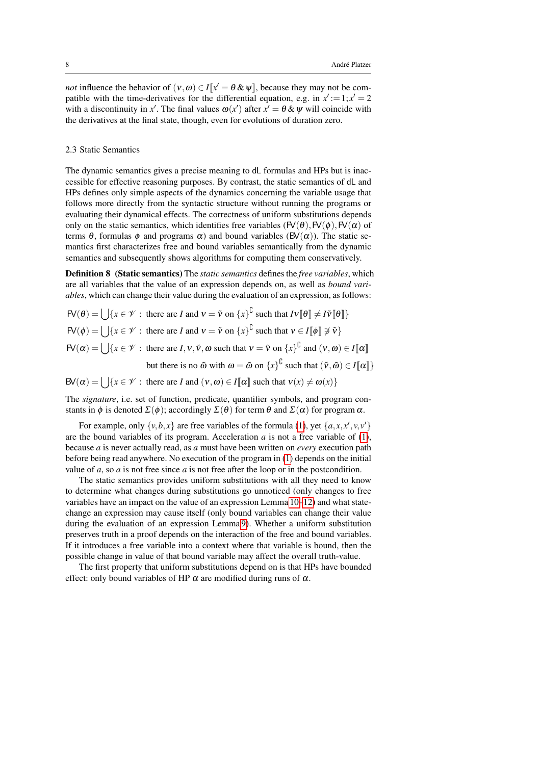*not* influence the behavior of  $(v, \omega) \in I[x] = \theta \& \psi$ , because they may not be compatible with the time-derivatives for the differential equation, e.g. in  $x' := 1; x' = 2$ with a discontinuity in x'. The final values  $\omega(x')$  after  $x' = \theta \& \psi$  will coincide with the derivatives at the final state, though, even for evolutions of duration zero.

#### <span id="page-7-1"></span>2.3 Static Semantics

The dynamic semantics gives a precise meaning to dL formulas and HPs but is inaccessible for effective reasoning purposes. By contrast, the static semantics of dL and HPs defines only simple aspects of the dynamics concerning the variable usage that follows more directly from the syntactic structure without running the programs or evaluating their dynamical effects. The correctness of uniform substitutions depends only on the static semantics, which identifies free variables  $(FV(\theta),FV(\phi),FV(\alpha))$  of terms  $\theta$ , formulas  $\phi$  and programs  $\alpha$ ) and bound variables (BV( $\alpha$ )). The static semantics first characterizes free and bound variables semantically from the dynamic semantics and subsequently shows algorithms for computing them conservatively.

<span id="page-7-2"></span>Definition 8 (Static semantics) The *static semantics* defines the *free variables*, which are all variables that the value of an expression depends on, as well as *bound variables*, which can change their value during the evaluation of an expression, as follows:

 $FV(\theta) = \bigcup \{x \in \mathcal{V} : \text{ there are } I \text{ and } v = \tilde{v} \text{ on } \{x\}^{\mathbb{U}} \text{ such that } IV[\![\theta]\!] \neq IV[\![\theta]\!] \}$  $FV(\phi) = \bigcup \{x \in \mathcal{V} : \text{ there are } I \text{ and } v = \tilde{v} \text{ on } \{x\}^{\mathbb{C}} \text{ such that } v \in I[\![\phi]\!] \not\supset \tilde{v}\}$  $FV(\alpha) = \bigcup \{x \in \mathcal{V} : \text{ there are } I, v, \tilde{v}, \omega \text{ such that } v = \tilde{v} \text{ on } \{x\}^{\mathbb{U}} \text{ and } (v, \omega) \in I[\![\alpha]\!]$ but there is no  $\tilde{\omega}$  with  $\omega = \tilde{\omega}$  on  $\{x\}^{\mathbb{C}}$  such that  $(\tilde{v}, \tilde{\omega}) \in I[\![\alpha]\!]$ 

 $BV(\alpha) = \bigcup \{x \in \mathcal{V} : \text{ there are } I \text{ and } (\nu, \omega) \in I[\![\alpha]\!] \text{ such that } \nu(x) \neq \omega(x)\}$ 

The *signature*, i.e. set of function, predicate, quantifier symbols, and program constants in  $\phi$  is denoted  $\Sigma(\phi)$ ; accordingly  $\Sigma(\theta)$  for term  $\theta$  and  $\Sigma(\alpha)$  for program  $\alpha$ .

For example, only  $\{v, b, x\}$  are free variables of the formula [\(1\)](#page-4-0), yet  $\{a, x, x', v, v'\}$ are the bound variables of its program. Acceleration  $a$  is not a free variable of  $(1)$ , because *a* is never actually read, as *a* must have been written on *every* execution path before being read anywhere. No execution of the program in [\(1\)](#page-4-0) depends on the initial value of *a*, so *a* is not free since *a* is not free after the loop or in the postcondition.

The static semantics provides uniform substitutions with all they need to know to determine what changes during substitutions go unnoticed (only changes to free variables have an impact on the value of an expression Lemma [10–](#page-8-0)[12\)](#page-8-1) and what statechange an expression may cause itself (only bound variables can change their value during the evaluation of an expression Lemma [9\)](#page-7-0). Whether a uniform substitution preserves truth in a proof depends on the interaction of the free and bound variables. If it introduces a free variable into a context where that variable is bound, then the possible change in value of that bound variable may affect the overall truth-value.

<span id="page-7-0"></span>The first property that uniform substitutions depend on is that HPs have bounded effect: only bound variables of HP  $\alpha$  are modified during runs of  $\alpha$ .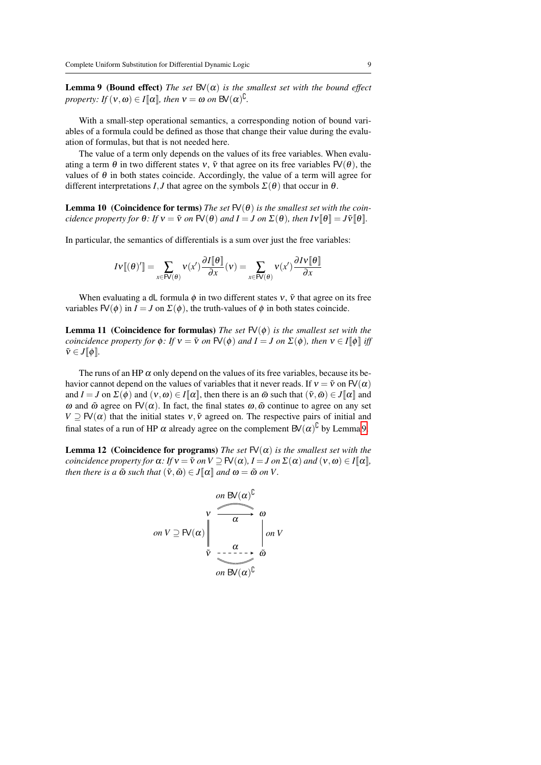**Lemma 9** (Bound effect) *The set*  $BV(\alpha)$  *is the smallest set with the bound effect property: If*  $(v, \omega) \in I[\![\alpha]\!]$ *, then*  $v = \omega$  *on*  $BV(\alpha)^{\cup}$ *.* 

With a small-step operational semantics, a corresponding notion of bound variables of a formula could be defined as those that change their value during the evaluation of formulas, but that is not needed here.

The value of a term only depends on the values of its free variables. When evaluating a term  $\theta$  in two different states v,  $\tilde{v}$  that agree on its free variables  $FV(\theta)$ , the values of  $\theta$  in both states coincide. Accordingly, the value of a term will agree for different interpretations *I*, *J* that agree on the symbols  $\Sigma(\theta)$  that occur in  $\theta$ .

<span id="page-8-0"></span>**Lemma 10** (Coincidence for terms) *The set*  $FV(\theta)$  *is the smallest set with the coincidence property for*  $\theta$ *: If*  $v = \tilde{v}$  *on*  $FV(\theta)$  *and*  $I = J$  *on*  $\Sigma(\theta)$ *, then*  $Iv[\theta] = J\tilde{v}[\theta]$ *.* 

In particular, the semantics of differentials is a sum over just the free variables:

$$
IV[(\theta)'] = \sum_{x \in \mathsf{FV}(\theta)} \mathsf{V}(x') \frac{\partial I[\![\theta]\!]}{\partial x}(v) = \sum_{x \in \mathsf{FV}(\theta)} \mathsf{V}(x') \frac{\partial IV[\![\theta]\!]}{\partial x}
$$

When evaluating a dL formula  $\phi$  in two different states  $v$ ,  $\tilde{v}$  that agree on its free variables  $FV(\phi)$  in  $I = J$  on  $\Sigma(\phi)$ , the truth-values of  $\phi$  in both states coincide.

<span id="page-8-2"></span>**Lemma 11 (Coincidence for formulas)** *The set*  $FV(\phi)$  *is the smallest set with the coincidence property for*  $\phi$ *: If*  $v = \tilde{v}$  *on*  $FV(\phi)$  *and*  $I = J$  *on*  $\Sigma(\phi)$ *, then*  $v \in I[\![\phi]\!]$  *iff*  $\tilde{v} \in J[\![\phi]\!].$ 

The runs of an HP  $\alpha$  only depend on the values of its free variables, because its behavior cannot depend on the values of variables that it never reads. If  $v = \tilde{v}$  on  $FV(\alpha)$ and  $I = J$  on  $\Sigma(\phi)$  and  $(\nu, \omega) \in I[\![\alpha]\!]$ , then there is an  $\tilde{\omega}$  such that  $(\tilde{\nu}, \tilde{\omega}) \in J[\![\alpha]\!]$  and ω and  $\tilde{\omega}$  agree on FV(α). In fact, the final states  $ω$ ,  $\tilde{\omega}$  continue to agree on any set *V*  $\supseteq$  FV( $\alpha$ ) that the initial states *v*,  $\tilde{v}$  agreed on. The respective pairs of initial and final states of a run of HP  $\alpha$  already agree on the complement  $B\vee(\alpha)^{\mathbb{C}}$  by Lemma [9.](#page-7-0)

<span id="page-8-1"></span>**Lemma 12** (Coincidence for programs) *The set*  $FV(\alpha)$  *is the smallest set with the coincidence property for*  $\alpha$ : If  $v = \tilde{v}$  *on*  $V \supseteq \mathbb{F}(\alpha)$ *, I* = *J on*  $\Sigma(\alpha)$  *and*  $(v, \omega) \in I[\![\alpha]\!]$ *, then there is a*  $\tilde{\omega}$  *such that*  $(\tilde{v}, \tilde{\omega}) \in J[\![\alpha]\!]$  *and*  $\omega = \tilde{\omega}$  *on V*.

$$
on V \supseteq \mathsf{FV}(\alpha) \bigg| \begin{array}{c}\non B\mathsf{V}(\alpha)^{\complement} \\
\mathsf{V} \xrightarrow{\alpha} \omega \\
\hline\n\alpha \qquad \qquad \downarrow \\
\mathsf{V} \xrightarrow{\alpha} \alpha\n\end{array}\n\bigg| \begin{array}{c}\non V \\
\downarrow \\
\mathsf{V} \xrightarrow{\alpha} \\
\hline\n\alpha \qquad \qquad \downarrow \\
\hline\n\alpha\n\end{array}
$$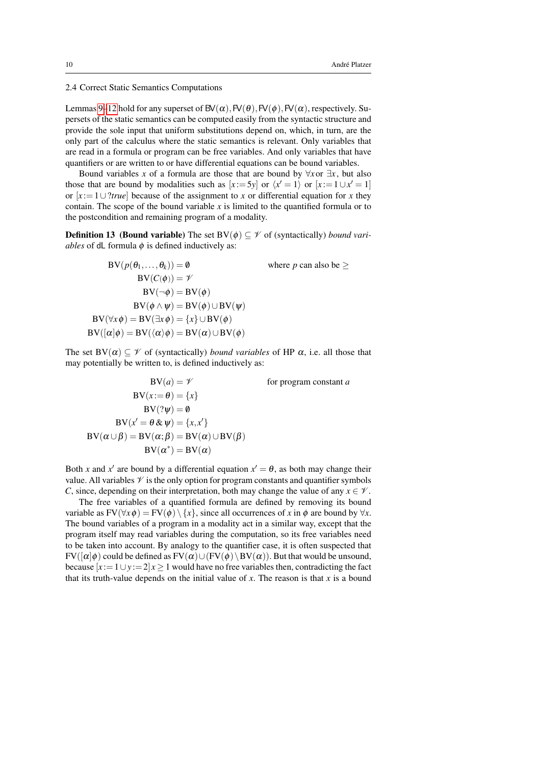<span id="page-9-0"></span>2.4 Correct Static Semantics Computations

Lemmas [9](#page-7-0)[–12](#page-8-1) hold for any superset of  $BV(\alpha)$ ,  $FV(\theta)$ ,  $FV(\phi)$ ,  $FV(\alpha)$ , respectively. Supersets of the static semantics can be computed easily from the syntactic structure and provide the sole input that uniform substitutions depend on, which, in turn, are the only part of the calculus where the static semantics is relevant. Only variables that are read in a formula or program can be free variables. And only variables that have quantifiers or are written to or have differential equations can be bound variables.

Bound variables *x* of a formula are those that are bound by  $\forall x$ or  $\exists x$ , but also those that are bound by modalities such as  $[x := 5y]$  or  $\langle x' = 1 \rangle$  or  $[x := 1 \cup x' = 1]$ or [*x* :=1∪?*true*] because of the assignment to *x* or differential equation for *x* they contain. The scope of the bound variable *x* is limited to the quantified formula or to the postcondition and remaining program of a modality.

**Definition 13** (**Bound variable**) The set  $BV(\phi) \subset \mathcal{V}$  of (syntactically) *bound variables* of dL formula  $\phi$  is defined inductively as:

 $BV(p(\theta_1,...,\theta_k)) = \emptyset$  where *p* can also be >  $BV(C(\phi)) = \mathscr{V}$  $BV(\neg \phi) = BV(\phi)$  $BV(\phi \wedge \psi) = BV(\phi) \cup BV(\psi)$  $BV(\forall x \phi) = BV(\exists x \phi) = \{x\} \cup BV(\phi)$  $BV([\alpha]\phi) = BV(\langle \alpha \rangle \phi) = BV(\alpha) \cup BV(\phi)$ 

The set  $BV(\alpha) \subseteq \mathcal{V}$  of (syntactically) *bound variables* of HP  $\alpha$ , i.e. all those that may potentially be written to, is defined inductively as:

$$
BV(a) = \mathscr{V} \qquad \text{for program constant } a
$$
  
\n
$$
BV(x := \theta) = \{x\}
$$
  
\n
$$
BV(\mathscr{V}) = \emptyset
$$
  
\n
$$
BV(\alpha \cup \beta) = BV(\alpha; \beta) = BV(\alpha) \cup BV(\beta)
$$
  
\n
$$
BV(\alpha^*) = BV(\alpha)
$$

Both *x* and *x'* are bound by a differential equation  $x' = \theta$ , as both may change their value. All variables  $\mathcal V$  is the only option for program constants and quantifier symbols *C*, since, depending on their interpretation, both may change the value of any  $x \in \mathcal{V}$ .

The free variables of a quantified formula are defined by removing its bound variable as  $FV(\forall x \phi) = FV(\phi) \setminus \{x\}$ , since all occurrences of *x* in  $\phi$  are bound by  $\forall x$ . The bound variables of a program in a modality act in a similar way, except that the program itself may read variables during the computation, so its free variables need to be taken into account. By analogy to the quantifier case, it is often suspected that  $FV([\alpha]\phi)$  could be defined as  $FV(\alpha)\cup (FV(\phi)\setminus BV(\alpha))$ . But that would be unsound, because  $[x := 1 \cup y := 2]$  *x* ≥ 1 would have no free variables then, contradicting the fact that its truth-value depends on the initial value of *x*. The reason is that *x* is a bound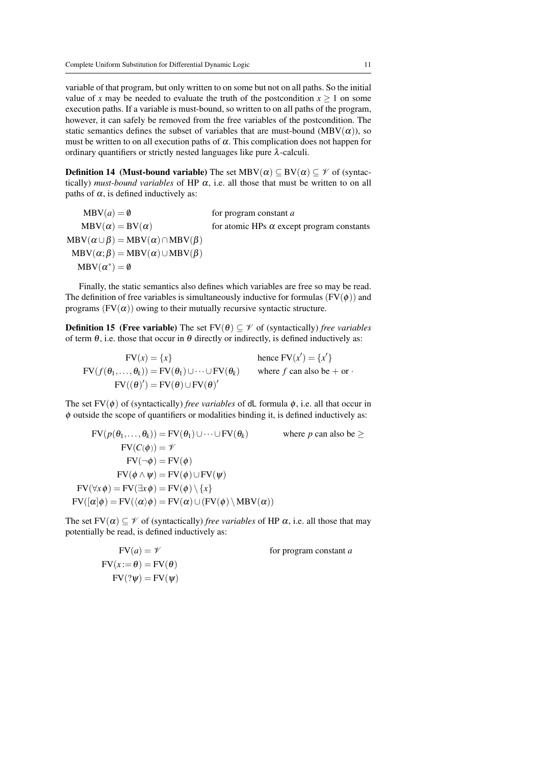variable of that program, but only written to on some but not on all paths. So the initial value of *x* may be needed to evaluate the truth of the postcondition  $x \ge 1$  on some execution paths. If a variable is must-bound, so written to on all paths of the program, however, it can safely be removed from the free variables of the postcondition. The static semantics defines the subset of variables that are must-bound (MBV $(\alpha)$ ), so must be written to on all execution paths of  $\alpha$ . This complication does not happen for ordinary quantifiers or strictly nested languages like pure  $\lambda$ -calculi.

**Definition 14** (Must-bound variable) The set  $MBV(\alpha) \subseteq BV(\alpha) \subseteq \mathcal{V}$  of (syntactically) *must-bound variables* of HP  $\alpha$ , i.e. all those that must be written to on all paths of  $\alpha$ , is defined inductively as:

 $MBV(a) = \emptyset$  for program constant *a*  $MBV(\alpha) = BV(\alpha)$  for atomic HPs  $\alpha$  except program constants  $MBV(\alpha \cup \beta) = MBV(\alpha) \cap MBV(\beta)$  $MBV(\alpha;\beta) = MBV(\alpha) \cup MBV(\beta)$  $\text{MBV}(\alpha^*) = \emptyset$ 

Finally, the static semantics also defines which variables are free so may be read. The definition of free variables is simultaneously inductive for formulas  $(FV(\phi))$  and programs  $(FV(\alpha))$  owing to their mutually recursive syntactic structure.

<span id="page-10-0"></span>**Definition 15** (Free variable) The set  $FV(\theta) \subset \mathcal{V}$  of (syntactically) *free variables* of term  $\theta$ , i.e. those that occur in  $\theta$  directly or indirectly, is defined inductively as:

 $FV(x) = \{x\}$  hence  $FV(x') = \{x'\}$  $FV(f(\theta_1,...,\theta_k)) = FV(\theta_1) \cup \cdots \cup FV(\theta_k)$  where *f* can also be + or ·  $FV((\theta)') = FV(\theta) \cup FV(\theta)'$ 

The set  $FV(\phi)$  of (syntactically) *free variables* of dL formula  $\phi$ , i.e. all that occur in  $\phi$  outside the scope of quantifiers or modalities binding it, is defined inductively as:

$$
FV(p(\theta_1, ..., \theta_k)) = FV(\theta_1) \cup \cdots \cup FV(\theta_k) \qquad \text{where } p \text{ can also be } \ge
$$
  
\n
$$
FV(C(\phi)) = \mathcal{V}
$$
  
\n
$$
FV(-\phi) = FV(\phi)
$$
  
\n
$$
FV(\phi \land \psi) = FV(\phi) \cup FV(\psi)
$$
  
\n
$$
FV(\forall x \phi) = FV(\exists x \phi) = FV(\phi) \setminus \{x\}
$$
  
\n
$$
FV((\alpha | \phi) = FV((\alpha) \phi) = FV(\alpha) \cup (FV(\phi) \setminus MBV(\alpha))
$$

The set  $FV(\alpha) \subseteq \mathcal{V}$  of (syntactically) *free variables* of HP  $\alpha$ , i.e. all those that may potentially be read, is defined inductively as:

$$
FV(a) = \mathcal{V}
$$
 for program constant  $a$   
\n
$$
FV(x := \theta) = FV(\theta)
$$
  
\n
$$
FV(2\psi) = FV(\psi)
$$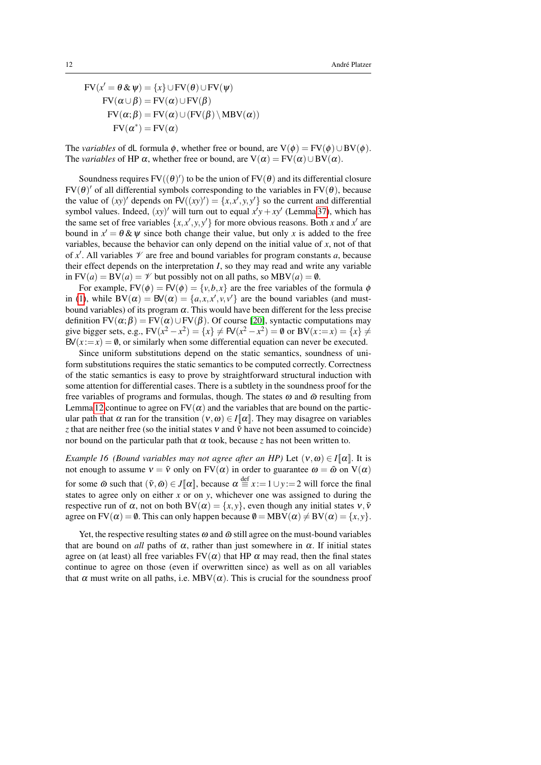$FV(x' = \theta \& \psi) = \{x\} \cup FV(\theta) \cup FV(\psi)$  $FV(\alpha \cup \beta) = FV(\alpha) \cup FV(\beta)$  $FV(\alpha;\beta) = FV(\alpha) \cup (FV(\beta) \setminus MBV(\alpha))$  $FV(\alpha^*) = FV(\alpha)$ 

The *variables* of dL formula  $\phi$ , whether free or bound, are  $V(\phi) = FV(\phi) \cup BV(\phi)$ . The *variables* of HP  $\alpha$ , whether free or bound, are  $V(\alpha) = FV(\alpha) \cup BV(\alpha)$ .

Soundness requires  $FV((\theta)')$  to be the union of  $FV(\theta)$  and its differential closure  $FV(\theta)'$  of all differential symbols corresponding to the variables in  $FV(\theta)$ , because the value of  $(xy)'$  depends on  $FV((xy)') = {x, x', y, y'}$  so the current and differential symbol values. Indeed,  $(xy)'$  will turn out to equal  $x'y + xy'$  (Lemma [37\)](#page-27-0), which has the same set of free variables  $\{x, x', y, y'\}$  for more obvious reasons. Both *x* and  $x'$  are bound in  $x' = \theta \& \psi$  since both change their value, but only x is added to the free variables, because the behavior can only depend on the initial value of *x*, not of that of x'. All variables  $\mathcal V$  are free and bound variables for program constants a, because their effect depends on the interpretation *I*, so they may read and write any variable in  $FV(a) = BV(a) = \mathcal{V}$  but possibly not on all paths, so  $MBV(a) = \emptyset$ .

For example,  $FV(\phi) = FV(\phi) = \{v, b, x\}$  are the free variables of the formula  $\phi$ in [\(1\)](#page-4-0), while  $BV(\alpha) = BV(\alpha) = \{a, x, x', v, v'\}$  are the bound variables (and mustbound variables) of its program  $\alpha$ . This would have been different for the less precise definition  $FV(\alpha;\beta) = FV(\alpha) \cup FV(\beta)$ . Of course [\[20\]](#page-44-14), syntactic computations may give bigger sets, e.g.,  $FV(x^2 - x^2) = \{x\} \neq FV(x^2 - x^2) = \emptyset$  or  $BV(x := x) = \{x\} \neq$  $BV(x:=x) = \emptyset$ , or similarly when some differential equation can never be executed.

Since uniform substitutions depend on the static semantics, soundness of uniform substitutions requires the static semantics to be computed correctly. Correctness of the static semantics is easy to prove by straightforward structural induction with some attention for differential cases. There is a subtlety in the soundness proof for the free variables of programs and formulas, though. The states  $\omega$  and  $\tilde{\omega}$  resulting from Lemma [12](#page-8-1) continue to agree on  $FV(\alpha)$  and the variables that are bound on the particular path that  $\alpha$  ran for the transition  $(v, \omega) \in I[\![\alpha]\!]$ . They may disagree on variables *z* that are neither free (so the initial states  $v$  and  $\tilde{v}$  have not been assumed to coincide) nor bound on the particular path that α took, because *z* has not been written to.

*Example 16 (Bound variables may not agree after an HP)* Let  $(v, \omega) \in I[\![\alpha]\!]$ . It is not enough to assume  $v = \tilde{v}$  only on  $FV(\alpha)$  in order to guarantee  $\omega = \tilde{\omega}$  on  $V(\alpha)$ for some  $\tilde{\omega}$  such that  $(\tilde{v}, \tilde{\omega}) \in J[\![\alpha]\!]$ , because  $\alpha \stackrel{\text{def}}{=} x := 1 \cup y := 2$  will force the final states to agree only on either *x* or on *y*, whichever one was assigned to during the respective run of  $\alpha$ , not on both BV( $\alpha$ ) = {*x*, *y*}, even though any initial states  $v, \tilde{v}$ agree on  $FV(\alpha) = \emptyset$ . This can only happen because  $\emptyset = MBV(\alpha) \neq BV(\alpha) = \{x, y\}.$ 

Yet, the respective resulting states  $\omega$  and  $\tilde{\omega}$  still agree on the must-bound variables that are bound on *all* paths of  $\alpha$ , rather than just somewhere in  $\alpha$ . If initial states agree on (at least) all free variables  $FV(\alpha)$  that HP  $\alpha$  may read, then the final states continue to agree on those (even if overwritten since) as well as on all variables that  $\alpha$  must write on all paths, i.e. MBV( $\alpha$ ). This is crucial for the soundness proof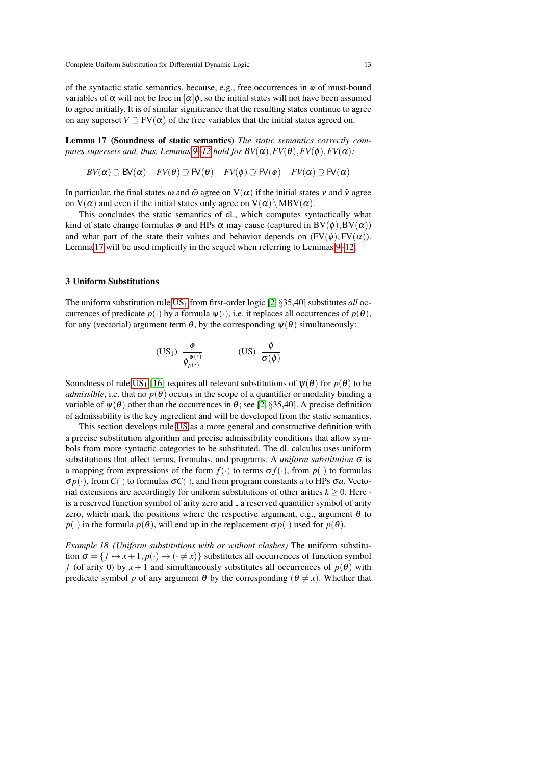of the syntactic static semantics, because, e.g., free occurrences in  $\phi$  of must-bound variables of  $\alpha$  will not be free in  $\alpha|\phi$ , so the initial states will not have been assumed to agree initially. It is of similar significance that the resulting states continue to agree on any superset  $V \supset FV(\alpha)$  of the free variables that the initial states agreed on.

<span id="page-12-1"></span>Lemma 17 (Soundness of static semantics) *The static semantics correctly computes supersets and, thus, Lemmas* [9](#page-7-0)[–12](#page-8-1) *hold for BV*( $\alpha$ ),  $FV(\theta)$ ,  $FV(\phi)$ ,  $FV(\alpha)$ *:* 

 $BV(\alpha) \supseteq BV(\alpha)$  *FV*( $\theta$ )  $\supseteq$  FV( $\theta$ ) *FV*( $\phi$ )  $\supseteq$  FV( $\alpha$ )  $\supseteq$  FV( $\alpha$ )

In particular, the final states  $\omega$  and  $\tilde{\omega}$  agree on  $V(\alpha)$  if the initial states v and  $\tilde{v}$  agree on  $V(\alpha)$  and even if the initial states only agree on  $V(\alpha) \setminus MBV(\alpha)$ .

This concludes the static semantics of dL, which computes syntactically what kind of state change formulas  $\phi$  and HPs  $\alpha$  may cause (captured in BV( $\phi$ ), BV( $\alpha$ )) and what part of the state their values and behavior depends on  $(FV(\phi),FV(\alpha))$ . Lemma [17](#page-12-1) will be used implicitly in the sequel when referring to Lemmas [9–](#page-7-0)[12.](#page-8-1)

#### <span id="page-12-0"></span>3 Uniform Substitutions

The uniform substitution rule  $US_1$  from first-order logic [\[2,](#page-44-5)  $\S 35,40$ ] substitutes *all* occurrences of predicate  $p(\cdot)$  by a formula  $\psi(\cdot)$ , i.e. it replaces all occurrences of  $p(\theta)$ , for any (vectorial) argument term  $\theta$ , by the corresponding  $\psi(\theta)$  simultaneously:

<span id="page-12-3"></span><span id="page-12-2"></span>
$$
\text{(US}_1) \ \frac{\phi}{\phi_{p(\cdot)}^{\psi(\cdot)}} \qquad \qquad \text{(US)} \ \frac{\phi}{\sigma(\phi)}
$$

Soundness of rule [US](#page-12-2)<sub>1</sub> [\[16\]](#page-44-4) requires all relevant substitutions of  $\psi(\theta)$  for  $p(\theta)$  to be *admissible*, i.e. that no  $p(\theta)$  occurs in the scope of a quantifier or modality binding a variable of  $\psi(\theta)$  other than the occurrences in  $\theta$ ; see [\[2,](#page-44-5) §35,40]. A precise definition of admissibility is the key ingredient and will be developed from the static semantics.

This section develops rule [US](#page-12-3) as a more general and constructive definition with a precise substitution algorithm and precise admissibility conditions that allow symbols from more syntactic categories to be substituted. The dL calculus uses uniform substitutions that affect terms, formulas, and programs. A *uniform substitution* σ is a mapping from expressions of the form  $f(\cdot)$  to terms  $\sigma f(\cdot)$ , from  $p(\cdot)$  to formulas  $\sigma p(\cdot)$ , from  $C(\cdot)$  to formulas  $\sigma C(\cdot)$ , and from program constants *a* to HPs  $\sigma a$ . Vectorial extensions are accordingly for uniform substitutions of other arities  $k \geq 0$ . Here  $\cdot$ is a reserved function symbol of arity zero and  $\overline{\ }$  a reserved quantifier symbol of arity zero, which mark the positions where the respective argument, e.g., argument  $\theta$  to  $p(\cdot)$  in the formula  $p(\theta)$ , will end up in the replacement  $\sigma p(\cdot)$  used for  $p(\theta)$ .

<span id="page-12-4"></span>*Example 18 (Uniform substitutions with or without clashes)* The uniform substitution  $\sigma = \{f \mapsto x + 1, p(\cdot) \mapsto (\cdot \neq x)\}$  substitutes all occurrences of function symbol *f* (of arity 0) by  $x + 1$  and simultaneously substitutes all occurrences of  $p(\theta)$  with predicate symbol *p* of any argument  $\theta$  by the corresponding  $(\theta \neq x)$ . Whether that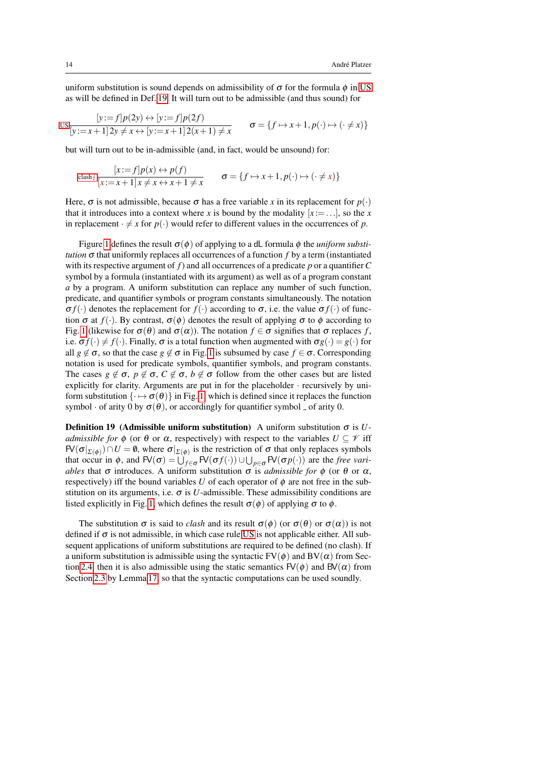uniform substitution is sound depends on admissibility of  $\sigma$  for the formula  $\phi$  in [US](#page-12-3) as will be defined in Def. [19.](#page-13-0) It will turn out to be admissible (and thus sound) for

$$
\text{US} \frac{[y:=f]p(2y) \leftrightarrow [y:=f]p(2f)}{[y:=x+1]2y \neq x \leftrightarrow [y:=x+1]2(x+1) \neq x} \qquad \sigma = \{f \mapsto x+1, p(\cdot) \mapsto (\cdot \neq x)\}
$$

but will turn out to be in-admissible (and, in fact, would be unsound) for:

$$
\operatorname{clash}_{\sharp} \frac{[x:=f]p(x) \leftrightarrow p(f)}{[x:=x+1]x \neq x \leftrightarrow x+1 \neq x} \qquad \sigma = \{f \mapsto x+1, p(\cdot) \mapsto (\cdot \neq x)\}\
$$

Here,  $\sigma$  is not admissible, because  $\sigma$  has a free variable *x* in its replacement for  $p(\cdot)$ that it introduces into a context where *x* is bound by the modality  $[x := \dots]$ , so the *x* in replacement  $\cdot \neq x$  for  $p(\cdot)$  would refer to different values in the occurrences of *p*.

Figure [1](#page-14-0) defines the result  $\sigma(\phi)$  of applying to a dL formula  $\phi$  the *uniform substitution*  $\sigma$  that uniformly replaces all occurrences of a function *f* by a term (instantiated with its respective argument of *f*) and all occurrences of a predicate *p* or a quantifier*C* symbol by a formula (instantiated with its argument) as well as of a program constant *a* by a program. A uniform substitution can replace any number of such function, predicate, and quantifier symbols or program constants simultaneously. The notation σ $f(·)$  denotes the replacement for  $f(·)$  according to σ, i.e. the value σ $f(·)$  of function  $\sigma$  at  $f(.)$ . By contrast,  $\sigma(\phi)$  denotes the result of applying  $\sigma$  to  $\phi$  according to Fig. [1](#page-14-0) (likewise for  $\sigma(\theta)$  and  $\sigma(\alpha)$ ). The notation  $f \in \sigma$  signifies that  $\sigma$  replaces f, i.e.  $\sigma f(\cdot) \neq f(\cdot)$ . Finally,  $\sigma$  is a total function when augmented with  $\sigma g(\cdot) = g(\cdot)$  for all  $g \notin \sigma$ , so that the case  $g \notin \sigma$  in Fig. [1](#page-14-0) is subsumed by case  $f \in \sigma$ . Corresponding notation is used for predicate symbols, quantifier symbols, and program constants. The cases  $g \notin \sigma$ ,  $p \notin \sigma$ ,  $C \notin \sigma$ ,  $b \notin \sigma$  follow from the other cases but are listed explicitly for clarity. Arguments are put in for the placeholder · recursively by uniform substitution  $\{\cdot \mapsto \sigma(\theta)\}\$  in Fig. [1,](#page-14-0) which is defined since it replaces the function symbol  $\cdot$  of arity 0 by  $\sigma(\theta)$ , or accordingly for quantifier symbol  $\overline{\ }$  of arity 0.

<span id="page-13-0"></span>**Definition 19** (Admissible uniform substitution) A uniform substitution  $\sigma$  is *Uadmissible for*  $\phi$  (or  $\theta$  or  $\alpha$ , respectively) with respect to the variables  $U \subseteq \mathcal{V}$  iff  $FV(\sigma|_{\Sigma(\phi)}) \cap U = \emptyset$ , where  $\sigma|_{\Sigma(\phi)}$  is the restriction of  $\sigma$  that only replaces symbols that occur in  $\phi$ , and  $\mathsf{FV}(\sigma) = \bigcup_{f \in \sigma} \mathsf{FV}(\sigma f(\cdot)) \cup \bigcup_{p \in \sigma} \mathsf{FV}(\sigma p(\cdot))$  are the *free variables* that  $\sigma$  introduces. A uniform substitution  $\sigma$  is *admissible for*  $\phi$  (or  $\theta$  or  $\alpha$ , respectively) iff the bound variables *U* of each operator of  $\phi$  are not free in the substitution on its arguments, i.e.  $\sigma$  is *U*-admissible. These admissibility conditions are listed explicitly in Fig. [1,](#page-14-0) which defines the result  $\sigma(\phi)$  of applying  $\sigma$  to  $\phi$ .

The substitution  $\sigma$  is said to *clash* and its result  $\sigma(\phi)$  (or  $\sigma(\theta)$  or  $\sigma(\alpha)$ ) is not defined if  $\sigma$  is not admissible, in which case rule [US](#page-12-3) is not applicable either. All subsequent applications of uniform substitutions are required to be defined (no clash). If a uniform substitution is admissible using the syntactic  $FV(\phi)$  and  $BV(\alpha)$  from Sec-tion [2.4,](#page-9-0) then it is also admissible using the static semantics  $FV(\phi)$  and  $BV(\alpha)$  from Section [2.3](#page-7-1) by Lemma [17,](#page-12-1) so that the syntactic computations can be used soundly.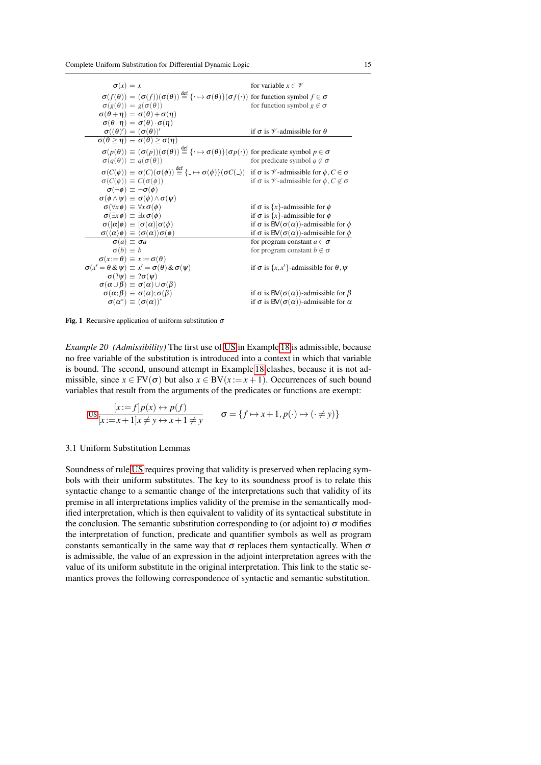| $\sigma(x) = x$                                                                                                                                                                           | for variable $x \in \mathscr{V}$                                       |
|-------------------------------------------------------------------------------------------------------------------------------------------------------------------------------------------|------------------------------------------------------------------------|
| $\sigma(f(\theta)) = (\sigma(f))(\sigma(\theta)) \stackrel{\text{def}}{=} {\{\cdot \mapsto \sigma(\theta)\}}(\sigma(f(\cdot)) \text{ for function symbol } f \in \sigma$                  |                                                                        |
| $\sigma(g(\theta)) = g(\sigma(\theta))$                                                                                                                                                   | for function symbol $g \notin \sigma$                                  |
| $\sigma(\theta + \eta) = \sigma(\theta) + \sigma(\eta)$                                                                                                                                   |                                                                        |
| $\sigma(\theta \cdot \eta) = \sigma(\theta) \cdot \sigma(\eta)$                                                                                                                           |                                                                        |
| $\sigma((\theta)')=(\sigma(\theta))'$                                                                                                                                                     | if $\sigma$ is $\mathcal V$ -admissible for $\theta$                   |
| $\sigma(\theta \geq \eta) \equiv \sigma(\theta) \geq \sigma(\eta)$                                                                                                                        |                                                                        |
| $\sigma(p(\theta)) \equiv (\sigma(p))(\sigma(\theta)) \stackrel{\text{def}}{=} {\{\cdot \mapsto \sigma(\theta)\}}(\sigma p(\cdot))$ for predicate symbol $p \in \sigma$                   |                                                                        |
| $\sigma(q(\theta)) \equiv q(\sigma(\theta))$                                                                                                                                              | for predicate symbol $q \notin \sigma$                                 |
| $\sigma(C(\phi)) \equiv \sigma(C)(\sigma(\phi)) \stackrel{\text{def}}{=} \{- \rightarrow \sigma(\phi)\} (\sigma(C(\phi)))$ if $\sigma$ is $\not\sim$ -admissible for $\phi, C \in \sigma$ |                                                                        |
| $\sigma(C(\phi)) \equiv C(\sigma(\phi))$                                                                                                                                                  | if $\sigma$ is $\mathcal V$ -admissible for $\phi$ , $C \notin \sigma$ |
| $\sigma(\neg\phi) \equiv \neg\sigma(\phi)$                                                                                                                                                |                                                                        |
| $\sigma(\phi \wedge \psi) \equiv \sigma(\phi) \wedge \sigma(\psi)$                                                                                                                        |                                                                        |
| $\sigma(\forall x \phi) \equiv \forall x \sigma(\phi)$                                                                                                                                    | if $\sigma$ is $\{x\}$ -admissible for $\phi$                          |
| $\sigma(\exists x \phi) \equiv \exists x \sigma(\phi)$                                                                                                                                    | if $\sigma$ is {x}-admissible for $\phi$                               |
| $\sigma([\alpha]\phi) \equiv [\sigma(\alpha)]\sigma(\phi)$                                                                                                                                | if $\sigma$ is BV( $\sigma(\alpha)$ )-admissible for $\phi$            |
| $\sigma(\langle \alpha \rangle \phi) \equiv \langle \sigma(\alpha) \rangle \sigma(\phi)$                                                                                                  | if $\sigma$ is BV( $\sigma(\alpha)$ )-admissible for $\phi$            |
| $\sigma(a) \equiv \sigma a$                                                                                                                                                               | for program constant $a \in \sigma$                                    |
| $\sigma(b) \equiv b$                                                                                                                                                                      | for program constant $b \notin \sigma$                                 |
| $\sigma(x:=\theta) \equiv x:=\sigma(\theta)$                                                                                                                                              |                                                                        |
| $\sigma(x' = \theta \& \psi) \equiv x' = \sigma(\theta) \& \sigma(\psi)$                                                                                                                  | if $\sigma$ is $\{x, x'\}$ -admissible for $\theta, \psi$              |
| $\sigma$ (? $\psi$ ) $\equiv$ ? $\sigma$ ( $\psi$ )                                                                                                                                       |                                                                        |
| $\sigma(\alpha \cup \beta) \equiv \sigma(\alpha) \cup \sigma(\beta)$                                                                                                                      |                                                                        |
| $\sigma(\alpha;\beta) \equiv \sigma(\alpha); \sigma(\beta)$                                                                                                                               | if $\sigma$ is BV( $\sigma(\alpha)$ )-admissible for $\beta$           |
| $\sigma(\alpha^*) \equiv (\sigma(\alpha))^*$                                                                                                                                              | if $\sigma$ is BV( $\sigma(\alpha)$ )-admissible for $\alpha$          |
|                                                                                                                                                                                           |                                                                        |

<span id="page-14-0"></span>Fig. 1 Recursive application of uniform substitution  $\sigma$ 

*Example 20 (Admissibility)* The first use of [US](#page-12-3) in Example [18](#page-12-4) is admissible, because no free variable of the substitution is introduced into a context in which that variable is bound. The second, unsound attempt in Example [18](#page-12-4) clashes, because it is not admissible, since  $x \in FV(\sigma)$  but also  $x \in BV(x := x + 1)$ . Occurrences of such bound variables that result from the arguments of the predicates or functions are exempt:

$$
\text{us } \frac{[x:=f]p(x) \leftrightarrow p(f)}{[x:=x+1]x \neq y \leftrightarrow x+1 \neq y} \qquad \sigma = \{f \mapsto x+1, p(\cdot) \mapsto (\cdot \neq y)\}
$$

#### 3.1 Uniform Substitution Lemmas

Soundness of rule [US](#page-12-3) requires proving that validity is preserved when replacing symbols with their uniform substitutes. The key to its soundness proof is to relate this syntactic change to a semantic change of the interpretations such that validity of its premise in all interpretations implies validity of the premise in the semantically modified interpretation, which is then equivalent to validity of its syntactical substitute in the conclusion. The semantic substitution corresponding to (or adjoint to)  $\sigma$  modifies the interpretation of function, predicate and quantifier symbols as well as program constants semantically in the same way that  $\sigma$  replaces them syntactically. When  $\sigma$ is admissible, the value of an expression in the adjoint interpretation agrees with the value of its uniform substitute in the original interpretation. This link to the static semantics proves the following correspondence of syntactic and semantic substitution.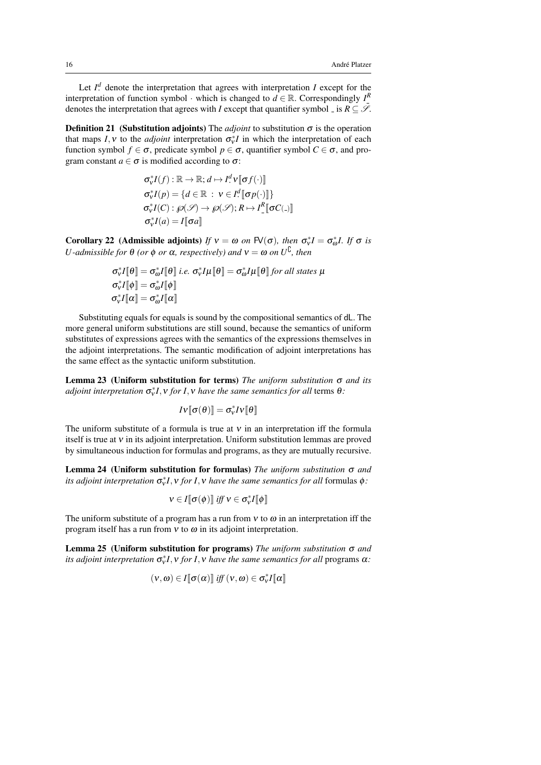Let  $I^d$  denote the interpretation that agrees with interpretation *I* except for the interpretation of function symbol · which is changed to  $d \in \mathbb{R}$ . Correspondingly  $I^R$ denotes the interpretation that agrees with *I* except that quantifier symbol \_ is  $R \subseteq \mathcal{S}$ .

**Definition 21** (Substitution adjoints) The *adjoint* to substitution  $\sigma$  is the operation that maps  $I, v$  to the *adjoint* interpretation  $\sigma_v^* I$  in which the interpretation of each function symbol  $f \in \sigma$ , predicate symbol  $p \in \sigma$ , quantifier symbol  $C \in \sigma$ , and program constant  $a \in \sigma$  is modified according to  $\sigma$ :

$$
\sigma_v^* I(f) : \mathbb{R} \to \mathbb{R}; d \mapsto I^d \mathbf{v} [\sigma f(\cdot)]
$$
  
\n
$$
\sigma_v^* I(p) = \{d \in \mathbb{R} : \mathbf{v} \in I^d \llbracket \sigma p(\cdot) \rrbracket\}
$$
  
\n
$$
\sigma_v^* I(C) : \wp(\mathcal{S}) \to \wp(\mathcal{S}) ; R \mapsto I^R \llbracket \sigma C(\cdot) \rrbracket
$$
  
\n
$$
\sigma_v^* I(a) = I \llbracket \sigma a \rrbracket
$$

<span id="page-15-1"></span>**Corollary 22** (Admissible adjoints) *If*  $v = \omega$  *on*  $\text{FV}(\sigma)$ *, then*  $\sigma_v^*I = \sigma_{\omega}^*I$ *. If*  $\sigma$  *is U*-admissible for  $\theta$  *(or*  $\phi$  *or*  $\alpha$ *, respectively) and*  $v = \omega$  *on*  $U^{\mathsf{L}}$ *, then* 

$$
\sigma_v^* I[\![\theta]\!] = \sigma_o^* I[\![\theta]\!] \text{ i.e. } \sigma_v^* I\mu[\![\theta]\!] = \sigma_o^* I\mu[\![\theta]\!] \text{ for all states } \mu
$$
  

$$
\sigma_v^* I[\![\phi]\!] = \sigma_o^* I[\![\phi]\!]
$$
  

$$
\sigma_v^* I[\![\alpha]\!] = \sigma_o^* I[\![\alpha]\!]
$$

Substituting equals for equals is sound by the compositional semantics of dL. The more general uniform substitutions are still sound, because the semantics of uniform substitutes of expressions agrees with the semantics of the expressions themselves in the adjoint interpretations. The semantic modification of adjoint interpretations has the same effect as the syntactic uniform substitution.

<span id="page-15-3"></span>Lemma 23 (Uniform substitution for terms) *The uniform substitution* σ *and its adjoint interpretation* σ ∗ ν *I*,ν *for I*,ν *have the same semantics for all* terms θ*:*

$$
IV[\![\sigma(\theta)]\!]=\sigma_{\scriptscriptstyle V}^*IV[\![\theta]\!]
$$

The uniform substitute of a formula is true at  $v$  in an interpretation iff the formula itself is true at ν in its adjoint interpretation. Uniform substitution lemmas are proved by simultaneous induction for formulas and programs, as they are mutually recursive.

<span id="page-15-0"></span>Lemma 24 (Uniform substitution for formulas) *The uniform substitution* σ *and its adjoint interpretation*  $\sigma_v^*I$ , *v for I*, *v have the same semantics for all* formulas φ:

$$
v\in I[\![\sigma(\phi)]\!]\ iff\ v\in\sigma_v^*I[\![\phi]\!]
$$

The uniform substitute of a program has a run from  $v$  to  $\omega$  in an interpretation iff the program itself has a run from  $v$  to  $\omega$  in its adjoint interpretation.

<span id="page-15-2"></span>Lemma 25 (Uniform substitution for programs) *The uniform substitution* σ *and its adjoint interpretation*  $\sigma_v^*I$ , *v for I*, *v have the same semantics for all* programs α*:* 

$$
(\mathbf{v},\boldsymbol{\omega})\in I[\![\boldsymbol{\sigma}(\boldsymbol{\alpha})]\!]\; \text{iff}\; (\mathbf{v},\boldsymbol{\omega})\in \boldsymbol{\sigma}_{\mathbf{v}}^*\boldsymbol{I}[\![\boldsymbol{\alpha}]\!]
$$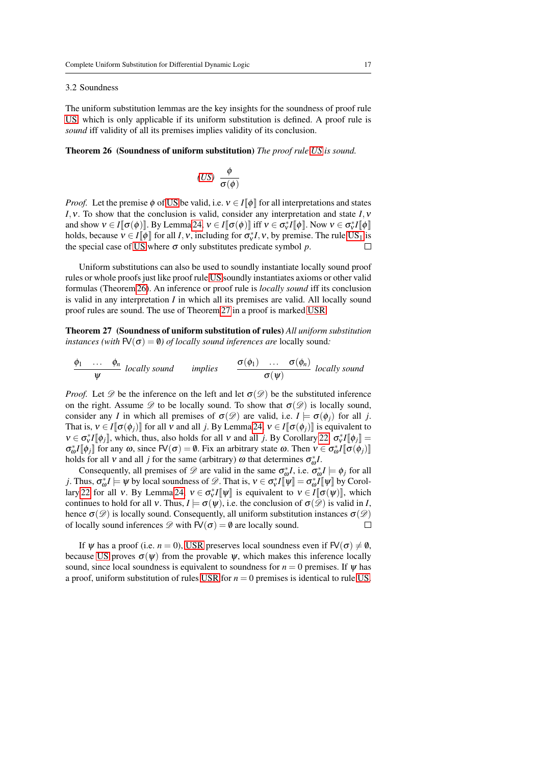#### 3.2 Soundness

The uniform substitution lemmas are the key insights for the soundness of proof rule [US,](#page-12-3) which is only applicable if its uniform substitution is defined. A proof rule is *sound* iff validity of all its premises implies validity of its conclusion.

## <span id="page-16-0"></span>Theorem 26 (Soundness of uniform substitution) *The proof rule [US](#page-12-3) is sound.*

<span id="page-16-2"></span>
$$
(US) \ \frac{\phi}{\sigma(\phi)}
$$

*Proof.* Let the premise  $\phi$  of [US](#page-12-3) be valid, i.e.  $v \in I[\![\phi]\!]$  for all interpretations and states *I*,ν. To show that the conclusion is valid, consider any interpretation and state *I*,ν and show  $v \in I[\![\sigma(\phi)]\!]$ . By Lemma [24,](#page-15-0)  $v \in I[\![\sigma(\phi)]\!]$  iff  $v \in \sigma_v^* I[\![\phi]\!]$ . Now  $v \in \sigma_v^* I[\![\phi]\!]$ holds, because  $v \in I[\![\phi]\!]$  for all *I*, *v*, including for  $\sigma_v^*I$ , *v*, by premise. The rule [US](#page-12-2)<sub>1</sub> is the special case of [US](#page-12-3) where  $\sigma$  only substitutes predicate symbol  $p$ .  $\Box$ 

Uniform substitutions can also be used to soundly instantiate locally sound proof rules or whole proofs just like proof rule [US](#page-12-3) soundly instantiates axioms or other valid formulas (Theorem [26\)](#page-16-0). An inference or proof rule is *locally sound* iff its conclusion is valid in any interpretation *I* in which all its premises are valid. All locally sound proof rules are sound. The use of Theorem [27](#page-16-1) in a proof is marked [USR.](#page-16-2)

<span id="page-16-1"></span>Theorem 27 (Soundness of uniform substitution of rules) *All uniform substitution instances (with*  $FV(\sigma) = \emptyset$ ) *of locally sound inferences are* locally sound:

$$
\frac{\phi_1 \quad \ldots \quad \phi_n}{\psi} \text{ locally sound} \qquad \text{implies} \qquad \frac{\sigma(\phi_1) \quad \ldots \quad \sigma(\phi_n)}{\sigma(\psi)} \text{ locally sound}
$$

*Proof.* Let  $\mathscr D$  be the inference on the left and let  $\sigma(\mathscr D)$  be the substituted inference on the right. Assume  $\mathscr D$  to be locally sound. To show that  $\sigma(\mathscr D)$  is locally sound, consider any *I* in which all premises of  $\sigma(\mathcal{D})$  are valid, i.e.  $I \models \sigma(\phi_i)$  for all *j*. That is,  $v \in I[\![\sigma(\phi_i)]\!]$  for all v and all *j*. By Lemma [24,](#page-15-0)  $v \in I[\![\sigma(\phi_i)]\!]$  is equivalent to  $v \in \sigma_v^* I[\![\phi_j]\!]$ , which, thus, also holds for all v and all *j*. By Corollary [22,](#page-15-1)  $\sigma_v^* I[\![\phi_j]\!] =$  $\sigma_{\omega}^* I[\![\phi_j]\!]$  for any  $\omega$ , since  $\mathsf{FV}(\sigma) = \emptyset$ . Fix an arbitrary state  $\omega$ . Then  $v \in \sigma_{\omega}^* I[\![\sigma(\phi_j)]\!]$ holds for all  $\nu$  and all *j* for the same (arbitrary)  $\omega$  that determines  $\sigma_{\omega}^* I$ .

Consequently, all premises of  $\mathscr{D}$  are valid in the same  $\sigma_{\varphi}^* I$ , i.e.  $\sigma_{\varphi}^* I \models \phi_j$  for all *j*. Thus,  $\sigma_{\omega}^* I \models \psi$  by local soundness of  $\mathscr{D}$ . That is,  $v \in \sigma_v^* I[\![\psi]\!] = \sigma_{\omega}^* I[\![\psi]\!]$  by Corol-lary [22](#page-15-1) for all v. By Lemma [24,](#page-15-0)  $v \in \sigma_v^* I[\![\psi]\!]$  is equivalent to  $v \in I[\![\sigma(\psi)]\!]$ , which continues to hold for all v. Thus,  $I \models \sigma(\psi)$ , i.e. the conclusion of  $\sigma(\mathscr{D})$  is valid in *I*, hence  $\sigma(\mathscr{D})$  is locally sound. Consequently, all uniform substitution instances  $\sigma(\mathscr{D})$ of locally sound inferences  $\mathscr{D}$  with  $FV(\sigma) = \emptyset$  are locally sound.  $\Box$ 

If  $\psi$  has a proof (i.e. *n* = 0), [USR](#page-16-2) preserves local soundness even if  $FV(\sigma) \neq \emptyset$ , because [US](#page-12-3) proves  $\sigma(\psi)$  from the provable  $\psi$ , which makes this inference locally sound, since local soundness is equivalent to soundness for  $n = 0$  premises. If  $\psi$  has a proof, uniform substitution of rules [USR](#page-16-2) for *n* = 0 premises is identical to rule [US.](#page-12-3)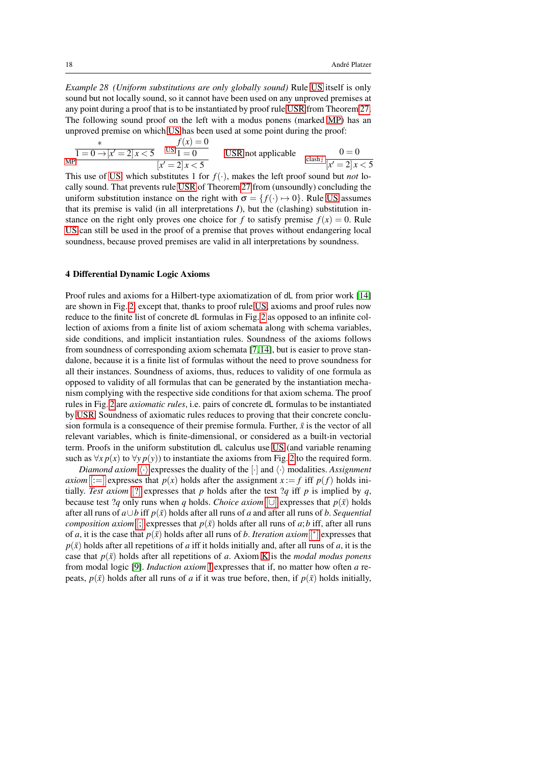*Example 28 (Uniform substitutions are only globally sound)* Rule [US](#page-12-3) itself is only sound but not locally sound, so it cannot have been used on any unproved premises at any point during a proof that is to be instantiated by proof rule [USR](#page-16-2) from Theorem [27.](#page-16-1) The following sound proof on the left with a modus ponens (marked [MP\)](#page-18-0) has an unproved premise on which [US](#page-12-3) has been used at some point during the proof:

$$
\frac{\ast}{1 = 0 \to [x' = 2]x < 5} \quad \frac{f(x) = 0}{1 = 0}
$$
\nUSR not applicable

\n
$$
\frac{0 = 0}{[x' = 2]x < 5}
$$

This use of [US,](#page-12-3) which substitutes 1 for  $f(\cdot)$ , makes the left proof sound but *not* locally sound. That prevents rule [USR](#page-16-2) of Theorem [27](#page-16-1) from (unsoundly) concluding the uniform substitution instance on the right with  $\sigma = \{f(\cdot) \mapsto 0\}$ . Rule [US](#page-12-3) assumes that its premise is valid (in all interpretations *I*), but the (clashing) substitution instance on the right only proves one choice for *f* to satisfy premise  $f(x) = 0$ . Rule [US](#page-12-3) can still be used in the proof of a premise that proves without endangering local soundness, because proved premises are valid in all interpretations by soundness.

## <span id="page-17-0"></span>4 Differential Dynamic Logic Axioms

Proof rules and axioms for a Hilbert-type axiomatization of dL from prior work [\[14\]](#page-44-1) are shown in Fig. [2,](#page-18-1) except that, thanks to proof rule [US,](#page-12-3) axioms and proof rules now reduce to the finite list of concrete dL formulas in Fig. [2](#page-18-1) as opposed to an infinite collection of axioms from a finite list of axiom schemata along with schema variables, side conditions, and implicit instantiation rules. Soundness of the axioms follows from soundness of corresponding axiom schemata [\[7,](#page-44-15) [14\]](#page-44-1), but is easier to prove standalone, because it is a finite list of formulas without the need to prove soundness for all their instances. Soundness of axioms, thus, reduces to validity of one formula as opposed to validity of all formulas that can be generated by the instantiation mechanism complying with the respective side conditions for that axiom schema. The proof rules in Fig. [2](#page-18-1) are *axiomatic rules*, i.e. pairs of concrete dL formulas to be instantiated by [USR.](#page-16-2) Soundness of axiomatic rules reduces to proving that their concrete conclusion formula is a consequence of their premise formula. Further,  $\bar{x}$  is the vector of all relevant variables, which is finite-dimensional, or considered as a built-in vectorial term. Proofs in the uniform substitution dL calculus use [US](#page-12-3) (and variable renaming such as  $\forall x p(x)$  to  $\forall y p(y)$  to instantiate the axioms from Fig. [2](#page-18-1) to the required form.

*Diamond axiom*  $\langle \cdot \rangle$  expresses the duality of the  $[\cdot]$  and  $\langle \cdot \rangle$  modalities. *Assignment axiom* [:[=\]](#page-18-3) expresses that  $p(x)$  holds after the assignment  $x := f$  iff  $p(f)$  holds initially. *Test axiom* [[?](#page-18-4)] expresses that *p* holds after the test ?*q* iff *p* is implied by *q*, because test ?*q* only runs when *q* holds. *Choice axiom* [[∪](#page-18-5)] expresses that  $p(\bar{x})$  holds after all runs of  $a \cup b$  iff  $p(\bar{x})$  holds after all runs of a and after all runs of b. *Sequential composition axiom* [[;](#page-18-6)] expresses that  $p(\bar{x})$  holds after all runs of *a*; *b* iff, after all runs of *a*, it is the case that  $p(\bar{x})$  holds after all runs of *b*. *Iteration axiom* [\[](#page-18-7)\*] expresses that  $p(\bar{x})$  holds after all repetitions of *a* iff it holds initially and, after all runs of *a*, it is the case that  $p(\bar{x})$  holds after all repetitions of *a*. Axiom [K](#page-18-8) is the *modal modus ponens* from modal logic [\[9\]](#page-44-16). *Induction axiom* [I](#page-18-9) expresses that if, no matter how often *a* repeats,  $p(\bar{x})$  holds after all runs of *a* if it was true before, then, if  $p(\bar{x})$  holds initially,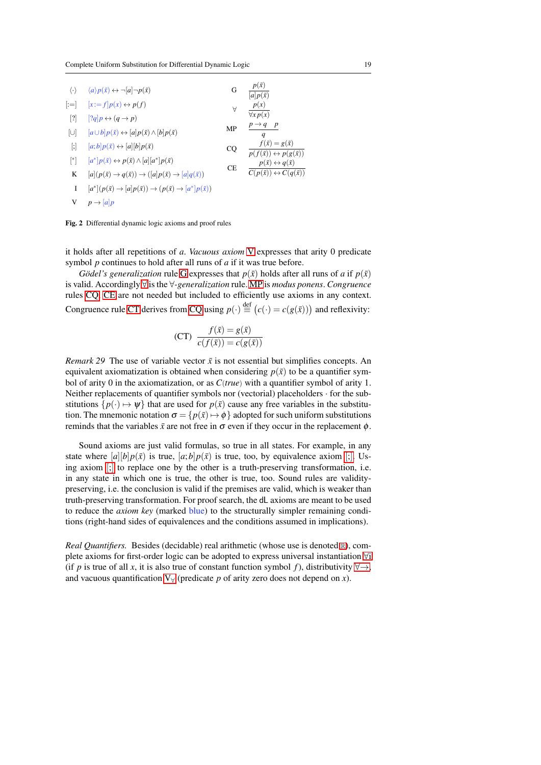<span id="page-18-12"></span><span id="page-18-11"></span><span id="page-18-6"></span><span id="page-18-5"></span><span id="page-18-4"></span><span id="page-18-3"></span><span id="page-18-2"></span><span id="page-18-0"></span>

| $\langle \cdot \rangle$                                                                                                                                                                                                                                                                                                                                                                                                                                                                                                                                                          | $\langle a \rangle p(\bar{x}) \leftrightarrow \neg[a] \neg p(\bar{x})$                             | G         | $p(\bar{x})$<br>$\overline{[a]p(\bar{x})}$                               |
|----------------------------------------------------------------------------------------------------------------------------------------------------------------------------------------------------------------------------------------------------------------------------------------------------------------------------------------------------------------------------------------------------------------------------------------------------------------------------------------------------------------------------------------------------------------------------------|----------------------------------------------------------------------------------------------------|-----------|--------------------------------------------------------------------------|
| $\left  \cdot \right $                                                                                                                                                                                                                                                                                                                                                                                                                                                                                                                                                           | $[x:=f]p(x) \leftrightarrow p(f)$                                                                  | $\forall$ | p(x)                                                                     |
| $[?]$                                                                                                                                                                                                                                                                                                                                                                                                                                                                                                                                                                            | $[?q]p \leftrightarrow (q \rightarrow p)$                                                          |           | $\forall x p(x)$                                                         |
| $\lbrack\cup\rbrack$                                                                                                                                                                                                                                                                                                                                                                                                                                                                                                                                                             | $[a \cup b]p(\bar{x}) \leftrightarrow [a]p(\bar{x}) \wedge [b]p(\bar{x})$                          | MP        | $p \rightarrow q$ p<br>q                                                 |
| $[;] % \begin{center} % \includegraphics[width=\linewidth]{imagesSupplemental_3.png} % \end{center} % \caption { % \textit{DefNet} of \textit{DefNet} and \textit{DefNet} of \textit{DefNet} and \textit{DefNet} of \textit{DefNet} and \textit{DefNet} of \textit{DefNet} and \textit{DefNet} of \textit{DefNet} and \textit{DefNet} of \textit{DefNet} and \textit{DefNet} of \textit{DefNet} and \textit{DefNet} of \textit{DefNet} and \textit{DefNet} of \textit{DefNet} and \textit{DefNet} of \textit{DefNet} and \textit{DefNet} of \textit{DefNet} and \textit{DefNet}$ | $ a;b p(\bar{x}) \leftrightarrow a   b p(\bar{x})$                                                 | CQ        | $f(\bar{x})=g(\bar{x})$<br>$p(f(\bar{x})) \leftrightarrow p(g(\bar{x}))$ |
| [*]                                                                                                                                                                                                                                                                                                                                                                                                                                                                                                                                                                              | $[a^*] p(\bar{x}) \leftrightarrow p(\bar{x}) \wedge [a][a^*] p(\bar{x})$                           | CE        | $p(\bar{x}) \leftrightarrow q(\bar{x})$                                  |
| K                                                                                                                                                                                                                                                                                                                                                                                                                                                                                                                                                                                | $[a](p(\bar{x}) \rightarrow q(\bar{x})) \rightarrow ( [a]p(\bar{x}) \rightarrow [a]q(\bar{x}))$    |           | $C(p(\bar{x})) \leftrightarrow C(q(\bar{x}))$                            |
| T                                                                                                                                                                                                                                                                                                                                                                                                                                                                                                                                                                                | $[a^*](p(\bar{x}) \rightarrow [a]p(\bar{x})) \rightarrow (p(\bar{x}) \rightarrow [a^*]p(\bar{x}))$ |           |                                                                          |
| V                                                                                                                                                                                                                                                                                                                                                                                                                                                                                                                                                                                | $p \rightarrow  a p$                                                                               |           |                                                                          |

<span id="page-18-13"></span><span id="page-18-10"></span><span id="page-18-9"></span><span id="page-18-8"></span><span id="page-18-7"></span><span id="page-18-1"></span>Fig. 2 Differential dynamic logic axioms and proof rules

it holds after all repetitions of *a*. *Vacuous axiom* [V](#page-18-10) expresses that arity 0 predicate symbol *p* continues to hold after all runs of *a* if it was true before.

*Gödel's generalization* rule [G](#page-18-11) expresses that  $p(\bar{x})$  holds after all runs of *a* if  $p(\bar{x})$ is valid. Accordingly [∀](#page-18-12) is the ∀*-generalization* rule. [MP](#page-18-0) is *modus ponens*. *Congruence* rules [CQ,](#page-18-13) [CE](#page-18-14) are not needed but included to efficiently use axioms in any context. Congruence rule [CT](#page-18-15) derives from [CQ](#page-18-13) using  $p(\cdot) \stackrel{\text{def}}{=} (c(\cdot) = c(g(\bar{x})))$  and reflexivity:

<span id="page-18-15"></span><span id="page-18-14"></span>
$$
(CT) \frac{f(\bar{x}) = g(\bar{x})}{c(f(\bar{x})) = c(g(\bar{x}))}
$$

*Remark 29* The use of variable vector  $\bar{x}$  is not essential but simplifies concepts. An equivalent axiomatization is obtained when considering  $p(\bar{x})$  to be a quantifier symbol of arity 0 in the axiomatization, or as *C*(*true*) with a quantifier symbol of arity 1. Neither replacements of quantifier symbols nor (vectorial) placeholders · for the substitutions  $\{p(\cdot) \mapsto \psi\}$  that are used for  $p(\bar{x})$  cause any free variables in the substitution. The mnemonic notation  $\sigma = \{p(\bar{x}) \mapsto \phi\}$  adopted for such uniform substitutions reminds that the variables  $\bar{x}$  are not free in  $\sigma$  even if they occur in the replacement  $\phi$ .

Sound axioms are just valid formulas, so true in all states. For example, in any state where  $[a][b]p(\bar{x})$  is true,  $[a;b]p(\bar{x})$  $[a;b]p(\bar{x})$  $[a;b]p(\bar{x})$  is true, too, by equivalence axiom [;]. Using axiom [[;](#page-18-6)] to replace one by the other is a truth-preserving transformation, i.e. in any state in which one is true, the other is true, too. Sound rules are validitypreserving, i.e. the conclusion is valid if the premises are valid, which is weaker than truth-preserving transformation. For proof search, the dL axioms are meant to be used to reduce the *axiom key* (marked blue) to the structurally simpler remaining conditions (right-hand sides of equivalences and the conditions assumed in implications).

*[R](#page-2-1)eal Quantifiers.* Besides (decidable) real arithmetic (whose use is denoted R), complete axioms for first-order logic can be adopted to express universal instantiation [∀](#page-19-0)i (if *p* is true of all *x*, it is also true of constant function symbol *f*), distributivity  $\forall \rightarrow$ , and vacuous quantification  $V_y$  (predicate p of arity zero does not depend on x).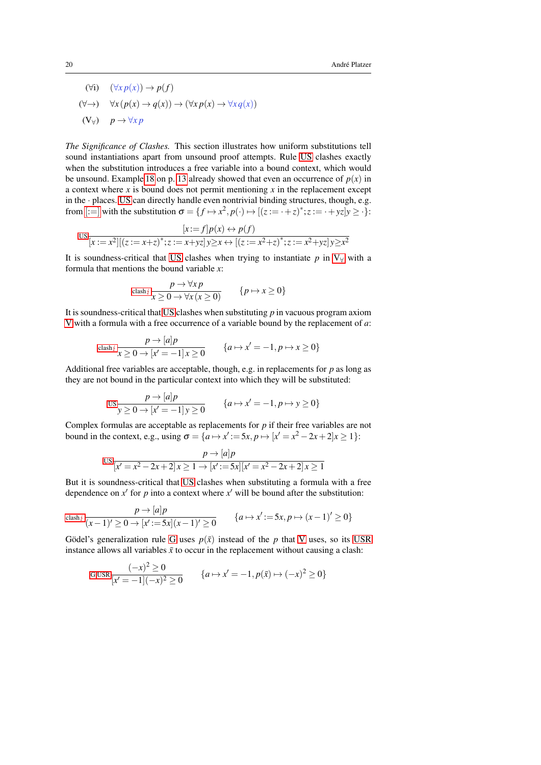<span id="page-19-1"></span><span id="page-19-0"></span>(∀i)  $(∀x p(x)) → p(f)$ (∀→) ∀*x* (*p*(*x*) → *q*(*x*)) → (∀*x p*(*x*) → ∀*x q*(*x*))  $(V_{\forall})$  *p*  $\rightarrow \forall x p$ 

<span id="page-19-2"></span>*The Significance of Clashes.* This section illustrates how uniform substitutions tell sound instantiations apart from unsound proof attempts. Rule [US](#page-12-3) clashes exactly when the substitution introduces a free variable into a bound context, which would be unsound. Example [18](#page-12-4) on p. [13](#page-12-4) already showed that even an occurrence of  $p(x)$  in a context where *x* is bound does not permit mentioning *x* in the replacement except in the · places. [US](#page-12-3) can directly handle even nontrivial binding structures, though, e.g. from  $[:=]$  $[:=]$  with the substitution  $\sigma = \{f \mapsto x^2, p(\cdot) \mapsto [(z := \cdot + z)^*; z := \cdot + yz]y \ge \cdot\}$ :

$$
\text{US}_{x} = \frac{[x := f]p(x) \leftrightarrow p(f)}{[x := x^2][(z := x + z)^*; z := x + yz]y \ge x \leftrightarrow [(z := x^2 + z)^*; z := x^2 + yz]y \ge x^2}
$$

It is soundness-critical that [US](#page-12-3) clashes when trying to instantiate  $p$  in  $V_\forall$  with a formula that mentions the bound variable *x*:

$$
\text{clash}_{\mathcal{I}} \frac{p \to \forall x \, p}{x \geq 0 \to \forall x \, (x \geq 0)} \qquad \{p \mapsto x \geq 0\}
$$

It is soundness-critical that [US](#page-12-3) clashes when substituting *p* in vacuous program axiom [V](#page-18-10) with a formula with a free occurrence of a variable bound by the replacement of *a*:

$$
\text{clash}_{\mathcal{I}} \frac{p \to [a]p}{x \ge 0 \to [x' = -1]x \ge 0} \qquad \{a \mapsto x' = -1, p \mapsto x \ge 0\}
$$

Additional free variables are acceptable, though, e.g. in replacements for *p* as long as they are not bound in the particular context into which they will be substituted:

$$
\text{us } \frac{p \to [a]p}{y \ge 0 \to [x' = -1]y \ge 0} \qquad \{a \to x' = -1, p \to y \ge 0\}
$$

Complex formulas are acceptable as replacements for *p* if their free variables are not bound in the context, e.g., using  $\sigma = \{a \mapsto x' := 5x, p \mapsto [x' = x^2 - 2x + 2]x \ge 1\}$ :

$$
\text{US}_{x} \frac{p \to [a]p}{[x'-x^2-2x+2]x \ge 1 \to [x':=5x][x'=x^2-2x+2]x \ge 1}
$$

But it is soundness-critical that [US](#page-12-3) clashes when substituting a formula with a free dependence on  $x'$  for  $p$  into a context where  $x'$  will be bound after the substitution:

$$
\cosh^2\frac{p \to [a]p}{(x-1)'\geq 0 \to [x':=5x](x-1)'\geq 0} \qquad \{a \mapsto x':=5x, p \mapsto (x-1)'\geq 0\}
$$

Gödel's generalization rule [G](#page-18-11) uses  $p(\bar{x})$  instead of the p that [V](#page-18-10) uses, so its [USR](#page-16-2) instance allows all variables  $\bar{x}$  to occur in the replacement without causing a clash:

$$
G, \text{USR} \frac{(-x)^2 \ge 0}{[x' = -1](-x)^2 \ge 0} \qquad \{a \mapsto x' = -1, p(\bar{x}) \mapsto (-x)^2 \ge 0\}
$$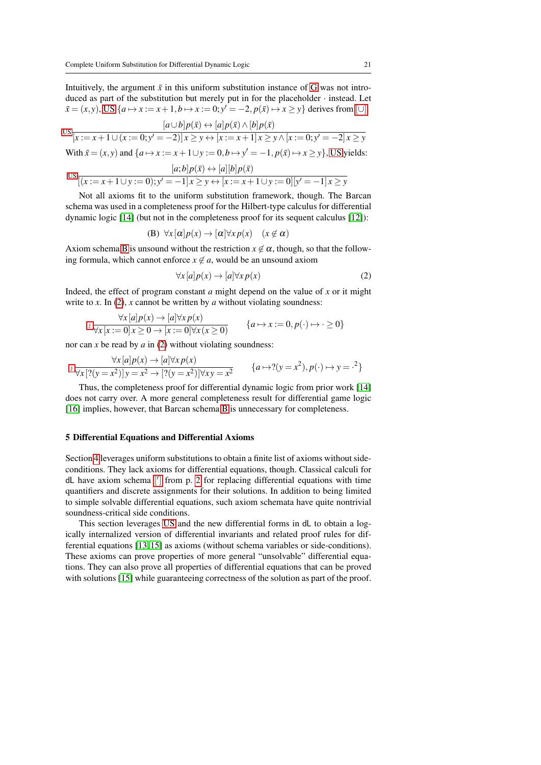Intuitively, the argument  $\bar{x}$  in this uniform substitution instance of [G](#page-18-11) was not introduced as part of the substitution but merely put in for the placeholder · instead. Let *x* = (*x*, *y*), [US](#page-12-3) {*a*  $\mapsto$  *x* := *x* + 1, *b*  $\mapsto$  *x* := 0; *y*<sup> $′$ </sup> = −2, *p*(*x*̄)  $\mapsto$  *x* ≥ *y*} derives from [[∪](#page-18-5)]:

$$
us \frac{[a \cup b]p(\bar{x}) \leftrightarrow [a]p(\bar{x}) \land [b]p(\bar{x})}{[x := x + 1 \cup (x := 0; y' = -2)]x \ge y \leftrightarrow [x := x + 1]x \ge y \land [x := 0; y' = -2]x \ge y}
$$
  
With  $\bar{x} = (x, y)$  and  $\{a \mapsto x := x + 1 \cup y := 0, b \mapsto y' = -1, p(\bar{x}) \mapsto x \ge y\}$ , US yields:

$$
\log \frac{[a;b]p(\bar{x}) \leftrightarrow [a][b]p(\bar{x})}{[(x:=x+1\cup y:=0);y'=-1]x \geq y \leftrightarrow [x:=x+1\cup y:=0][y'=-1]x \geq y}
$$

Not all axioms fit to the uniform substitution framework, though. The Barcan schema was used in a completeness proof for the Hilbert-type calculus for differential dynamic logic [\[14\]](#page-44-1) (but not in the completeness proof for its sequent calculus [\[12\]](#page-44-0)):

<span id="page-20-1"></span>
$$
(B) \ \forall x [\alpha] p(x) \rightarrow [\alpha] \forall x p(x) \quad (x \notin \alpha)
$$

Axiom schema [B](#page-20-1) is unsound without the restriction  $x \notin \alpha$ , though, so that the following formula, which cannot enforce  $x \notin a$ , would be an unsound axiom

<span id="page-20-2"></span>
$$
\forall x [a] p(x) \rightarrow [a] \forall x p(x)
$$
 (2)

Indeed, the effect of program constant  $a$  might depend on the value of  $x$  or it might write to *x*. In [\(2\)](#page-20-2), *x* cannot be written by *a* without violating soundness:

$$
\forall x \left[ a \middle| p(x) \rightarrow \left[ a \middle| \forall x \, p(x) \right] \right. \\ \left. \forall x \left[ x := 0 \right] x \ge 0 \rightarrow \left[ x := 0 \right] \forall x \left( x \ge 0 \right) \right. \\ \left. \{ a \mapsto x := 0, p(\cdot) \mapsto \cdot \ge 0 \} \right.
$$

nor can *x* be read by *a* in [\(2\)](#page-20-2) without violating soundness:

$$
\frac{\forall x \left[a\right] p(x) \rightarrow \left[a\right] \forall x \, p(x)}{\forall x \left[\left(2(y=x^2)\right] y = x^2 \rightarrow \left[\left(2(y=x^2)\right] \forall x \, y = x^2\right]} \qquad \{a \mapsto 2(y=x^2), p(\cdot) \mapsto y = x^2\}
$$

Thus, the completeness proof for differential dynamic logic from prior work [\[14\]](#page-44-1) does not carry over. A more general completeness result for differential game logic [\[16\]](#page-44-4) implies, however, that Barcan schema [B](#page-20-1) is unnecessary for completeness.

#### <span id="page-20-0"></span>5 Differential Equations and Differential Axioms

Section [4](#page-17-0) leverages uniform substitutions to obtain a finite list of axioms without sideconditions. They lack axioms for differential equations, though. Classical calculi for dL have axiom schema [\[](#page-1-0) 0 ] from p. [2](#page-1-0) for replacing differential equations with time quantifiers and discrete assignments for their solutions. In addition to being limited to simple solvable differential equations, such axiom schemata have quite nontrivial soundness-critical side conditions.

This section leverages [US](#page-12-3) and the new differential forms in dL to obtain a logically internalized version of differential invariants and related proof rules for differential equations [\[13,](#page-44-9) [15\]](#page-44-10) as axioms (without schema variables or side-conditions). These axioms can prove properties of more general "unsolvable" differential equations. They can also prove all properties of differential equations that can be proved with solutions [\[15\]](#page-44-10) while guaranteeing correctness of the solution as part of the proof.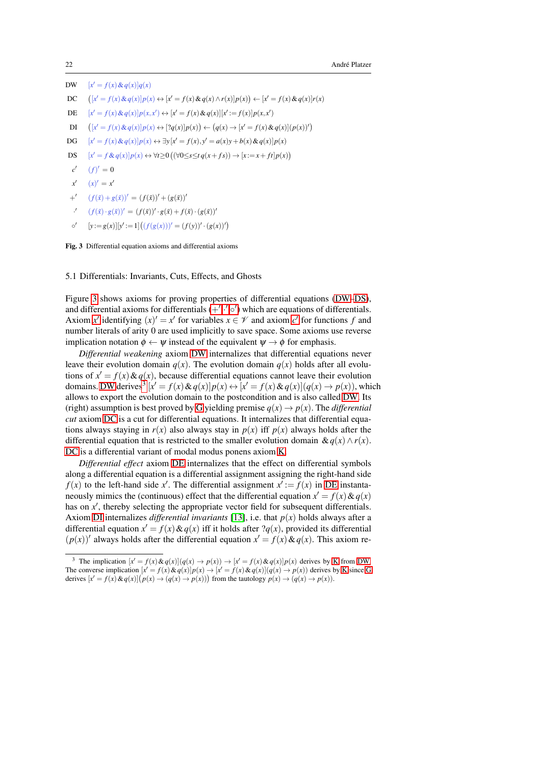<span id="page-21-13"></span><span id="page-21-12"></span><span id="page-21-11"></span><span id="page-21-10"></span><span id="page-21-2"></span><span id="page-21-1"></span>DW [*x*  $[x' = f(x) \& q(x)]q(x)$ DC  $[x' = f(x) \& q(x)]p(x) \leftrightarrow [x' = f(x) \& q(x) \land r(x)]p(x) \leftrightarrow [x' = f(x) \& q(x)]r(x)$ DE [*x*  $Q' = f(x) \& q(x) \, p(x, x') \leftrightarrow [x' = f(x) \& q(x)] [x' := f(x)] p(x, x')$ DI  $[x' = f(x) \& q(x)]p(x) \leftrightarrow [?q(x)]p(x) \rightarrow (q(x) \rightarrow [x' = f(x) \& q(x)](p(x))')$  $DG$  $0' = f(x) \& q(x) \, | p(x) \leftrightarrow \exists y \, [x' = f(x), y' = a(x)y + b(x) \& q(x) \, | p(x)$ DS [*x*  $\mathcal{O}' = f \& q(x) \, | p(x) \leftrightarrow \forall t \ge 0 \, ((\forall 0 \le s \le t \, q(x + fs)) \rightarrow [x := x + ft] p(x))$ *c* 0  $(f)' = 0$  $x'$  $(x)' = x'$  $^{\perp'}$  $(f(\bar{x}) + g(\bar{x}))' = (f(\bar{x}))' + (g(\bar{x}))'$  $\cdot$ <sup> $\prime$ </sup>  $(f(\bar{x}) \cdot g(\bar{x}))' = (f(\bar{x}))' \cdot g(\bar{x}) + f(\bar{x}) \cdot (g(\bar{x}))'$  $\circ'$  $[y := g(x)][y' := 1] ((f(g(x)))' = (f(y))' \cdot (g(x))')$ 

<span id="page-21-7"></span><span id="page-21-6"></span><span id="page-21-5"></span><span id="page-21-4"></span><span id="page-21-3"></span><span id="page-21-0"></span>Fig. 3 Differential equation axioms and differential axioms

5.1 Differentials: Invariants, Cuts, Effects, and Ghosts

Figure [3](#page-21-0) shows axioms for proving properties of differential equations [\(DW](#page-21-1)[–DS\)](#page-21-2), and differential axioms for differentials  $(+', ', \circ')$  $(+', ', \circ')$  $(+', ', \circ')$  which are equations of differentials. A[x](#page-21-6)iom *x*<sup> $\prime$ </sup> identifying  $(x)' = x'$  for variables  $x \in \mathcal{V}$  $x \in \mathcal{V}$  $x \in \mathcal{V}$  and axiom *c*<sup> $\prime$ </sup> for functions *f* and number literals of arity 0 are used implicitly to save space. Some axioms use reverse implication notation  $\phi \leftarrow \psi$  instead of the equivalent  $\psi \rightarrow \phi$  for emphasis.

<span id="page-21-9"></span>*Differential weakening* axiom [DW](#page-21-1) internalizes that differential equations never leave their evolution domain  $q(x)$ . The evolution domain  $q(x)$  holds after all evolutions of  $x' = f(x) \& q(x)$ , because differential equations cannot leave their evolution domains. [DW](#page-21-1) derives<sup>[3](#page-21-8)</sup> [ $x' = f(x) \& q(x)$ ] $p(x) \leftrightarrow [x' = f(x) \& q(x)] (q(x) \rightarrow p(x))$ , which allows to export the evolution domain to the postcondition and is also called [DW.](#page-21-9) Its (right) assumption is best proved by [G](#page-18-11) yielding premise  $q(x) \rightarrow p(x)$ . The *differential cut* axiom [DC](#page-21-10) is a cut for differential equations. It internalizes that differential equations always staying in  $r(x)$  also always stay in  $p(x)$  iff  $p(x)$  always holds after the differential equation that is restricted to the smaller evolution domain  $\& q(x) \wedge r(x)$ . [DC](#page-21-10) is a differential variant of modal modus ponens axiom [K.](#page-18-8)

*Differential effect* axiom [DE](#page-21-11) internalizes that the effect on differential symbols along a differential equation is a differential assignment assigning the right-hand side  $f(x)$  to the left-hand side x'. The differential assignment  $x' := f(x)$  in [DE](#page-21-11) instantaneously mimics the (continuous) effect that the differential equation  $x' = f(x) \& q(x)$ has on  $x'$ , thereby selecting the appropriate vector field for subsequent differentials. Axiom [DI](#page-21-12) internalizes *differential invariants* [\[13\]](#page-44-9), i.e. that  $p(x)$  holds always after a differential equation  $x' = f(x) \& q(x)$  iff it holds after  $?q(x)$ , provided its differential  $(p(x))'$  always holds after the differential equation  $x' = f(x) \& q(x)$ . This axiom re-

<span id="page-21-8"></span><sup>&</sup>lt;sup>3</sup> The implication  $[x' = f(x) \& q(x)](q(x) \rightarrow p(x)) \rightarrow [x' = f(x) \& q(x)]p(x)$  derives by [K](#page-18-8) from [DW.](#page-21-1) The converse implication  $[x' = f(x) \& q(x)]p(x) \rightarrow [x' = f(x) \& q(x)](q(x) \rightarrow p(x))$  derives by [K](#page-18-8) since [G](#page-18-11) derives  $[x' = f(x) \& q(x)] (p(x) \rightarrow (q(x) \rightarrow p(x)))$  from the tautology  $p(x) \rightarrow (q(x) \rightarrow p(x))$ .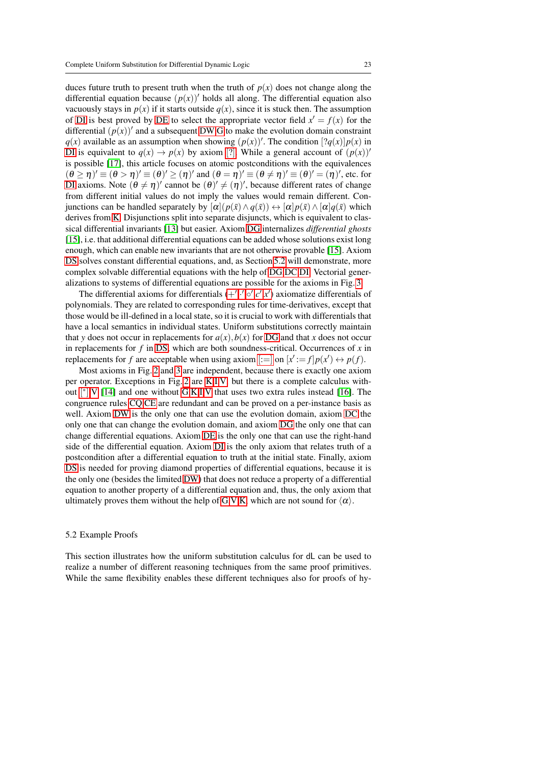duces future truth to present truth when the truth of  $p(x)$  does not change along the differential equation because  $(p(x))'$  holds all along. The differential equation also vacuously stays in  $p(x)$  if it starts outside  $q(x)$ , since it is stuck then. The assumption of [DI](#page-21-12) is best proved by [DE](#page-21-11) to select the appropriate vector field  $x' = f(x)$  for the differential  $(p(x))'$  and a subsequent [DW,](#page-21-9)[G](#page-18-11) to make the evolution domain constraint  $q(x)$  available as an assumption when showing  $(p(x))'$ . The condition  $[?q(x)]p(x)$  in [DI](#page-21-12) is equivalent to  $q(x) \rightarrow p(x)$  by axiom [[?](#page-18-4)]. While a general account of  $(p(x))'$ is possible [\[17\]](#page-44-17), this article focuses on atomic postconditions with the equivalences  $(\theta \ge \eta)' \equiv (\theta > \eta)' \equiv (\theta)' \ge (\eta)'$  and  $(\theta = \eta)' \equiv (\theta \ne \eta)' \equiv (\theta)' = (\eta)'$ , etc. for [DI](#page-21-12) axioms. Note  $(\theta \neq \eta)'$  cannot be  $(\theta)' \neq (\eta)'$ , because different rates of change from different initial values do not imply the values would remain different. Conjunctions can be handled separately by  $[\alpha](p(\bar{x}) \wedge q(\bar{x})) \leftrightarrow [\alpha]p(\bar{x}) \wedge [\alpha]q(\bar{x})$  which derives from [K.](#page-18-8) Disjunctions split into separate disjuncts, which is equivalent to classical differential invariants [\[13\]](#page-44-9) but easier. Axiom [DG](#page-21-13) internalizes *differential ghosts* [\[15\]](#page-44-10), i.e. that additional differential equations can be added whose solutions exist long enough, which can enable new invariants that are not otherwise provable [\[15\]](#page-44-10). Axiom [DS](#page-21-2) solves constant differential equations, and, as Section [5.2](#page-22-0) will demonstrate, more complex solvable differential equations with the help of [DG](#page-21-13)[,DC,](#page-21-10)[DI.](#page-21-12) Vectorial generalizations to systems of differential equations are possible for the axioms in Fig. [3.](#page-21-0)

The differential a[x](#page-21-6)ioms for differentials  $(+, \cdot, \circ', c', x')$  $(+, \cdot, \circ', c', x')$  $(+, \cdot, \circ', c', x')$  $(+, \cdot, \circ', c', x')$  $(+, \cdot, \circ', c', x')$  axiomatize differentials of polynomials. They are related to corresponding rules for time-derivatives, except that those would be ill-defined in a local state, so it is crucial to work with differentials that have a local semantics in individual states. Uniform substitutions correctly maintain that *y* does not occur in replacements for  $a(x)$ ,  $b(x)$  for [DG](#page-21-13) and that *x* does not occur in replacements for *f* in [DS,](#page-21-2) which are both soundness-critical. Occurrences of *x* in replacements for *f* are acceptable when using axiom  $[:=]$  $[:=]$  on  $[x':=f]p(x') \leftrightarrow p(f)$ .

Most axioms in Fig. [2](#page-18-1) and [3](#page-21-0) are independent, because there is exactly one axiom per operator. Exceptions in Fig. [2](#page-18-1) are [K,](#page-18-8)[I](#page-18-9)[,V,](#page-18-10) but there is a complete calculus without [\[](#page-18-7) ∗ ][,V](#page-18-10) [\[14\]](#page-44-1) and one without [G,](#page-18-11)[K,](#page-18-8)[I](#page-18-9)[,V](#page-18-10) that uses two extra rules instead [\[16\]](#page-44-4). The congruence rules [CQ](#page-18-13)[,CE](#page-18-14) are redundant and can be proved on a per-instance basis as well. Axiom [DW](#page-21-1) is the only one that can use the evolution domain, axiom [DC](#page-21-10) the only one that can change the evolution domain, and axiom [DG](#page-21-13) the only one that can change differential equations. Axiom [DE](#page-21-11) is the only one that can use the right-hand side of the differential equation. Axiom [DI](#page-21-12) is the only axiom that relates truth of a postcondition after a differential equation to truth at the initial state. Finally, axiom [DS](#page-21-2) is needed for proving diamond properties of differential equations, because it is the only one (besides the limited [DW\)](#page-21-1) that does not reduce a property of a differential equation to another property of a differential equation and, thus, the only axiom that ultimately proves them without the help of [G](#page-18-11)[,V](#page-18-10)[,K,](#page-18-8) which are not sound for  $\langle \alpha \rangle$ .

## <span id="page-22-0"></span>5.2 Example Proofs

This section illustrates how the uniform substitution calculus for dL can be used to realize a number of different reasoning techniques from the same proof primitives. While the same flexibility enables these different techniques also for proofs of hy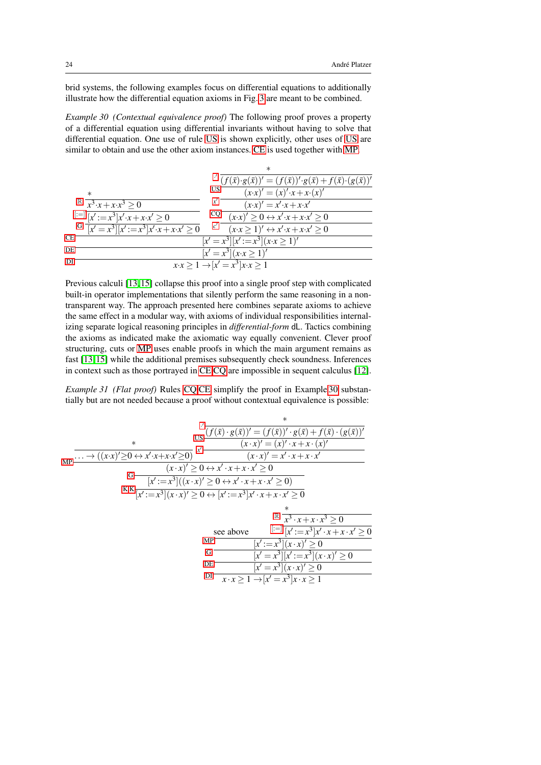brid systems, the following examples focus on differential equations to additionally illustrate how the differential equation axioms in Fig. [3](#page-21-0) are meant to be combined.

<span id="page-23-0"></span>*Example 30 (Contextual equivalence proof)* The following proof proves a property of a differential equation using differential invariants without having to solve that differential equation. One use of rule [US](#page-12-3) is shown explicitly, other uses of [US](#page-12-3) are similar to obtain and use the other axiom instances. [CE](#page-18-14) is used together with [MP.](#page-18-0)

|                                                                        | $f'(f(\bar{x}) \cdot g(\bar{x}))' = (f(\bar{x}))' \cdot g(\bar{x}) + f(\bar{x}) \cdot (g(\bar{x}))'$ |
|------------------------------------------------------------------------|------------------------------------------------------------------------------------------------------|
| $\ast$                                                                 | US<br>$(x \cdot x)' = (x)' \cdot x + x \cdot (x)'$                                                   |
| $\mathbb{R} \quad x^3 \cdot x + x \cdot x^3 > 0$                       | $(x \cdot x)' = x' \cdot x + x \cdot x'$                                                             |
| $[:=]\sqrt{x^{\prime}:=x^3]}x^{\prime}\cdot x+x\cdot x^{\prime}\geq 0$ | $CQ$ $(x \cdot x)' \ge 0 \leftrightarrow x' \cdot x + x \cdot x' \ge 0$                              |
| G $\sqrt{x^2 + x^3}$ $x^2 = x^3$ $x^2$ $\cdot x + x \cdot x^2 \ge 0$   | c'<br>$(x \cdot x \geq 1)' \leftrightarrow x' \cdot x + x \cdot x' \geq 0$                           |
| СE                                                                     | $[x' = x^3][x':=x^3](x \cdot x \ge 1)'$                                                              |
| DE                                                                     | $[x' = x^3](x \cdot x \ge 1)'$                                                                       |
| DІ                                                                     | $x \cdot x \geq 1 \rightarrow  x'  = \sqrt{x^3  x \cdot x} \geq 1$                                   |
|                                                                        |                                                                                                      |

Previous calculi [\[13,](#page-44-9) [15\]](#page-44-10) collapse this proof into a single proof step with complicated built-in operator implementations that silently perform the same reasoning in a nontransparent way. The approach presented here combines separate axioms to achieve the same effect in a modular way, with axioms of individual responsibilities internalizing separate logical reasoning principles in *differential-form* dL. Tactics combining the axioms as indicated make the axiomatic way equally convenient. Clever proof structuring, cuts or [MP](#page-18-0) uses enable proofs in which the main argument remains as fast [\[13,](#page-44-9) [15\]](#page-44-10) while the additional premises subsequently check soundness. Inferences in context such as those portrayed in [CE](#page-18-14)[,CQ](#page-18-13) are impossible in sequent calculus [\[12\]](#page-44-0).

<span id="page-23-1"></span>*Example 31 (Flat proof)* Rules [CQ](#page-18-13)[,CE](#page-18-14) simplify the proof in Example [30](#page-23-0) substantially but are not needed because a proof without contextual equivalence is possible:

<span id="page-23-2"></span>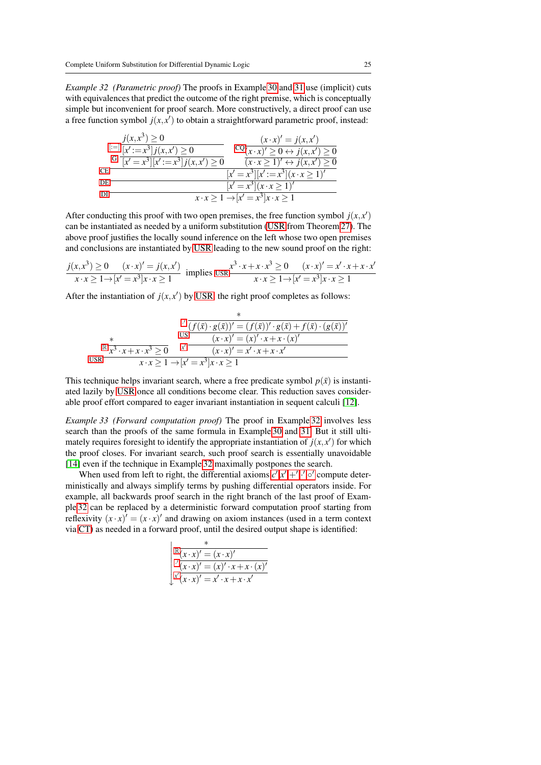*Example 32 (Parametric proof)* The proofs in Example [30](#page-23-0) and [31](#page-23-1) use (implicit) cuts with equivalences that predict the outcome of the right premise, which is conceptually simple but inconvenient for proof search. More constructively, a direct proof can use a free function symbol  $j(x, x')$  to obtain a straightforward parametric proof, instead:

| $j(x, x^3) \ge 0$                                     | $(x \cdot x)' = j(x,x')$                                    |
|-------------------------------------------------------|-------------------------------------------------------------|
| $\left  \xi = \right   x' \xi = x^3   j(x, x') \ge 0$ | $\frac{CQ(x, x)}{D} \geq 0 \leftrightarrow j(x, x') \geq 0$ |
| G $\sqrt{x^2-x^3}\sqrt{x^2-x^3}j(x, x')\geq 0$        | $(x \cdot x \geq 1)' \leftrightarrow j(x, x') \geq 0$       |
| CE.                                                   | $[x' = x^3][x':=x^3](x \cdot x \ge 1)'$                     |
| DE.                                                   | $[x' = x^3](x \cdot x \ge 1)'$                              |
| DI                                                    | $x \cdot x \geq 1 \rightarrow  x'  = x^3  x \cdot x \geq 1$ |

After conducting this proof with two open premises, the free function symbol  $j(x, x')$ can be instantiated as needed by a uniform substitution [\(USR](#page-16-2) from Theorem [27\)](#page-16-1). The above proof justifies the locally sound inference on the left whose two open premises and conclusions are instantiated by [USR](#page-16-2) leading to the new sound proof on the right:

$$
\frac{j(x,x^3) \ge 0 \quad (x \cdot x)' = j(x,x') \text{ implies } \text{USR} \frac{x^3 \cdot x + x \cdot x^3 \ge 0 \quad (x \cdot x)' = x' \cdot x + x \cdot x'}{x \cdot x \ge 1 \to [x' = x^3]x \cdot x \ge 1}
$$

After the instantiation of  $j(x, x')$  by [USR,](#page-16-2) the right proof completes as follows:

$$
\frac{\sqrt{x}}{\sqrt{x^3} \cdot x + x \cdot x^3 \ge 0} \frac{\sqrt{x}}{x^3 \cdot x + x \cdot x^3 \ge 0} \frac{\sqrt{x}}{\sqrt{x^3} \cdot x + x \cdot x^3 \ge 0} \frac{\sqrt{x^3} \cdot (x - x)^2 = (x)^2 \cdot x + x \cdot (x)^2}{(x - x)^2 = x^2 \cdot x + x \cdot x^2}
$$
\n
$$
\frac{\sqrt{x^3} \cdot x + x \cdot x^3 \ge 0}{x \cdot x \ge 1 \to [x^2 = x^3]x \cdot x \ge 1}
$$

This technique helps invariant search, where a free predicate symbol  $p(\bar{x})$  is instantiated lazily by [USR](#page-16-2) once all conditions become clear. This reduction saves considerable proof effort compared to eager invariant instantiation in sequent calculi [\[12\]](#page-44-0).

<span id="page-24-0"></span>*Example 33 (Forward computation proof)* The proof in Example [32](#page-23-2) involves less search than the proofs of the same formula in Example [30](#page-23-0) and [31.](#page-23-1) But it still ultimately requires foresight to identify the appropriate instantiation of  $j(x, x')$  for which the proof closes. For invariant search, such proof search is essentially unavoidable [\[14\]](#page-44-1) even if the technique in Example [32](#page-23-2) maximally postpones the search.

When used from left to right, the differential a[x](#page-21-6)ioms  $c', x', +', '$  $c', x', +', '$  $c', x', +', '$  $c', x', +', '$ ,  $\circ'$  compute deterministically and always simplify terms by pushing differential operators inside. For example, all backwards proof search in the right branch of the last proof of Example [32](#page-23-2) can be replaced by a deterministic forward computation proof starting from reflexivity  $(x \cdot x)' = (x \cdot x)'$  and drawing on axiom instances (used in a term context via [CT\)](#page-18-15) as needed in a forward proof, until the desired output shape is identified:

| $\mathbb{R}[\mathbf{x}\cdot\mathbf{x})'=(\mathbf{x}\cdot\mathbf{x})'$ |
|-----------------------------------------------------------------------|
| $\int (x \cdot x)' = (x)' \cdot x + x \cdot (x)'$                     |
| $x'(x \cdot x)' = x' \cdot x + x \cdot x'$                            |

∗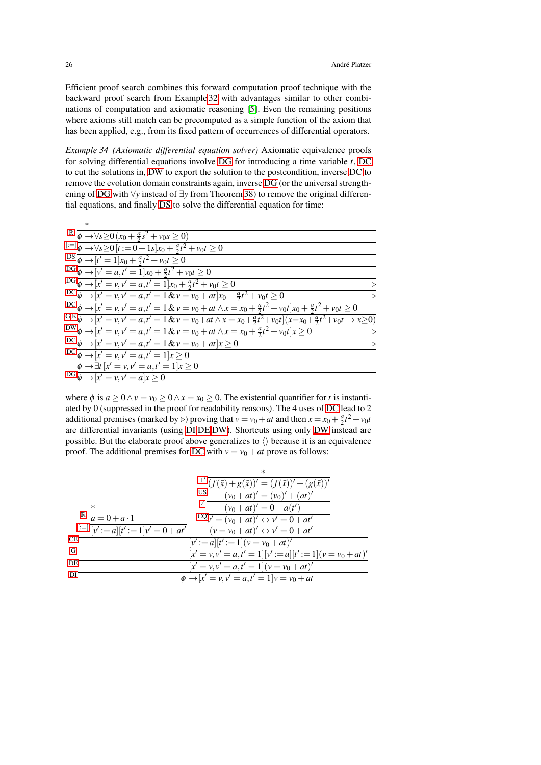Efficient proof search combines this forward computation proof technique with the backward proof search from Example [32](#page-23-2) with advantages similar to other combinations of computation and axiomatic reasoning [\[5\]](#page-44-18). Even the remaining positions where axioms still match can be precomputed as a simple function of the axiom that has been applied, e.g., from its fixed pattern of occurrences of differential operators.

*Example 34 (Axiomatic differential equation solver)* Axiomatic equivalence proofs for solving differential equations involve [DG](#page-21-13) for introducing a time variable *t*, [DC](#page-21-10) to cut the solutions in, [DW](#page-21-1) to export the solution to the postcondition, inverse [DC](#page-21-10) to remove the evolution domain constraints again, inverse [DG](#page-21-13) (or the universal strengthening of [DG](#page-21-13) with ∀*y* instead of ∃*y* from Theorem [38\)](#page-27-1) to remove the original differential equations, and finally [DS](#page-21-2) to solve the differential equation for time:

| $\mathbb{R} \overline{\phi \rightarrow \forall s \geq} 0 (x_0 + \frac{a}{2} s^2 + v_0 s \geq 0)$                                          |                  |
|-------------------------------------------------------------------------------------------------------------------------------------------|------------------|
| $\frac{ z = \overline{\phi} }{\phi}$ → $\forall s \ge 0$ $[t := 0 + 1s]x_0 + \frac{a}{2}t^2 + v_0t \ge 0$                                 |                  |
| DS $\phi \rightarrow [t' = 1]x_0 + \frac{a}{2}t^2 + v_0t \ge 0$                                                                           |                  |
| $DG\overline{\phi}\rightarrow[v'=a,t'=1]x_0+\frac{a}{2}t^2+v_0t\geq 0$                                                                    |                  |
| $DG\overline{\phi \rightarrow  x' = v, v' = a, t' = 1]}x_0 + \frac{a}{2}t^2 + v_0t \ge 0$                                                 | $\triangleright$ |
| $DC \overline{\phi} \rightarrow [x' = v, v' = a, t' = 1 & v = v_0 + at]x_0 + \frac{a}{2}t^2 + v_0t \ge 0$                                 | $\triangleright$ |
| DC $\phi \to [x' = v, v' = a, t' = 1 & v = v_0 + at \wedge x = x_0 + \frac{a}{2}t^2 + v_0t]x_0 + \frac{a}{2}t^2 + v_0t \ge 0$             |                  |
| ${}^{G,K}\phi \rightarrow [x'=v, v'=a, t'=1 \& v=v_0+at \wedge x=x_0+\frac{a}{2}t^2+v_0t](x=x_0+\frac{a}{2}t^2+v_0t \rightarrow x\geq 0)$ |                  |
| $DW \overline{\phi \rightarrow [x' = v, v' = a, t' = 1 \& v = v_0 + at \wedge x = x_0 + \frac{a}{2}t^2 + v_0t]x \ge 0$                    | $\triangleright$ |
| $DC \overline{\phi} \rightarrow [x' = v, v' = a, t' = 1 & v = v_0 + at]x \ge 0$                                                           | $\triangleright$ |
| $DC\overline{\phi} \rightarrow [x' = v, v' = a, t' = 1]x \ge 0$                                                                           |                  |
| $\overline{\phi} \rightarrow \exists t \ [x' = v, v' = a, t' = 1]x \geq 0$                                                                |                  |
| $DG\overline{\phi \rightarrow  x' } = v, v' = a x \ge 0$                                                                                  |                  |

where  $\phi$  is  $a \ge 0 \land v = v_0 \ge 0 \land x = x_0 \ge 0$ . The existential quantifier for *t* is instantiated by 0 (suppressed in the proof for readability reasons). The 4 uses of [DC](#page-21-10) lead to 2 additional premises (marked by  $\triangleright$ ) proving that  $v = v_0 + at$  and then  $x = x_0 + \frac{a}{2}t^2 + v_0t$ are differential invariants (using [DI,](#page-21-12)[DE,](#page-21-11)[DW\)](#page-21-9). Shortcuts using only [DW](#page-21-9) instead are possible. But the elaborate proof above generalizes to  $\langle \rangle$  because it is an equivalence proof. The additional premises for [DC](#page-21-10) with  $v = v_0 + at$  prove as follows:

|                                                                 | <sup>+'</sup> $(f(\bar{x}) + g(\bar{x}))' = (f(\bar{x}))' + (g(\bar{x}))'$ |
|-----------------------------------------------------------------|----------------------------------------------------------------------------|
|                                                                 | US <sup>-</sup><br>$(v_0 + at)' = (v_0)' + (at)'$                          |
| $\ast$                                                          | $(v_0 + at)' = 0 + a(t')$                                                  |
| $\mathbb{R} \quad \overline{a} = 0 + a \cdot 1$                 | $CQ_V' = (v_0 + at)' \leftrightarrow v' = 0 + at'$                         |
| $\left  \ddot{v} \right  =  v'  := a   [t'] = 1   v' = 0 + at'$ | $(v = v_0 + at)' \leftrightarrow v' = 0 + at'$                             |
| CE <sup>-</sup>                                                 | $[v':=a][t':=1](v=v_0+at)'$                                                |
| G                                                               | $[x' = v, v' = a, t' = 1][v' := a][t' := 1](v = v_0 + at)'$                |
| DE                                                              | $[x' = v, v' = a, t' = 1](v = v_0 + at)'$                                  |
| DІ                                                              | $\phi \rightarrow [x' = v, v' = a, t' = 1]v = v_0 + at$                    |
|                                                                 |                                                                            |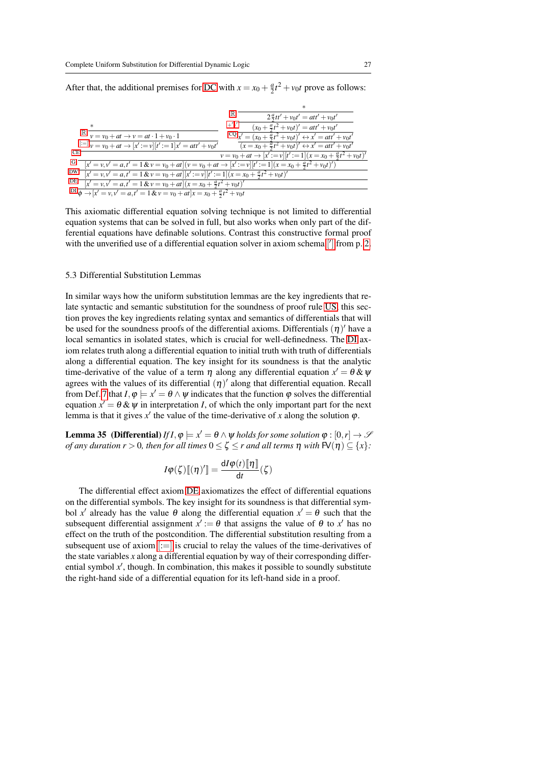After that, the additional premises for [DC](#page-21-10) with  $x = x_0 + \frac{a}{2}t^2 + v_0t$  prove as follows:

|                                                                                                                          | $2\frac{a}{2}tt' + v_0t' = att' + v_0t'$                                              |
|--------------------------------------------------------------------------------------------------------------------------|---------------------------------------------------------------------------------------|
|                                                                                                                          | $(x_0 + \frac{a}{2}t^2 + v_0t)' = att' + v_0t'$                                       |
| $\mathbb{R} \overline{v = v_0 + at} \rightarrow v = at \cdot 1 + v_0 \cdot 1$                                            | $CQ \overline{x'} = (x_0 + \frac{a}{2}t^2 + v_0t)' \leftrightarrow x' = att' + v_0t'$ |
| $x^{n+1}v = v_0 + at \rightarrow [x' := v][t' := 1]x' = att' + v_0t'$                                                    | $(x = x_0 + \frac{a}{2}t^2 + v_0t)' \leftrightarrow x' = att' + v_0t'$                |
| СE                                                                                                                       | $v = v_0 + at \rightarrow [x' := v][t' := 1](x = x_0 + \frac{a}{2}t^2 + v_0t)'$       |
| $[x' = v, v' = a, t' = 1 \& v = v_0 + at](v = v_0 + at \rightarrow [x' := v][t' := 1](x = x_0 + \frac{a}{2}t^2 + v_0t')$ |                                                                                       |
| DW.<br>$x' = v, v' = a, t' = 1 & v = v_0 + at \frac{1}{x'} := v \frac{1}{t'} := 1(x = x_0 + \frac{a}{2}t^2 + v_0t)'$     |                                                                                       |
| DE.<br>$[x' = v, v' = a, t' = 1 & v = v_0 + at](x = x_0 + \frac{a}{2}t^2 + v_0t)'$                                       |                                                                                       |
| $D\bar{D}$ $\phi \rightarrow [x' = v, v' = a, t' = 1 & v = v_0 + at]$ $x = x_0 + \frac{a}{2}t^2 + v_0t$                  |                                                                                       |

This axiomatic differential equation solving technique is not limited to differential equation systems that can be solved in full, but also works when only part of the differential equations have definable solutions. Contrast this constructive formal proof with the unverified use of a differential equation solver in axiom schema  $\left[ \right]$  $\left[ \right]$  $\left[ \right]$  from p. [2.](#page-1-0)

## 5.3 Differential Substitution Lemmas

In similar ways how the uniform substitution lemmas are the key ingredients that relate syntactic and semantic substitution for the soundness of proof rule [US,](#page-12-3) this section proves the key ingredients relating syntax and semantics of differentials that will be used for the soundness proofs of the differential axioms. Differentials  $(\eta)'$  have a local semantics in isolated states, which is crucial for well-definedness. The [DI](#page-21-12) axiom relates truth along a differential equation to initial truth with truth of differentials along a differential equation. The key insight for its soundness is that the analytic time-derivative of the value of a term  $\eta$  along any differential equation  $x' = \theta \& \psi$ agrees with the values of its differential  $(\eta)'$  along that differential equation. Recall from Def. [7](#page-6-1) that  $I, \varphi \models x' = \theta \land \psi$  indicates that the function  $\varphi$  solves the differential equation  $x' = \theta \& \psi$  in interpretation *I*, of which the only important part for the next lemma is that it gives  $x'$  the value of the time-derivative of x along the solution  $\varphi$ .

<span id="page-26-0"></span>**Lemma 35** (Differential) *If I*,  $\varphi \models x' = \theta \land \psi$  *holds for some solution*  $\varphi : [0, r] \rightarrow \mathcal{S}$ *of any duration r* > 0*, then for all times*  $0 \leq \zeta \leq r$  *and all terms*  $\eta$  *with*  $\mathsf{FV}(\eta) \subseteq \{x\}$ *:* 

$$
I\varphi(\zeta)[[\eta']]=\frac{\mathrm{d}I\varphi(t)[\![\eta]\!]}{\mathrm{d}t}(\zeta)
$$

<span id="page-26-1"></span>The differential effect axiom [DE](#page-21-11) axiomatizes the effect of differential equations on the differential symbols. The key insight for its soundness is that differential symbol x' already has the value  $\theta$  along the differential equation  $x' = \theta$  such that the subsequent differential assignment  $x' := \theta$  that assigns the value of  $\theta$  to  $x'$  has no effect on the truth of the postcondition. The differential substitution resulting from a subsequent use of axiom  $|:=|$  is crucial to relay the values of the time-derivatives of the state variables *x* along a differential equation by way of their corresponding differential symbol  $x'$ , though. In combination, this makes it possible to soundly substitute the right-hand side of a differential equation for its left-hand side in a proof.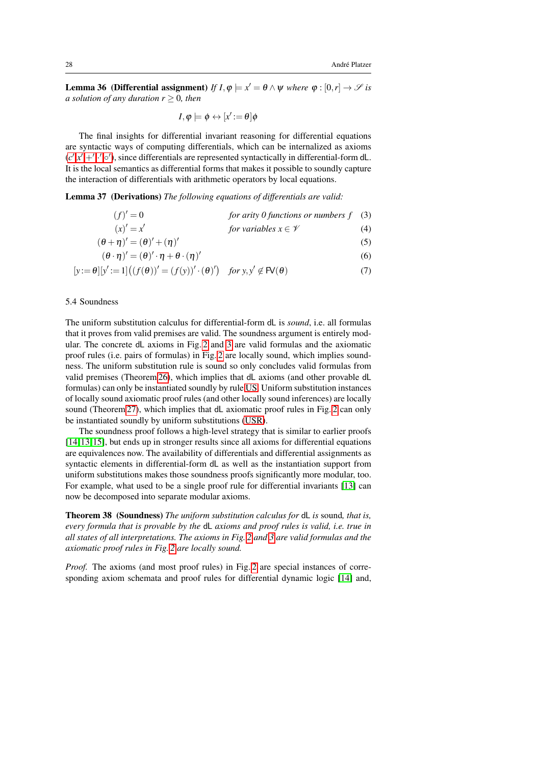**Lemma 36** (Differential assignment) *If*  $I, \varphi \models x' = \theta \land \psi$  *where*  $\varphi : [0, r] \rightarrow \mathcal{S}$  *is a solution of any duration*  $r \geq 0$ *, then* 

<span id="page-27-6"></span><span id="page-27-5"></span><span id="page-27-4"></span><span id="page-27-3"></span><span id="page-27-2"></span><span id="page-27-0"></span>
$$
I, \varphi \models \phi \leftrightarrow [x':=\theta]\phi
$$

The final insights for differential invariant reasoning for differential equations are syntactic ways of computing differentials, which can be internalized as axioms  $(c', x', +', ' , \circ'),$  $(c', x', +', ' , \circ'),$  $(c', x', +', ' , \circ'),$  $(c', x', +', ' , \circ'),$  $(c', x', +', ' , \circ'),$  $(c', x', +', ' , \circ'),$  $(c', x', +', ' , \circ'),$  since differentials are represented syntactically in differential-form dL. It is the local semantics as differential forms that makes it possible to soundly capture the interaction of differentials with arithmetic operators by local equations.

Lemma 37 (Derivations) *The following equations of differentials are valid:*

$$
(f)' = 0
$$
 for arity 0 functions or numbers f (3)

$$
(x)' = x'
$$
 for variables  $x \in \mathcal{V}$  (4)

$$
(\theta + \eta)' = (\theta)' + (\eta)'
$$
\n(5)

$$
(\theta \cdot \eta)' = (\theta)' \cdot \eta + \theta \cdot (\eta)'
$$
 (6)

$$
[y := \theta][y' := 1] \big( (f(\theta))' = (f(y))' \cdot (\theta)'\big) \quad \text{for } y, y' \notin \mathsf{FV}(\theta)
$$
 (7)

## 5.4 Soundness

The uniform substitution calculus for differential-form dL is *sound*, i.e. all formulas that it proves from valid premises are valid. The soundness argument is entirely modular. The concrete dL axioms in Fig. [2](#page-18-1) and [3](#page-21-0) are valid formulas and the axiomatic proof rules (i.e. pairs of formulas) in Fig. [2](#page-18-1) are locally sound, which implies soundness. The uniform substitution rule is sound so only concludes valid formulas from valid premises (Theorem [26\)](#page-16-0), which implies that dL axioms (and other provable dL formulas) can only be instantiated soundly by rule [US.](#page-12-3) Uniform substitution instances of locally sound axiomatic proof rules (and other locally sound inferences) are locally sound (Theorem [27\)](#page-16-1), which implies that dL axiomatic proof rules in Fig. [2](#page-18-1) can only be instantiated soundly by uniform substitutions [\(USR\)](#page-16-2).

The soundness proof follows a high-level strategy that is similar to earlier proofs [\[14,](#page-44-1) [13,](#page-44-9) [15\]](#page-44-10), but ends up in stronger results since all axioms for differential equations are equivalences now. The availability of differentials and differential assignments as syntactic elements in differential-form dL as well as the instantiation support from uniform substitutions makes those soundness proofs significantly more modular, too. For example, what used to be a single proof rule for differential invariants [\[13\]](#page-44-9) can now be decomposed into separate modular axioms.

<span id="page-27-1"></span>Theorem 38 (Soundness) *The uniform substitution calculus for* dL *is* sound*, that is, every formula that is provable by the* dL *axioms and proof rules is valid, i.e. true in all states of all interpretations. The axioms in Fig. [2](#page-18-1) and [3](#page-21-0) are valid formulas and the axiomatic proof rules in Fig. [2](#page-18-1) are locally sound.*

*Proof.* The axioms (and most proof rules) in Fig. [2](#page-18-1) are special instances of corresponding axiom schemata and proof rules for differential dynamic logic [\[14\]](#page-44-1) and,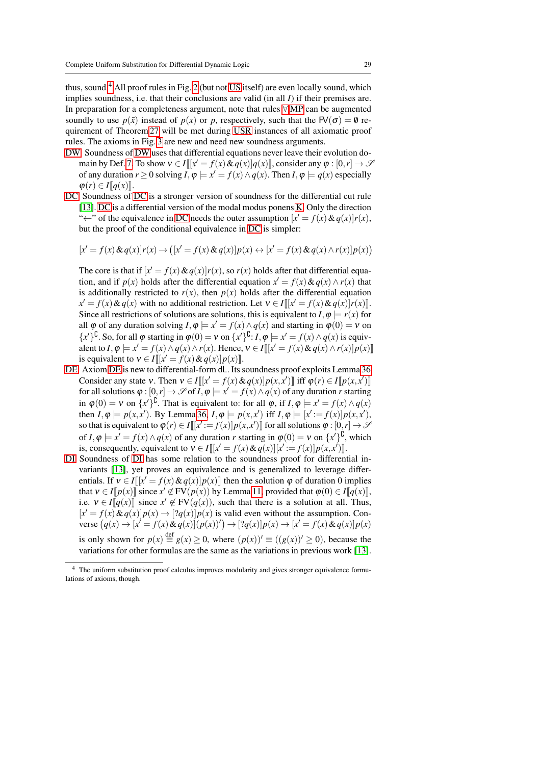thus, sound.<sup>[4](#page-28-0)</sup> All proof rules in Fig. [2](#page-18-1) (but not [US](#page-12-3) itself) are even locally sound, which implies soundness, i.e. that their conclusions are valid (in all *I*) if their premises are. In preparation for a completeness argument, note that rules [∀](#page-18-12)[,MP](#page-18-0) can be augmented soundly to use  $p(\bar{x})$  instead of  $p(x)$  or p, respectively, such that the FV( $\sigma$ ) = 0 requirement of Theorem [27](#page-16-1) will be met during [USR](#page-16-2) instances of all axiomatic proof rules. The axioms in Fig. [3](#page-21-0) are new and need new soundness arguments.

- [DW](#page-21-1) Soundness of [DW](#page-21-1) uses that differential equations never leave their evolution do-main by Def. [7.](#page-6-1) To show  $v \in I[[x' = f(x) \& q(x)]q(x)]$ , consider any  $\varphi : [0, r] \to \mathcal{S}$ of any duration  $r \ge 0$  solving  $I, \varphi \models x' = f(x) \land q(x)$ . Then  $I, \varphi \models q(x)$  especially  $\varphi(r) \in I[[q(x)]].$
- [DC](#page-21-10) Soundness of [DC](#page-21-10) is a stronger version of soundness for the differential cut rule [\[13\]](#page-44-9). [DC](#page-21-10) is a differential version of the modal modus ponens [K.](#page-18-8) Only the direction " $\leftarrow$ " of the equivalence in [DC](#page-21-10) needs the outer assumption  $[x' = f(x) \& q(x)]r(x)$ , but the proof of the conditional equivalence in [DC](#page-21-10) is simpler:

$$
[x' = f(x) \& q(x)]r(x) \rightarrow ([x' = f(x) \& q(x)]p(x) \leftrightarrow [x' = f(x) \& q(x) \land r(x)]p(x))
$$

The core is that if  $[x' = f(x) \& q(x)]r(x)$ , so  $r(x)$  holds after that differential equation, and if  $p(x)$  holds after the differential equation  $x' = f(x) \& q(x) \land r(x)$  that is additionally restricted to  $r(x)$ , then  $p(x)$  holds after the differential equation  $x' = f(x) \& q(x)$  with no additional restriction. Let  $v \in I[[x' = f(x) \& q(x)]r(x)]$ . Since all restrictions of solutions are solutions, this is equivalent to  $I, \varphi \models r(x)$  for all  $\varphi$  of any duration solving  $I, \varphi \models x' = f(x) \wedge q(x)$  and starting in  $\varphi(0) = v$  on  ${x'}^{\text{U}}$ . So, for all  $\varphi$  starting in  $\varphi$ (0) =  $\nu$  on  ${x'}^{\text{U}}$ : *I*,  $\varphi$  =  $x' = f(x) \wedge q(x)$  is equivalent to  $I, \varphi \models x' = f(x) \land q(x) \land r(x)$ . Hence,  $v \in I[[x' = f(x) \& q(x) \land r(x)] p(x)]$ is equivalent to  $v \in I[[x] = f(x) \& q(x)] p(x) ]$ .

- [DE](#page-21-11) Axiom [DE](#page-21-11) is new to differential-form dL. Its soundness proof exploits Lemma [36.](#page-26-1) Consider any state  $v$ . Then  $v \in I[[x' = f(x) \& q(x)] p(x, x')]$  iff  $\varphi(r) \in I[[p(x, x')]$ for all solutions  $\varphi : [0, r] \to \mathscr{S}$  of  $I, \varphi \models x' = f(x) \land q(x)$  of any duration *r* starting in  $\varphi$ (0) = v on  $\{x'\}^{\mathsf{L}}$ . That is equivalent to: for all  $\varphi$ , if  $I, \varphi$  =  $x' = f(x) \wedge q(x)$ then  $I, \varphi \models p(x, x')$ . By Lemma [36,](#page-26-1)  $I, \varphi \models p(x, x')$  iff  $I, \varphi \models [x' := f(x)] p(x, x')$ , so that is equivalent to  $\varphi(r) \in I[[x]:=f(x)]p(x,x')]$  for all solutions  $\varphi : [0,r] \to \mathscr{S}$ of  $I, \varphi \models x' = f(x) \land q(x)$  of any duration *r* starting in  $\varphi(0) = v$  on  $\{x'\}^{\mathbb{U}}$ , which is, consequently, equivalent to  $v \in I[[x' = f(x) \& q(x)][x' := f(x)]p(x, x')]$ .
- [DI](#page-21-12) Soundness of [DI](#page-21-12) has some relation to the soundness proof for differential invariants [\[13\]](#page-44-9), yet proves an equivalence and is generalized to leverage differentials. If  $v \in I[[x] = f(x) \& q(x)]p(x)]$  then the solution  $\varphi$  of duration 0 implies that  $v \in I[\![p(x)]\!]$  since  $x' \notin FV(p(x))$  by Lemma [11,](#page-8-2) provided that  $\varphi(0) \in I[\![q(x)]\!]$ , i.e.  $v \in I[[q(x)]]$  since  $x' \notin FV(q(x))$ , such that there is a solution at all. Thus,  $[x' = f(x) \& q(x)]p(x) \rightarrow [?q(x)]p(x)$  is valid even without the assumption. Con- $\text{verse } (q(x) \to [x' = f(x) \& q(x)] (p(x))') \to [?q(x)] p(x) \to [x' = f(x) \& q(x)] p(x)$ is only shown for  $p(x) \stackrel{\text{def}}{=} g(x) \ge 0$ , where  $(p(x))' \equiv ((g(x))' \ge 0)$ , because the variations for other formulas are the same as the variations in previous work [\[13\]](#page-44-9).

<span id="page-28-0"></span><sup>&</sup>lt;sup>4</sup> The uniform substitution proof calculus improves modularity and gives stronger equivalence formulations of axioms, though.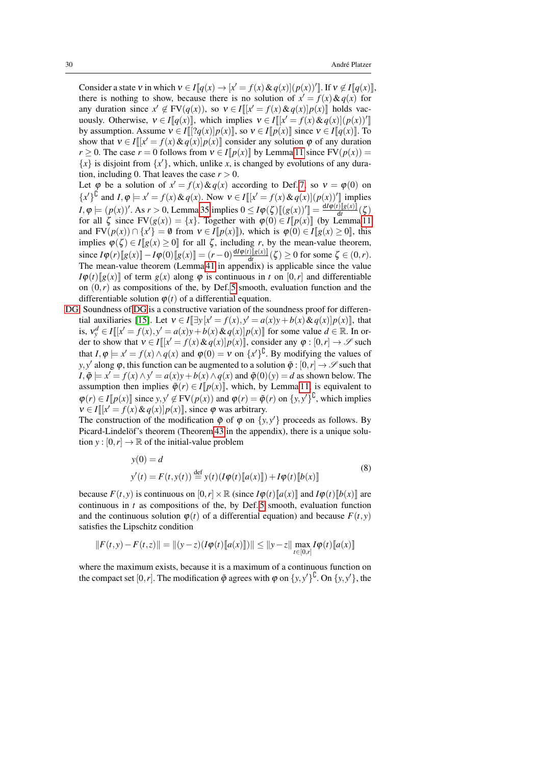Consider a state v in which  $v \in I[q(x) \to [x' = f(x) \& q(x)] (p(x))']$ . If  $v \notin I[q(x)]$ , there is nothing to show, because there is no solution of  $x' = f(x) \& q(x)$  for any duration since  $x' \notin \text{FV}(q(x))$ , so  $v \in I[[x' = f(x) \& q(x)]p(x)]$  holds vacuously. Otherwise,  $v \in I[[q(x)]]$ , which implies  $v \in I[[x' = f(x) \& q(x)] (p(x))'$ by assumption. Assume  $v \in I[[?q(x)]p(x)]$ , so  $v \in I[p(x)]$  since  $v \in I[q(x)]$ . To show that  $v \in I[[x'-f(x)\& q(x)]p(x)]$  consider any solution  $\varphi$  of any duration *r* > 0. The case *r* = 0 follows from  $v \in I[p(x)]$  by Lemma [11](#page-8-2) since  $FV(p(x)) =$  ${x}$  is disjoint from  ${x'}$ , which, unlike *x*, is changed by evolutions of any duration, including 0. That leaves the case  $r > 0$ .

Let  $\varphi$  be a solution of  $x' = f(x) \& q(x)$  according to Def. [7,](#page-6-1) so  $v = \varphi(0)$  on  ${x'}^1$  and  $I, \varphi \models x' = f(x) \& q(x)$ . Now  $v \in I[[x' = f(x) \& q(x)] \cdot (p(x))'$  implies  $I, \varphi \models (p(x))'.$  As  $r > 0$ , Lemma [35](#page-26-0) implies  $0 \leq I\varphi(\zeta)[[(g(x))'] = \frac{dI\varphi(t)[[g(x)]}{dt}(\zeta)$ for all  $\zeta$  since  $FV(g(x)) = \{x\}$ . Together with  $\varphi(0) \in I[\![p(x)]\!]$  (by Lemma [11](#page-8-2)) and  $FV(p(x)) \cap \{x'\} = \emptyset$  from  $v \in I[p(x)]$ ), which is  $\varphi(0) \in I[g(x) \ge 0]$ , this implies  $\varphi(\zeta) \in I[g(x) \ge 0]$  for all  $\zeta$ , including *r*, by the mean-value theorem, since *I*ϕ(*r*)[[*g*(*x*)]] − *I*ϕ(0)[[*g*(*x*)]] = (*r* − 0) $\frac{dIφ(t)[g(x)]}{dt}$  $\frac{f(\mathbf{g}(\mathbf{x}))\mathbf{g}(\mathbf{x})}{\mathbf{d}t}$  ( $\zeta$ )  $\geq$  0 for some  $\zeta \in (0,r)$ . The mean-value theorem (Lemma [41](#page-33-1) in appendix) is applicable since the value  $I\varphi(t)[g(x)]$  of term  $g(x)$  along  $\varphi$  is continuous in *t* on [0,*r*] and differentiable on  $(0, r)$  as compositions of the, by Def. [5](#page-5-1) smooth, evaluation function and the differentiable solution  $\varphi(t)$  of a differential equation.

[DG](#page-21-13) Soundness of [DG](#page-21-13) is a constructive variation of the soundness proof for differen-tial auxiliaries [\[15\]](#page-44-10). Let  $v \in I[\exists y[x] = f(x), y' = a(x)y + b(x) \& q(x)]p(x)]$ , that is,  $v_y^d \in I[[x' = f(x), y' = a(x)y + b(x) \& q(x)]p(x)]$  for some value  $d \in \mathbb{R}$ . In order to show that  $v \in I[[x] - f(x) \& q(x)]p(x)]$ , consider any  $\varphi : [0, r] \to \mathscr{S}$  such that  $I, \varphi \models x' = f(x) \land q(x)$  and  $\varphi(0) = v$  on  $\{x'\}^{\complement}$ . By modifying the values of *y*, *y'* along  $\varphi$ , this function can be augmented to a solution  $\tilde{\varphi}$  :  $[0,r] \to \mathscr{S}$  such that  $I, \tilde{\varphi} \models x' = f(x) \land y' = a(x)y + b(x) \land q(x)$  and  $\tilde{\varphi}(0)(y) = d$  as shown below. The assumption then implies  $\tilde{\varphi}(r) \in I[[p(x)]]$ , which, by Lemma [11,](#page-8-2) is equivalent to  $\varphi(r) \in I[[p(x)]]$  since  $y, y' \notin FV(p(x))$  and  $\varphi(r) = \tilde{\varphi}(r)$  on  $\{y, y'\}^{\complement}$ , which implies  $v \in I[[x' = f(x) \& q(x)]p(x)]$ , since  $\varphi$  was arbitrary.

The construction of the modification  $\tilde{\varphi}$  of  $\varphi$  on  $\{y, y'\}$  proceeds as follows. By Picard-Lindelöf's theorem (Theorem [43](#page-33-2) in the appendix), there is a unique solution  $y : [0, r] \to \mathbb{R}$  of the initial-value problem

<span id="page-29-0"></span>
$$
y(0) = d
$$
  
\n
$$
y'(t) = F(t, y(t)) \stackrel{\text{def}}{=} y(t) (I\varphi(t)[[a(x)]]) + I\varphi(t)[[b(x)]]
$$
\n(8)

because  $F(t, y)$  is continuous on  $[0, r] \times \mathbb{R}$  (since  $I\varphi(t)[a(x)]$  and  $I\varphi(t)[b(x)]$  are continuous in *t* as compositions of the, by Def. [5](#page-5-1) smooth, evaluation function and the continuous solution  $\varphi(t)$  of a differential equation) and because  $F(t, y)$ satisfies the Lipschitz condition

$$
||F(t,y)-F(t,z)|| = ||(y-z)(I\varphi(t)[[a(x)]])|| \le ||y-z|| \max_{t \in [0,r]} I\varphi(t)[[a(x)]]
$$

where the maximum exists, because it is a maximum of a continuous function on the compact set [0, *r*]. The modification  $\tilde{\varphi}$  agrees with  $\varphi$  on  $\{y, y'\}^{\mathbb{U}}$ . On  $\{y, y'\}$ , the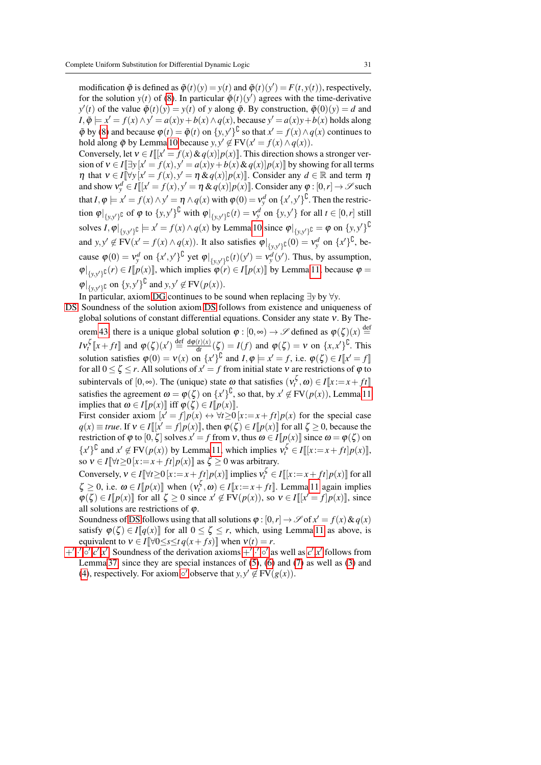modification  $\tilde{\varphi}$  is defined as  $\tilde{\varphi}(t)(y) = y(t)$  and  $\tilde{\varphi}(t)(y') = F(t, y(t))$ , respectively, for the solution  $y(t)$  of [\(8\)](#page-29-0). In particular  $\tilde{\varphi}(t)(y')$  agrees with the time-derivative  $y'(t)$  of the value  $\tilde{\varphi}(t)(y) = y(t)$  of *y* along  $\tilde{\varphi}$ . By construction,  $\tilde{\varphi}(0)(y) = d$  and  $I, \tilde{\varphi} \models x' = f(x) \land y' = a(x)y + b(x) \land q(x)$ , because  $y' = a(x)y + b(x)$  holds along  $\tilde{\varphi}$  by [\(8\)](#page-29-0) and because  $\varphi(t) = \tilde{\varphi}(t)$  on  $\{y, y'\}^{\perp}$  so that  $x' = f(x) \wedge q(x)$  continues to hold along  $\tilde{\varphi}$  by Lemma [10](#page-8-0) because  $y, y' \notin FV(x' = f(x) \land q(x)).$ 

Conversely, let  $v \in I[[x] = f(x) \& q(x)]p(x)]$ . This direction shows a stronger version of  $v \in I[\exists y[x' = f(x), y' = a(x)y + b(x) \& q(x)]p(x)]$  by showing for all terms  $\eta$  that  $v \in I[\forall y \ [x' = f(x), y' = \eta \& q(x)] p(x)]$ . Consider any  $d \in \mathbb{R}$  and term  $\eta$ and show  $v_y^d \in I[[x'-f(x), y'-\eta \& q(x)]p(x)]$ . Consider any  $\varphi : [0, r] \to \mathscr{S}$  such that  $I, \varphi \models x' = f(x) \land y' = \eta \land q(x)$  with  $\varphi(0) = v_y^d$  on  $\{x', y'\}^{\complement}$ . Then the restriction  $\varphi|_{\{y,y'\}\mathbb{C}}$  of  $\varphi$  to  $\{y,y'\}^{\mathbb{C}}$  with  $\varphi|_{\{y,y'\}\mathbb{C}}(t) = v_y^d$  on  $\{y,y'\}$  for all  $t \in [0,r]$  still solves  $I, \varphi|_{\{y, y'\}^{\complement}} \models x' = f(x) \land q(x)$  by Lemma [10](#page-8-0) since  $\varphi|_{\{y, y'\}^{\complement}} = \varphi$  on  $\{y, y'\}^{\complement}$ and  $y, y' \notin FV(x' = f(x) \land q(x))$ . It also satisfies  $\varphi|_{\{y, y'\}\mathbb{C}}(0) = v_y^d$  on  $\{x'\}^{\mathbb{C}}$ , because  $\varphi(0) = v_y^d$  on  $\{x', y'\}^{\complement}$  yet  $\varphi|_{\{y, y'\}^{\complement}}(t)(y') = v_y^d(y')$ . Thus, by assumption,  $\varphi|_{\{y,y'\}\mathcal{C}}(r) \in I[[p(x)]]$ , which implies  $\varphi(r) \in I[[p(x)]]$  by Lemma [11,](#page-8-2) because  $\varphi =$  $\varphi|_{\{y, y'\}\mathbb{C}}$  on  $\{y, y'\}^{\mathbb{C}}$  and  $y, y' \notin FV(p(x)).$ 

In particular, axiom [DG](#page-21-13) continues to be sound when replacing ∃*y* by ∀*y*.

[DS](#page-21-2) Soundness of the solution axiom [DS](#page-21-2) follows from existence and uniqueness of global solutions of constant differential equations. Consider any state ν. By The-orem [43,](#page-33-2) there is a unique global solution  $\varphi : [0, \infty) \to \mathscr{S}$  defined as  $\varphi(\zeta)(x) \stackrel{\text{def}}{=}$  $Iv_t^{\zeta}$  [*x* + *ft*]] and  $\varphi(\zeta)(x') \stackrel{\text{def}}{=} \frac{d\varphi(t)(x)}{dt}$  $\frac{d(t)(x)}{dt}(\zeta) = I(f)$  and  $\varphi(\zeta) = v$  on  $\{x, x'\}^{\mathbb{U}}$ . This solution satisfies  $\varphi(0) = v(x)$  on  $\{x'\}^{\complement}$  and  $I, \varphi \models x' = f$ , i.e.  $\varphi(\zeta) \in I[\![x' = f]\!]$ for all  $0 \le \zeta \le r$ . All solutions of  $x' = f$  from initial state  $v$  are restrictions of  $\varphi$  to subintervals of  $[0, \infty)$ . The (unique) state  $\omega$  that satisfies  $(\nu_t^{\zeta}, \omega) \in I[[x:=x+ft]]$ satisfies the agreement  $\omega = \varphi(\zeta)$  on  $\{x'\}^{\downarrow}$ , so that, by  $x' \notin FV(p(x))$ , Lemma [11](#page-8-2) implies that  $\omega \in I[p(x)]$  iff  $\varphi(\zeta) \in I[p(x)]$ .

First consider axiom  $[x' = f]p(x) \leftrightarrow \forall t \ge 0$   $[x := x + ft]p(x)$  for the special case  $q(x) \equiv true$ . If  $v \in I[[x' = f]p(x)]$ , then  $\varphi(\zeta) \in I[p(x)]$  for all  $\zeta \ge 0$ , because the restriction of  $\varphi$  to  $[0, \zeta]$  solves  $x' = f$  from  $v$ , thus  $\omega \in I[\![p(x)]\!]$  since  $\omega = \varphi(\zeta)$  on  ${x'} \notin FV(p(x))$  by Lemma [11,](#page-8-2) which implies  $v_t^{\zeta} \in I[[x:=x+ft]p(x)]$ , so  $v \in I[\![\forall t \geq 0 \, [x := x + ft] p(x)]\!]$  as  $\zeta \geq 0$  was arbitrary.

Conversely,  $v \in I[\forall t \ge 0 | x := x + \int_t^t p(x)]$  implies  $v_t^{\zeta} \in I[[x := x + \int_t^t p(x)]$  for all  $\zeta \geq 0$ , i.e.  $\omega \in I[p(x)]$  when  $(v_t^{\zeta}, \omega) \in I[x := x + ft]$ . Lemma [11](#page-8-2) again implies  $\varphi(\zeta) \in I[p(x)]$  for all  $\zeta \ge 0$  since  $x' \notin FV(p(x))$ , so  $v \in I[[x' = f]p(x)]$ , since all solutions are restrictions of  $\varphi$ .

Soundness of [DS](#page-21-2) follows using that all solutions  $\varphi$  :  $[0, r] \to \mathscr{S}$  of  $x' = f(x) \& q(x)$ satisfy  $\varphi(\zeta) \in I[\![q(x)]\!]$  for all  $0 \leq \zeta \leq r$ , which, using Lemma [11](#page-8-2) as above, is equivalent to  $v \in I[\forall 0 \le s \le t \, q(x + fs)]$  when  $v(t) = r$ .

[+](#page-21-3)',.',o',[c](#page-21-7)',[x](#page-21-6)' Soundness of the derivation axioms +',.',o' as well as  $c'$ ,x' follows from Lemma [37,](#page-27-0) since they are special instances of [\(5\)](#page-27-2), [\(6\)](#page-27-3) and [\(7\)](#page-27-4) as well as [\(3\)](#page-27-5) and [\(4\)](#page-27-6), respectively. For axiom  $\circ'$  observe that  $y, y' \notin FV(g(x))$ .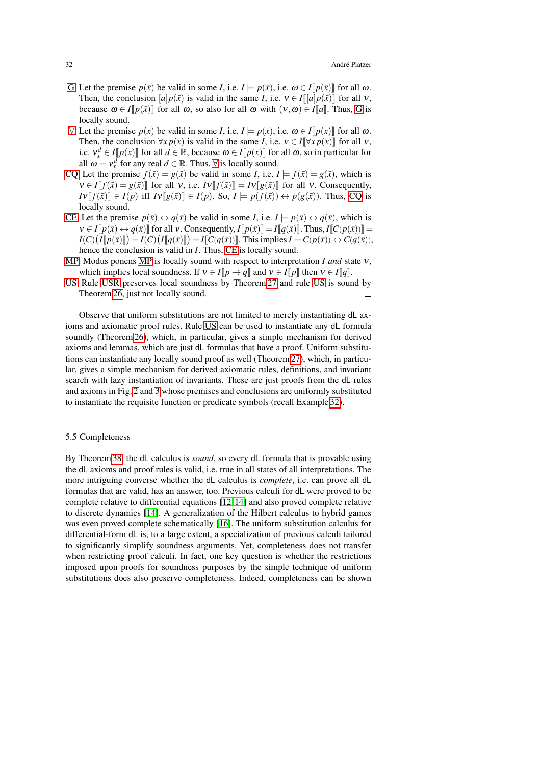- [G](#page-18-11) Let the premise  $p(\bar{x})$  be valid in some *I*, i.e.  $I \models p(\bar{x})$ , i.e.  $\omega \in I[p(\bar{x})]$  for all  $\omega$ . Then, the conclusion  $[a]p(\bar{x})$  is valid in the same *I*, i.e.  $v \in I[[a]p(\bar{x})]$  for all v, because  $\omega \in I[p(\bar{x})]$  for all  $\omega$ , so also for all  $\omega$  with  $(v, \omega) \in I[a]$ . Thus, [G](#page-18-11) is locally sound.
- $∀$  Let the premise  $p(x)$  be valid in some *I*, i.e.  $I \models p(x)$ , i.e.  $\omega \in I[p(x)]$  for all  $\omega$ . Then, the conclusion  $\forall x p(x)$  is valid in the same *I*, i.e.  $v \in I[\forall x p(x)]$  for all v, i.e.  $v_x^d \in I[\![p(x)]\!]$  for all  $d \in \mathbb{R}$ , because  $\omega \in I[\![p(x)]\!]$  for all  $\omega$ , so in particular for all  $\omega = v_x^d$  for any real  $d \in \mathbb{R}$ . Thus,  $\forall$  is locally sound.
- [CQ](#page-18-13) Let the premise  $f(\bar{x}) = g(\bar{x})$  be valid in some *I*, i.e.  $I \models f(\bar{x}) = g(\bar{x})$ , which is  $v \in I[[f(\bar{x}) = g(\bar{x})]$  for all v, i.e.  $Iv[[f(\bar{x})] = Iv[[g(\bar{x})]]$  for all v. Consequently,  $I \vee \llbracket f(\bar{x}) \rrbracket \in I(p)$  iff  $I \vee \llbracket g(\bar{x}) \rrbracket \in I(p)$ . So,  $I \models p(f(\bar{x})) \leftrightarrow p(g(\bar{x}))$ . Thus, [CQ](#page-18-13) is locally sound.
- [CE](#page-18-14) Let the premise  $p(\bar{x}) \leftrightarrow q(\bar{x})$  be valid in some *I*, i.e.  $I \models p(\bar{x}) \leftrightarrow q(\bar{x})$ , which is  $v \in I[p(\bar{x}) \leftrightarrow q(\bar{x})]$  for all v. Consequently,  $I[p(\bar{x})] = I[q(\bar{x})]$ . Thus,  $I[C(p(\bar{x}))] =$  $I(C)\big(I[\![p(\bar{x})]\!]\big) = I(C)\big(I[\![q(\bar{x})]\!]\big) = I[\![C(q(\bar{x}))]\!].$  This implies  $I \models C(p(\bar{x})) \leftrightarrow C(q(\bar{x})),$ hence the conclusion is valid in *I*. Thus, [CE](#page-18-14) is locally sound.
- [MP](#page-18-0) Modus ponens [MP](#page-18-0) is locally sound with respect to interpretation *I and* state ν, which implies local soundness. If  $v \in I[p \rightarrow q]$  and  $v \in I[p]$  then  $v \in I[q]$ .
- [US](#page-12-3) Rule [USR](#page-16-2) preserves local soundness by Theorem [27](#page-16-1) and rule [US](#page-12-3) is sound by Theorem [26,](#page-16-0) just not locally sound.  $\Box$

Observe that uniform substitutions are not limited to merely instantiating dL axioms and axiomatic proof rules. Rule [US](#page-12-3) can be used to instantiate any dL formula soundly (Theorem [26\)](#page-16-0), which, in particular, gives a simple mechanism for derived axioms and lemmas, which are just dL formulas that have a proof. Uniform substitutions can instantiate any locally sound proof as well (Theorem [27\)](#page-16-1), which, in particular, gives a simple mechanism for derived axiomatic rules, definitions, and invariant search with lazy instantiation of invariants. These are just proofs from the dL rules and axioms in Fig. [2](#page-18-1) and [3](#page-21-0) whose premises and conclusions are uniformly substituted to instantiate the requisite function or predicate symbols (recall Example [32\)](#page-23-2).

#### 5.5 Completeness

By Theorem [38,](#page-27-1) the dL calculus is *sound*, so every dL formula that is provable using the dL axioms and proof rules is valid, i.e. true in all states of all interpretations. The more intriguing converse whether the dL calculus is *complete*, i.e. can prove all dL formulas that are valid, has an answer, too. Previous calculi for dL were proved to be complete relative to differential equations [\[12,](#page-44-0) [14\]](#page-44-1) and also proved complete relative to discrete dynamics [\[14\]](#page-44-1). A generalization of the Hilbert calculus to hybrid games was even proved complete schematically [\[16\]](#page-44-4). The uniform substitution calculus for differential-form dL is, to a large extent, a specialization of previous calculi tailored to significantly simplify soundness arguments. Yet, completeness does not transfer when restricting proof calculi. In fact, one key question is whether the restrictions imposed upon proofs for soundness purposes by the simple technique of uniform substitutions does also preserve completeness. Indeed, completeness can be shown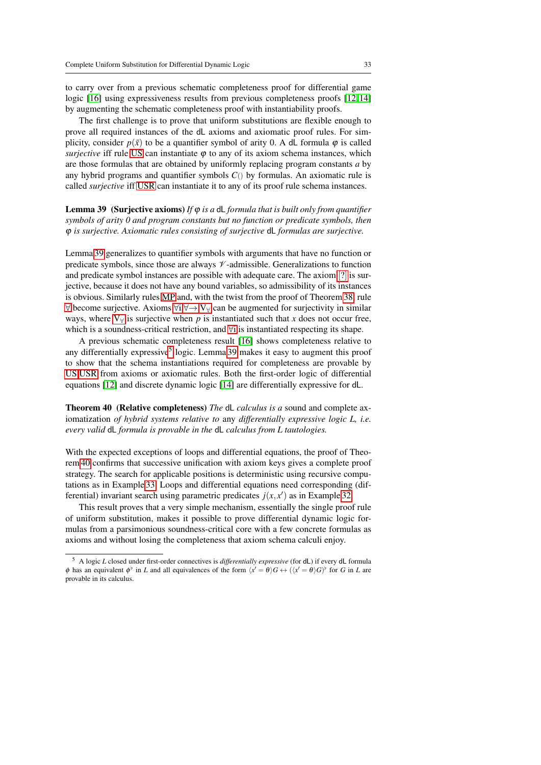to carry over from a previous schematic completeness proof for differential game logic [\[16\]](#page-44-4) using expressiveness results from previous completeness proofs [\[12,](#page-44-0) [14\]](#page-44-1) by augmenting the schematic completeness proof with instantiability proofs.

The first challenge is to prove that uniform substitutions are flexible enough to prove all required instances of the dL axioms and axiomatic proof rules. For simplicity, consider  $p(\bar{x})$  to be a quantifier symbol of arity 0. A dL formula  $\varphi$  is called *surjective* iff rule [US](#page-12-3) can instantiate  $\varphi$  to any of its axiom schema instances, which are those formulas that are obtained by uniformly replacing program constants *a* by any hybrid programs and quantifier symbols  $C()$  by formulas. An axiomatic rule is called *surjective* iff [USR](#page-16-2) can instantiate it to any of its proof rule schema instances.

<span id="page-32-0"></span>Lemma 39 (Surjective axioms) *If* ϕ *is a* dL *formula that is built only from quantifier symbols of arity 0 and program constants but no function or predicate symbols, then* ϕ *is surjective. Axiomatic rules consisting of surjective* dL *formulas are surjective.*

Lemma [39](#page-32-0) generalizes to quantifier symbols with arguments that have no function or predicate symbols, since those are always  $\mathcal V$ -admissible. Generalizations to function and predicate symbol instances are possible with adequate care. The axiom [[?](#page-18-4)] is surjective, because it does not have any bound variables, so admissibility of its instances is obvious. Similarly rules [MP](#page-18-0) and, with the twist from the proof of Theorem [38,](#page-27-1) rule  $\forall$  become surjective. Axioms  $\forall i, \forall \rightarrow, V_{\forall}$  $\forall i, \forall \rightarrow, V_{\forall}$  $\forall i, \forall \rightarrow, V_{\forall}$  can be augmented for surjectivity in similar ways, where  $V_{\forall}$  is surjective when p is instantiated such that x does not occur free, wh[i](#page-19-0)ch is a soundness-critical restriction, and ∀i is instantiated respecting its shape.

A previous schematic completeness result [\[16\]](#page-44-4) shows completeness relative to any differentially expressive<sup>[5](#page-32-1)</sup> logic. Lemma [39](#page-32-0) makes it easy to augment this proof to show that the schema instantiations required for completeness are provable by [US,](#page-12-3)[USR](#page-16-2) from axioms or axiomatic rules. Both the first-order logic of differential equations [\[12\]](#page-44-0) and discrete dynamic logic [\[14\]](#page-44-1) are differentially expressive for dL.

<span id="page-32-2"></span>Theorem 40 (Relative completeness) *The* dL *calculus is a* sound and complete axiomatization *of hybrid systems relative to* any *differentially expressive logic L, i.e. every valid* dL *formula is provable in the* dL *calculus from L tautologies.*

With the expected exceptions of loops and differential equations, the proof of Theorem [40](#page-32-2) confirms that successive unification with axiom keys gives a complete proof strategy. The search for applicable positions is deterministic using recursive computations as in Example [33.](#page-24-0) Loops and differential equations need corresponding (differential) invariant search using parametric predicates  $j(x, x')$  as in Example [32.](#page-23-2)

This result proves that a very simple mechanism, essentially the single proof rule of uniform substitution, makes it possible to prove differential dynamic logic formulas from a parsimonious soundness-critical core with a few concrete formulas as axioms and without losing the completeness that axiom schema calculi enjoy.

<span id="page-32-1"></span><sup>5</sup> A logic *L* closed under first-order connectives is *differentially expressive* (for dL) if every dL formula φ has an equivalent  $\phi^{\flat}$  in *L* and all equivalences of the form  $\langle x' = \theta \rangle G \leftrightarrow (\langle x' = \theta \rangle G)^{\flat}$  for *G* in *L* are provable in its calculus.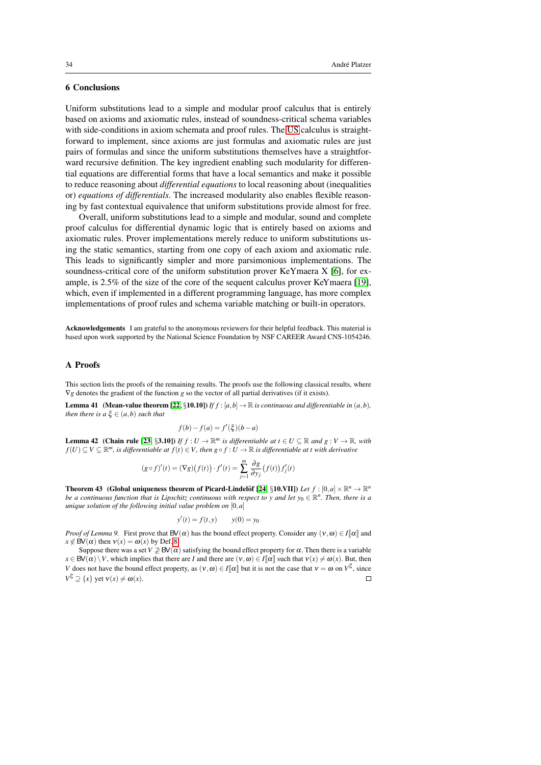## 6 Conclusions

Uniform substitutions lead to a simple and modular proof calculus that is entirely based on axioms and axiomatic rules, instead of soundness-critical schema variables with side-conditions in axiom schemata and proof rules. The [US](#page-12-3) calculus is straightforward to implement, since axioms are just formulas and axiomatic rules are just pairs of formulas and since the uniform substitutions themselves have a straightforward recursive definition. The key ingredient enabling such modularity for differential equations are differential forms that have a local semantics and make it possible to reduce reasoning about *differential equations* to local reasoning about (inequalities or) *equations of differentials*. The increased modularity also enables flexible reasoning by fast contextual equivalence that uniform substitutions provide almost for free.

Overall, uniform substitutions lead to a simple and modular, sound and complete proof calculus for differential dynamic logic that is entirely based on axioms and axiomatic rules. Prover implementations merely reduce to uniform substitutions using the static semantics, starting from one copy of each axiom and axiomatic rule. This leads to significantly simpler and more parsimonious implementations. The soundness-critical core of the uniform substitution prover KeYmaera X [\[6\]](#page-44-19), for example, is 2.5% of the size of the core of the sequent calculus prover KeYmaera [\[19\]](#page-44-3), which, even if implemented in a different programming language, has more complex implementations of proof rules and schema variable matching or built-in operators.

Acknowledgements I am grateful to the anonymous reviewers for their helpful feedback. This material is based upon work supported by the National Science Foundation by NSF CAREER Award CNS-1054246.

## <span id="page-33-0"></span>A Proofs

This section lists the proofs of the remaining results. The proofs use the following classical results, where ∇*g* denotes the gradient of the function *g* so the vector of all partial derivatives (if it exists).

**Lemma 41** (Mean-value theorem [\[22,](#page-44-20) §10.10]) *If*  $f$  :  $[a,b] \rightarrow \mathbb{R}$  *is continuous and differentiable in*  $(a,b)$ *, then there is a*  $\xi \in (a,b)$  *such that* 

<span id="page-33-1"></span>
$$
f(b) - f(a) = f'(\xi)(b - a)
$$

<span id="page-33-3"></span>**Lemma 42** (Chain rule [\[23,](#page-44-21) §3.10]) *If*  $f: U \to \mathbb{R}^m$  *is differentiable at*  $t \in U \subseteq \mathbb{R}$  *and*  $g: V \to \mathbb{R}$ *, with f*(*U*) ⊆ *V* ⊆  $\mathbb{R}^m$ , is differentiable at *f*(*t*) ∈ *V*, then  $g \circ f : U \to \mathbb{R}$  is differentiable at t with derivative

$$
(g \circ f)'(t) = (\nabla g)(f(t)) \cdot f'(t) = \sum_{j=1}^{m} \frac{\partial g}{\partial y_j} (f(t)) f'_j(t)
$$

<span id="page-33-2"></span>**Theorem 43** (Global uniqueness theorem of Picard-Lindelöf [\[24,](#page-44-22) §10.VII]) *Let*  $f : [0, a] \times \mathbb{R}^n \to \mathbb{R}^n$ *be a continuous function that is Lipschitz continuous with respect to y and let*  $y_0 \in \mathbb{R}^n$ *. Then, there is a unique solution of the following initial value problem on* [0,*a*]

$$
y'(t) = f(t, y) \qquad y(0) = y_0
$$

*Proof of Lemma 9.* First prove that  $BV(\alpha)$  has the bound effect property. Consider any  $(v, \omega) \in I[\![\alpha]\!]$  and  $x \notin BV(\alpha)$  then  $v(x) = \omega(x)$  by Def[. 8.](#page-7-2)

Suppose there was a set  $V \not\supseteq BV(\alpha)$  satisfying the bound effect property for  $\alpha$ . Then there is a variable  $x \in BV(\alpha) \setminus V$ , which implies that there are *I* and there are  $(v, \omega) \in I[\![\alpha]\!]$  such that  $v(x) \neq \omega(x)$ . But, then *V* does not have the bound effect property, as  $(v, \omega) \in I[\![\alpha]\!]$  but it is not the case that  $v = \omega$  on  $V^{\mathbb{C}}$ , since  $V^{\mathsf{L}} \supseteq \{x\}$  yet  $v(x) \neq \omega(x)$ .  $\Box$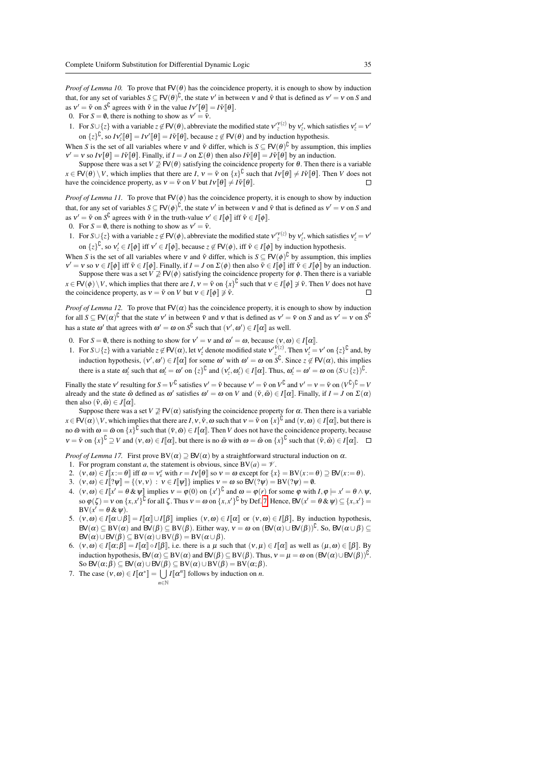*Proof of Lemma 10.* To prove that  $FV(\theta)$  has the coincidence property, it is enough to show by induction that, for any set of variables  $S \subseteq \mathsf{FV}(\theta)^{\mathsf{C}}$ , the state  $v'$  in between v and  $\tilde{v}$  that is defined as  $v' = v$  on *S* and as  $v' = \tilde{v}$  on  $S^{\mathcal{L}}$  agrees with  $\tilde{v}$  in the value  $Iv'[\theta] = I\tilde{v}[\theta]$ .

0. For  $S = \emptyset$ , there is nothing to show as  $v' = \tilde{v}$ .

1. For  $S \cup \{z\}$  with a variable  $z \notin FV(\theta)$ , abbreviate the modified state  $v'_{z}^{(v(z))}$  by  $v'_{z}$ , which satisfies  $v'_{z} = v'$ on  $\{z\}^{\mathcal{L}}$ , so  $I v_z^{\prime} [\![\theta]\!] = I v^{\prime} [\![\theta]\!]$ , because  $z \notin \mathsf{FV}(\theta)$  and by induction hypothesis.

When *S* is the set of all variables where v and  $\tilde{v}$  differ, which is  $S \subseteq FV(\theta)^{U}$  by assumption, this implies  $v' = v$  so  $Iv[\theta] = I\tilde{v}[\theta]$ . Finally, if  $I = J$  on  $\Sigma(\theta)$  then also  $I\tilde{v}[\theta] = J\tilde{v}[\theta]$  by an induction.

Suppose there was a set  $V \not\supseteq \text{FV}(\theta)$  satisfying the coincidence property for  $\theta$ . Then there is a variable  $x \in F(\theta) \setminus V$ , which implies that there are  $I, v = \tilde{v}$  on  $\{x\}^{\mathbb{C}}$  such that  $Iv[\theta] \neq I\tilde{v}[\theta]$ . Then *V* does not have the coincidence property, as  $v = \tilde{v}$  on *V* but  $Iv[\theta] \neq I\tilde{v}[\theta]$ .

*Proof of Lemma 11.* To prove that  $FV(\phi)$  has the coincidence property, it is enough to show by induction that, for any set of variables  $S \subseteq \mathsf{FV}(\phi)^{\mathsf{C}}$ , the state  $v'$  in between v and  $\tilde{v}$  that is defined as  $v' = v$  on *S* and as  $v' = \tilde{v}$  on  $S^{\mathsf{L}}$  agrees with  $\tilde{v}$  in the truth-value  $v' \in I[\![\phi]\!]$  iff  $\tilde{v} \in I[\![\phi]\!]$ .

0. For  $S = \emptyset$ , there is nothing to show as  $v' = \tilde{v}$ .

1. For  $S \cup \{z\}$  with a variable  $z \notin FV(\phi)$ , abbreviate the modified state  $v'_{z}^{(v(z))}$  by  $v'_{z}$ , which satisfies  $v'_{z} = v'$ on  $\{z\}^{\mathbb{C}}$ , so  $v'_z \in I[\![\phi]\!]$  iff  $v' \in I[\![\phi]\!]$ , because  $z \notin \mathsf{FV}(\phi)$ , iff  $\tilde{v} \in I[\![\phi]\!]$  by induction hypothesis.

When *S* is the set of all variables where v and  $\tilde{v}$  differ, which is  $S \subseteq \mathsf{FV}(\phi)^{\mathsf{U}}$  by assumption, this implies ν =  $v$  so  $v \in I[\![\phi]\!]$  iff  $\tilde{v} \in I[\![\phi]\!]$ . Finally, if  $I = J$  on  $\Sigma(\phi)$  then also  $\overline{\tilde{v}} \in I[\![\phi]\!]$  iff  $\tilde{v} \in J[\![\phi]\!]$  by an induction.

Suppose there was a set *V*  $\geq$  FV( $\phi$ ) satisfying the coincidence property for  $\phi$ . Then there is a variable  $x \in \mathsf{FV}(\phi) \setminus V$ , which implies that there are *I*,  $v = \tilde{v}$  on  $\{x\}^{\mathbb{C}}$  such that  $v \in I[\![\phi]\!] \not\supset \tilde{v}$ . Then *V* does not have the coincidence property, as  $v = \tilde{v}$  on *V* but  $v \in I[\![\phi]\!] \not\supset \tilde{v}$ .

*Proof of Lemma 12.* To prove that  $FV(\alpha)$  has the coincidence property, it is enough to show by induction for all  $S \subseteq \mathsf{FV}(\alpha)^\mathsf{U}$  that the state  $v'$  in between  $\tilde{v}$  and  $v$  that is defined as  $v' = \tilde{v}$  on *S* and as  $v' = v$  on  $S^\mathsf{U}$ has a state  $\omega'$  that agrees with  $\omega' = \omega$  on  $S^{\mathcal{C}}$  such that  $(v', \omega') \in I[\![\alpha]\!]$  as well.

- 0. For *S* = *θ*, there is nothing to show for  $ν' = ν$  and  $ω' = ω$ , because  $(ν, ω) ∈ I[α]$ .
- 1. For  $S \cup \{z\}$  with a variable  $z \notin FV(\alpha)$ , let  $v'_z$  denote modified state  $v'^{\tilde{\nu}(z)}$ . Then  $v'_z = v'$  on  $\{z\}^{\tilde{b}}$  and, by induction hypothesis,  $(v', \omega') \in I[\![\alpha]\!]$  for some  $\omega'$  with  $\omega' = \omega$  on  $S^{\complement}$ . Since  $z \notin FV(\alpha)$ , this implies there is a state  $\omega_z'$  such that  $\omega_z' = \omega'$  on  $\{z\}^{\mathcal{L}}$  and  $(v_z', \omega_z') \in I[\![\alpha]\!]$ . Thus,  $\omega_z' = \omega' = \omega$  on  $(S \cup \{z\})^{\mathcal{L}}$ .

Finally the state v' resulting for  $S = V^{\mathsf{U}}$  satisfies  $v' = \tilde{v}$  because  $v' = \tilde{v}$  on  $V^{\mathsf{U}}$  and  $v' = v = \tilde{v}$  on  $(V^{\mathsf{U}})^{\mathsf{U}} = V$ already and the state  $\tilde{\omega}$  defined as  $\omega'$  satisfies  $\omega' = \omega$  on *V* and  $(\tilde{v}, \tilde{\omega}) \in I[\alpha]$ . Finally, if  $I = J$  on  $\Sigma(\alpha)$ then also  $(\tilde{v}, \tilde{\omega}) \in J[\![\alpha]\!]$ .

Suppose there was a set  $V \not\supseteq \mathsf{FV}(\alpha)$  satisfying the coincidence property for  $\alpha$ . Then there is a variable  $x \in FV(\alpha) \setminus V$ , which implies that there are *I*,  $v, \tilde{v}, \omega$  such that  $v = \tilde{v}$  on  $\{x\}^{\mathbb{C}}$  and  $(v, \omega) \in I[\![\alpha]\!]$ , but there is no  $\tilde{\omega}$  with  $\omega = \tilde{\omega}$  on  $\{x\}^{\mathbb{U}}$  such that  $(\tilde{v}, \tilde{\omega}) \in I[\![\alpha]\!]$ . Then *V* does not have the coincidence property, because  $v = \tilde{v}$  on  $\{x\}^{\mathbb{C}} \supseteq V$  and  $(v, \omega) \in I[\![\alpha]\!]$ , but there is no  $\tilde{\omega}$  with  $\omega = \tilde{\omega}$  on  $\{x\}^{\mathbb{C}}$  such that  $(\tilde{v}, \tilde{\omega}) \in I[\![\alpha]\!]$ .

*Proof of Lemma 17.* First prove  $BV(\alpha) \supseteq BV(\alpha)$  by a straightforward structural induction on  $\alpha$ .

- 1. For program constant *a*, the statement is obvious, since  $BV(a) = \mathcal{V}$ .
- 2.  $(v, \omega) \in I[x := \theta]$  iff  $\omega = v_x^r$  with  $r = IV[\theta]$  so  $v = \omega$  except for  $\{x\} = BV(x := \theta) \supseteq BV(x := \theta)$ .
- 3.  $(v, \omega) \in I[[? \psi]] = \{(v, v) : v \in I[[\psi]]\}$  implies  $v = \omega$  so  $BV(? \psi) = BV(? \psi) = \emptyset$ .
- 4.  $(v, \omega) \in I[x' = \theta \& \psi]$  implies  $v = \varphi(0)$  on  $\{x'\}^{\complement}$  and  $\omega = \varphi(r)$  for some  $\varphi$  with  $I, \varphi \models x' = \theta \land \psi$ ,  $\phi$   $(\zeta) = v$  on  $\{x, x'\}^{\mathsf{L}}$  for all  $\zeta$ . Thus  $v = \omega$  on  $\{x, x'\}^{\mathsf{L}}$  by Def. [7.](#page-6-1) Hence,  $\mathsf{BV}(x' = \theta \& \psi) \subseteq \{x, x'\} =$  $BV(x' = \theta \&\psi).$
- 5.  $(v, \omega) \in I[\![\alpha \cup \beta]\!] = I[\![\alpha]\!] \cup I[\![\beta]\!]$  implies  $(v, \omega) \in I[\![\alpha]\!]$  or  $(v, \omega) \in I[\![\beta]\!]$ , By induction hypothesis,  $BV(\alpha) \subseteq BV(\alpha)$  and  $BV(\beta) \subseteq BV(\beta)$ . Either way,  $v = \omega$  on  $(BV(\alpha) \cup BV(\beta))^{\complement}$ . So,  $BV(\alpha \cup \beta) \subseteq$  $BV(\alpha) \cup BV(\beta) \subseteq BV(\alpha) \cup BV(\beta) = BV(\alpha \cup \beta).$
- 6.  $(v, \omega) \in I[\![\alpha;\beta]\!] = I[\![\alpha]\!] \circ I[\![\beta]\!]$ , i.e. there is a  $\mu$  such that  $(v, \mu) \in I[\![\alpha]\!]$  as well as  $(\mu, \omega) \in [\![\beta]\!]$ . By induction hypothesis,  $BV(\alpha) \subseteq BV(\alpha)$  and  $BV(\beta) \subseteq BV(\beta)$ . Thus,  $v = \mu = \omega$  on  $(BV(\alpha) \cup BV(\beta))^{U}$ . So  $BV(\alpha;\beta) \subseteq BV(\alpha) \cup BV(\beta) \subseteq BV(\alpha) \cup BV(\beta) = BV(\alpha;\beta).$
- 7. The case  $(v, \omega) \in I[\![\alpha^*]\!] = \bigcup I[\![\alpha^n]\!]$  follows by induction on *n*. *<sup>n</sup>*∈<sup>N</sup>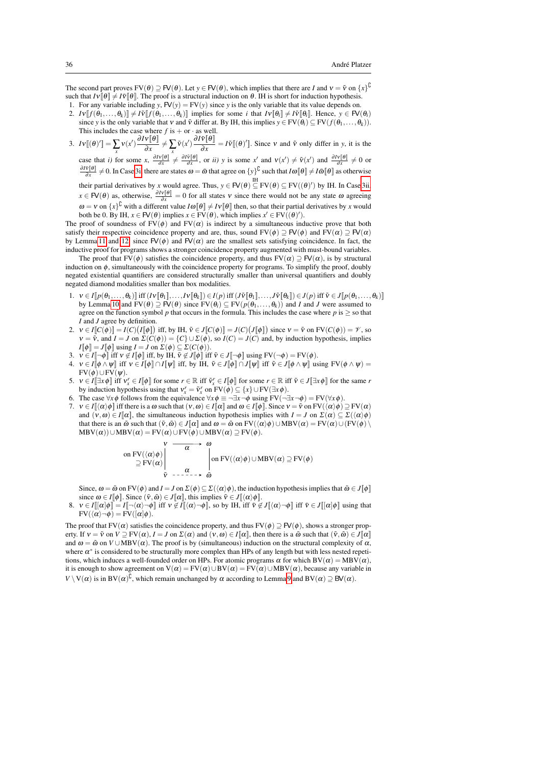The second part proves  $FV(\theta) \supseteq FV(\theta)$ . Let  $y \in FV(\theta)$ , which implies that there are *I* and  $v = \tilde{v}$  on  $\{x\}^{\mathbb{U}}$ such that  $Iv[\theta] \neq I\tilde{v}[\theta]$ . The proof is a structural induction on  $\theta$ . IH is short for induction hypothesis.

- 1. For any variable including *y*,  $FV(y) = FV(y)$  since *y* is the only variable that its value depends on. 2.  $Iv[[f(\theta_1,...,\theta_k)]] \neq I\tilde{v}[[f(\theta_1,...,\theta_k)]]$  implies for some *i* that  $Iv[\theta_i] \neq I\tilde{v}[[\theta_i]]$ . Hence,  $y \in FV(\theta_i)$ since *y* is the only variable that *v* and  $\tilde{v}$  differ at. By IH, this implies  $y \in FV(\theta_i) \subseteq FV(f(\theta_1, \ldots, \theta_k))$ . This includes the case where  $f$  is  $+$  or  $\cdot$  as well.
- 3.  $Iv\llbracket(\theta)'\rrbracket = \sum_{x} v(x') \frac{\partial Iv\llbracket\theta\rrbracket}{\partial x}$  $\frac{\partial V[\![\theta]\!]}{\partial x} \neq \sum_{x} \tilde{v}(x') \frac{\partial I\tilde{v}[\![\theta]\!]}{\partial x}$  $\frac{\partial \Psi}{\partial x} = I \tilde{V}[(\theta)']$ . Since *v* and  $\tilde{V}$  only differ in *y*, it is the

<span id="page-35-0"></span>case that *i*) for some  $x$ ,  $\frac{\partial I v[\theta]}{\partial x} \neq \frac{\partial I \bar{v}[\theta]}{\partial x}$ , or *ii*) y is some  $x'$  and  $v(x') \neq \tilde{v}(x')$  and  $\frac{\partial I v[\theta]}{\partial x} \neq 0$  or  $\frac{\partial I \tilde{v}[\theta]}{\partial x} \neq 0$ . In Case [3i,](#page-35-0) there are states  $\omega = \tilde{\omega}$  that agree on  $\{y\}^{\complement}$  such that  $I\omega[\theta] \neq I\tilde{\omega}[\theta]$  as otherwise

<span id="page-35-1"></span>their partial derivatives by *x* would agree. Thus,  $y \in \mathsf{FV}(\theta) \subseteq \mathrm{FV}(\theta) \subseteq \mathrm{FV}((\theta)')$  by IH. In Cas[e 3ii,](#page-35-1)  $x \in \mathsf{FV}(\theta)$  as, otherwise,  $\frac{\partial I \mathbf{v}[\theta]}{\partial x} = 0$  for all states v since there would not be any state  $\omega$  agreeing  $\omega = v$  on  $\{x\}^U$  with a different value  $I\omega[\theta] \neq IV[\theta]$  then, so that their partial derivatives by *x* would both be 0. By IH,  $x \in \mathsf{FV}(\theta)$  implies  $x \in \mathrm{FV}(\theta)$ , which implies  $x' \in \mathrm{FV}((\theta)')$ .

The proof of soundness of  $FV(\phi)$  and  $FV(\alpha)$  is indirect by a simultaneous inductive prove that both satisfy their respective coincidence property and are, thus, sound  $FV(\phi) \supseteq FV(\phi)$  and  $FV(\alpha) \supseteq FV(\alpha)$ by Lemm[a 11](#page-8-2) and [12,](#page-8-1) since  $FV(\phi)$  and  $FV(\alpha)$  are the smallest sets satisfying coincidence. In fact, the inductive proof for programs shows a stronger coincidence property augmented with must-bound variables.

The proof that FV( $\phi$ ) satisfies the coincidence property, and thus FV( $\alpha$ )  $\supseteq$  FV( $\alpha$ ), is by structural induction on  $\phi$ , simultaneously with the coincidence property for programs. To simplify the proof, doubly negated existential quantifiers are considered structurally smaller than universal quantifiers and doubly negated diamond modalities smaller than box modalities.

- 1.  $v \in I[p(\theta_1,\ldots,\theta_k)]$  iff  $(V[\![\theta_1]\!],\ldots,V[\![\theta_k]\!]) \in I(p)$  iff  $(J\tilde{v}[\![\theta_1]\!],\ldots,J\tilde{v}[\![\theta_k]\!]) \in J(p)$  iff  $\tilde{v} \in J[p(\theta_1,\ldots,\theta_k)]$ by Lemma [10](#page-8-0) and  $FV(\theta) \stackrel{d}{\supset} FV(\theta)$  since  $FV(\theta_i) \subseteq FV(p(\theta_1,\ldots,\theta_k))$  and *I* and *J* were assumed to agree on the function symbol  $p$  that occurs in the formula. This includes the case where  $p$  is  $\geq$  so that *I* and *J* agree by definition.
- 2.  $v \in I[[C(\phi)]] = I(C) (I[[\phi]])$  iff, by IH,  $\tilde{v} \in J[[C(\phi)]] = J(C) (J[[\phi]])$  since  $v = \tilde{v}$  on  $FV(C(\phi)) = \mathcal{V}$ , so  $v = \tilde{v}$ , and  $I = J$  on  $\Sigma(C(\phi)) = \{C\} \cup \Sigma(\phi)$ , so  $I(C) = J(C)$  and, by induction hypothesis, implies  $I[\![\phi]\!] = J[\![\phi]\!]$  using  $I = J$  on  $\Sigma(\phi) \subset \Sigma(C(\phi)).$
- 3.  $v \in I$ [ $\rightarrow \phi$ ] iff  $v \notin I$ [ $\phi$ ] iff, by IH,  $\tilde{v} \notin I$ [ $\phi$ ] iff  $\tilde{v} \in J$ [ $\rightarrow \phi$ ] using FV( $\rightarrow \phi$ ) = FV( $\phi$ ).
- 4.  $v \in I[\![\phi \wedge \psi]\!]$  iff  $v \in I[\![\phi]\!] \cap I[\![\psi]\!]$  iff, by IH,  $\tilde{v} \in J[\![\phi]\!] \cap J[\![\psi]\!]$  iff  $\tilde{v} \in J[\![\phi \wedge \psi]\!]$  using FV $(\phi \wedge \psi) =$  $FV(\phi) \cup FV(\psi)$ .
- 5.  $v \in I[\exists x \phi]$  iff  $v_x^r \in I[\![\phi]\!]$  for some  $r \in \mathbb{R}$  iff  $\tilde{v}_x^r \in I[\![\phi]\!]$  for some  $r \in \mathbb{R}$  iff  $\tilde{v} \in J[\exists x \phi]\!]$  for the same *r* by induction hypothesis using that  $v_x^r = \tilde{v}_x^r$  on  $FV(\phi) \subseteq \{x\} \cup FV(\exists x \phi)$ .
- 6. The case  $\forall x \phi$  follows from the equivalence  $\forall x \phi \equiv \neg \exists x \neg \phi$  using  $FV(\neg \exists x \neg \phi) = FV(\forall x \phi)$ .
- 7.  $v \in I[(\alpha)\phi]$  iff there is a  $\omega$  such that  $(v, \omega) \in I[\![\alpha]\!]$  and  $\omega \in I[\![\phi]\!]$ . Since  $v = \tilde{v}$  on  $FV(\langle \alpha \rangle \phi) \supseteq FV(\alpha)$ and  $(v, \omega) \in I[\![\alpha]\!]$ , the simultaneous induction hypothesis implies with  $I = J$  on  $\Sigma(\alpha) \subseteq \Sigma(\langle \alpha \rangle \phi)$ that there is an  $\omega \in \omega$  such that  $(\tilde{v}, \tilde{\omega}) \in J[\![\alpha]\!]$  and  $\omega = \tilde{\omega}$  on  $FV(\langle \alpha \rangle \phi) \cup MBV(\alpha) = FV(\alpha) \cup (FV(\phi))$  $\text{MBV}(\alpha)$ )∪MBV $(\alpha)$  = FV $(\alpha)$ ∪FV $(\phi)$ ∪MBV $(\alpha)$  ⊇ FV $(\phi)$ .

$$
\begin{array}{c}\n\mathbf{v} & \longrightarrow & \omega \\
\text{on } \text{FV}(\langle \alpha \rangle \phi) & \longrightarrow & \\
\supseteq \text{FV}(\alpha) & \downarrow & \\
\widetilde{\mathbf{v}} & \longrightarrow & \widetilde{\mathbf{w}} \\
\text{on } \text{FV}(\langle \alpha \rangle \phi) \cup \text{MBV}(\alpha) \supseteq \text{FV}(\phi)\n\end{array}
$$

Since,  $\omega = \tilde{\omega}$  on FV( $\phi$ ) and  $I = J$  on  $\Sigma(\phi) \subseteq \Sigma(\langle \alpha \rangle \phi)$ , the induction hypothesis implies that  $\tilde{\omega} \in J[\![\phi]\!]$ since  $\omega \in I[\![\phi]\!]$ . Since  $(\tilde{v}, \tilde{\omega}) \in J[\![\alpha]\!]$ , this implies  $\tilde{v} \in J[\!](\alpha)\phi]\!]$ .

8.  $v \in I[[\alpha]\phi] = I[\neg(\alpha) \neg \phi]$  iff  $v \notin I[(\alpha) \neg \phi]$ , so by IH, iff  $v \notin J[(\alpha) \neg \phi]$  iff  $v \in J[[\alpha]\phi]$  using that  $FV(\langle \alpha \rangle \neg \phi) = FV([\alpha]\phi).$ 

The proof that FV( $\alpha$ ) satisfies the coincidence property, and thus FV( $\phi$ )  $\supset \text{FV}(\phi)$ , shows a stronger property. If  $v = \tilde{v}$  on  $V \supseteq FV(\alpha)$ ,  $I = J$  on  $\Sigma(\alpha)$  and  $(v, \omega) \in I[\![\alpha]\!]$ , then there is a  $\tilde{\omega}$  such that  $(\tilde{v}, \tilde{\omega}) \in J[\![\alpha]\!]$ and  $\omega = \tilde{\omega}$  on  $V \cup \text{MBV}(\alpha)$ . The proof is by (simultaneous) induction on the structural complexity of  $\alpha$ , where  $\alpha^*$  is considered to be structurally more complex than HPs of any length but with less nested repetitions, which induces a well-founded order on HPs. For atomic programs  $\alpha$  for which BV( $\alpha$ ) = MBV( $\alpha$ ), it is enough to show agreement on  $V(\alpha) = FV(\alpha) \cup BV(\alpha) = FV(\alpha) \cup MBV(\alpha)$ , because any variable in  $V \setminus V(\alpha)$  is in  $BV(\alpha)^{U}$ , which remain unchanged by  $\alpha$  according to Lemma [9](#page-7-0) and  $BV(\alpha) \supseteq BV(\alpha)$ .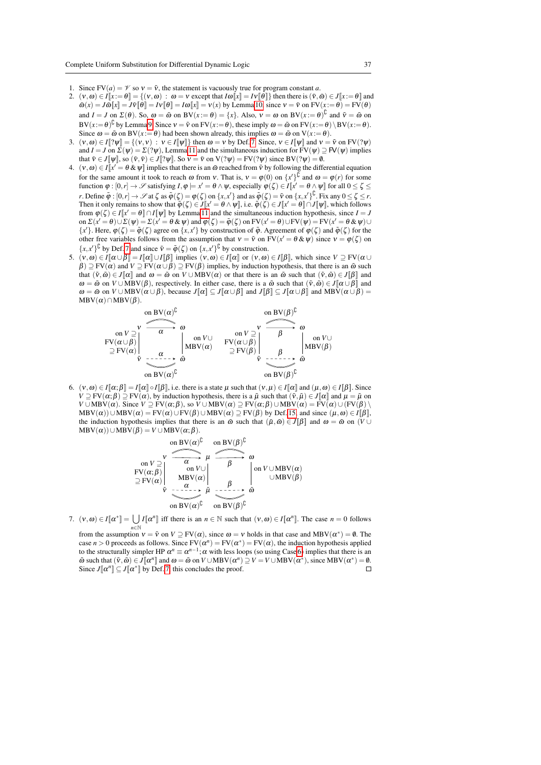- 1. Since  $FV(a) = \mathcal{V}$  so  $v = \tilde{v}$ , the statement is vacuously true for program constant *a*.
- 2.  $(v, \omega) \in I[x := \theta] = \{ (v, \omega) : \omega = v \text{ except that } I\omega[x] = IV[\theta] \}$  then there is  $(\tilde{v}, \tilde{\omega}) \in J[x := \theta]$  and  $\tilde{\omega}(x) = J\tilde{\omega}[[x]] = J\tilde{v}[[\theta]] = I\omega[[x]] = v(x)$  by Lemma [10,](#page-8-0) since  $v = \tilde{v}$  on  $FV(x := \theta) = FV(\theta)$ and  $I = J$  on  $\Sigma(\theta)$ . So,  $\omega = \tilde{\omega}$  on  $BV(x := \theta) = \{x\}$ . Also,  $v = \omega$  on  $BV(x := \theta)^{\mathbb{C}}$  and  $\tilde{v} = \tilde{\omega}$  on  $BV(x:=\theta)^U$  by Lemma [9.](#page-7-0) Since  $v = \tilde{v}$  on  $FV(x:=\theta)$ , these imply  $\omega = \tilde{\omega}$  on  $FV(x:=\theta) \setminus BV(x:=\theta)$ . Since  $\omega = \tilde{\omega}$  on BV( $x := \theta$ ) had been shown already, this implies  $\omega = \tilde{\omega}$  on V( $x := \theta$ ).
- 3.  $(v, \omega) \in I[[\mathcal{V} \mathcal{V}] = \{(v, v) : v \in I[\mathcal{V}] \}$  then  $\omega = v$  by Def[. 7.](#page-6-1) Since,  $v \in I[\mathcal{V}]$  and  $v = \tilde{v}$  on FV( $(\mathcal{V} \mathcal{V})$ ) and  $I = J$  on  $\Sigma(\psi) = \Sigma(2\psi)$ , Lemm[a 11](#page-8-2) and the simultaneous induction for  $FV(\psi) \supseteq FV(\psi)$  implies that  $\tilde{v} \in J[\![\psi]\!]$ , so  $(\tilde{v}, \tilde{v}) \in J[\![? \psi]\!]$ . So  $v = \tilde{v}$  on  $V(? \psi) = FV(? \psi)$  since  $BV(? \psi) = \emptyset$ .
- 4.  $(v, \omega) \in I[x' = \theta \& \psi]$  implies that there is an  $\tilde{\omega}$  reached from  $\tilde{v}$  by following the differential equation for the same amount it took to reach  $\omega$  from  $v$ . That is,  $v = \varphi(0)$  on  $\{x'\}^{\cup}$  and  $\omega = \varphi(r)$  for some function  $\varphi : [0, r] \to \mathscr{S}$  satisfying  $I, \varphi \models x' = \theta \land \psi$ , especially  $\varphi(\zeta) \in I[\![x' = \theta \land \psi]\!]$  for all  $0 \leq \zeta \leq$ *r*. Define  $\tilde{\varphi}$  :  $[0,r] \to \mathscr{S}$  at  $\zeta$  as  $\tilde{\varphi}(\zeta) = \varphi(\zeta)$  on  $\{x,x'\}$  and as  $\tilde{\varphi}(\zeta) = \tilde{v}$  on  $\{x,x'\}^{\complement}$ . Fix any  $0 \le \zeta \le r$ . Then it only remains to show that  $\tilde{\varphi}(\zeta) \in J[x' = \theta \wedge \psi]$ , i.e.  $\tilde{\varphi}(\zeta) \in J[x' = \theta] \cap J[\psi]$ , which follows from  $\varphi(\zeta) \in I[x] = \theta \cap I[\psi]$  by Lemm[a 11](#page-8-2) and the simultaneous induction hypothesis, since  $I = J$ on  $\Sigma(x' = \theta) \cup \Sigma(\psi) = \Sigma(x' = \theta \& \psi)$  and  $\varphi(\zeta) = \tilde{\varphi}(\zeta)$  on  $FV(x' = \theta) \cup FV(\psi) = FV(x' = \theta \& \psi) \cup$ {*x*<sup>'</sup>}. Here,  $\varphi(\zeta) = \tilde{\varphi}(\zeta)$  agree on {*x*, *x*<sup>'</sup>} by construction of  $\tilde{\varphi}$ . Agreement of  $\varphi(\zeta)$  and  $\tilde{\varphi}(\zeta)$  for the other free variables follows from the assumption that  $v = \tilde{v}$  on  $FV(x' = \theta \& \psi)$  since  $v = \varphi(\zeta)$  on  ${x, x'}$ <sup>C</sup> by Def. [7](#page-6-1) and since  $\tilde{v} = \tilde{\varphi}(\zeta)$  on  ${x, x'}$ <sup>C</sup> by construction.
- 5.  $(v, \omega) \in I[\![\alpha \cup \beta]\!] = I[\![\alpha]\!] \cup I[\![\beta]\!]$  implies  $(v, \omega) \in I[\![\alpha]\!]$  or  $(v, \omega) \in I[\![\beta]\!]$ , which since  $V \supset FV(\alpha \cup$  $\hat{\beta}$ )  $\supseteq$  FV( $\alpha$ ) and  $V \supseteq$  FV( $\alpha \cup \beta$ )  $\supseteq$  FV( $\beta$ ) implies, by induction hypothesis, that there is an  $\tilde{\omega}$  such that  $(\tilde{v}, \tilde{\omega}) \in J[\![\alpha]\!]$  and  $\omega = \tilde{\omega}$  on  $V \cup \text{MBV}(\alpha)$  or that there is an  $\tilde{\omega}$  such that  $(\tilde{v}, \tilde{\omega}) \in J[\![\beta]\!]$  and  $\omega = \tilde{\omega}$  on  $V \cup \overline{MBV}(\beta)$ , respectively. In either case, there is a  $\tilde{\omega}$  such that  $(\tilde{v}, \tilde{\omega}) \in J[\![\alpha \cup \beta]\!]$  and  $\omega = \tilde{\omega}$  on  $V \cup \text{MBV}(\alpha \cup \beta)$ , because  $J[\![\alpha]\!] \subseteq J[\![\alpha \cup \beta]\!]$  and  $J[\![\beta]\!] \subseteq J[\![\alpha \cup \beta]\!]$  and  $\text{MBV}(\alpha \cup \beta) =$  $MBV(\alpha) \cap MBV(\beta)$ .



<span id="page-36-0"></span>6.  $(v, \omega) \in I[\![\alpha;\beta]\!] = I[\![\alpha]\!] \circ I[\![\beta]\!]$ , i.e. there is a state  $\mu$  such that  $(v, \mu) \in I[\![\alpha]\!]$  and  $(\mu, \omega) \in I[\![\beta]\!]$ . Since  $V \supseteq FV(\alpha;\beta) \supseteq FV(\alpha)$ , by induction hypothesis, there is a  $\tilde{\mu}$  such that  $(\tilde{v}, \tilde{\mu}) \in J[\![\alpha]\!]$  and  $\mu = \tilde{\mu}$  on *V* ∪ MBV( $\alpha$ ). Since *V*  $\supseteq$  FV( $\alpha$ ; $\beta$ ), so *V* ∪ MBV( $\alpha$ )  $\supseteq$  FV( $\alpha$ ; $\beta$ ) ∪ MBV( $\alpha$ ) = FV( $\alpha$ ) ∪ (FV( $\beta$ ) \  $MBV(\alpha)$ )∪  $MBV(\alpha) = FV(\alpha) \cup FV(\beta) \cup MBV(\alpha) \supseteq FV(\beta)$  by Def[. 15,](#page-10-0) and since  $(\mu, \omega) \in I[\beta]$ , the induction hypothesis implies that there is an  $\tilde{\omega}$  such that  $(\tilde{\mu}, \tilde{\omega}) \in J[\beta]$  and  $\omega = \tilde{\omega}$  on  $(V \cup$  $MBV(\alpha)$ )∪MBV( $\beta$ ) = *V* ∪MBV( $\alpha$ ; $\beta$ ).

on 
$$
V \propto \mu
$$
  
\non  $V \supseteq \mu$   
\n $\downarrow$   
\n $\downarrow$   
\n $\downarrow$   
\n $\downarrow$   
\n $\downarrow$   
\n $\uparrow$   
\n $\downarrow$   
\n $\uparrow$   
\n $\uparrow$   
\n $\uparrow$   
\n $\uparrow$   
\n $\uparrow$   
\n $\uparrow$   
\n $\uparrow$   
\n $\uparrow$   
\n $\uparrow$   
\n $\uparrow$   
\n $\uparrow$   
\n $\uparrow$   
\n $\uparrow$   
\n $\uparrow$   
\n $\uparrow$   
\n $\downarrow$   
\n $\uparrow$   
\n $\downarrow$   
\n $\uparrow$   
\n $\downarrow$   
\n $\downarrow$   
\n $\downarrow$   
\n $\downarrow$   
\n $\downarrow$   
\n $\downarrow$   
\n $\downarrow$   
\n $\downarrow$   
\n $\downarrow$   
\n $\downarrow$   
\n $\downarrow$   
\n $\downarrow$   
\n $\downarrow$   
\n $\downarrow$   
\n $\downarrow$   
\n $\downarrow$   
\n $\downarrow$   
\n $\downarrow$   
\n $\downarrow$   
\n $\downarrow$   
\n $\downarrow$   
\n $\downarrow$   
\n $\downarrow$   
\n $\downarrow$   
\n $\downarrow$   
\n $\downarrow$   
\n $\downarrow$   
\n $\downarrow$   
\n $\downarrow$   
\n $\downarrow$   
\n $\downarrow$   
\n $\downarrow$   
\n $\downarrow$   
\n $\downarrow$   
\n $\downarrow$   
\n $\downarrow$   
\n $\downarrow$   
\n $\downarrow$   
\n $\downarrow$   
\n $\downarrow$   
\n $\downarrow$ <

- 7.  $(v, \omega) \in I[\![\alpha^*]\!] = \bigcup I[\![\alpha^n]\!]$  iff there is an  $n \in \mathbb{N}$  such that  $(v, \omega) \in I[\![\alpha^n]\!]$ . The case  $n = 0$  follows
	- from the assumption  $v = \tilde{v}$  on  $V \supseteq FV(\alpha)$ , since  $\omega = v$  holds in that case and MBV( $\alpha^*$ ) = 0. The case  $n > 0$  proceeds as follows. Since  $FV(\alpha^n) = FV(\alpha^*) = FV(\alpha)$ , the induction hypothesis applied to the structurally simpler HP  $\alpha^n \equiv \alpha^{n-1}$ ;  $\alpha$  with less loops (so using Case [6\)](#page-36-0) implies that there is an  $\tilde{\omega}$  such that  $(\tilde{v}, \tilde{\omega}) \in J[\![\alpha^n]\!]$  and  $\omega = \tilde{\omega}$  on  $V \cup \text{MBV}(\alpha^n) \supseteq V = V \cup \text{MBV}(\alpha^*)$ , since  $\text{MBV}(\alpha^*) = \emptyset$ . Since  $J[\![\alpha^n]\!] \subseteq J[\![\alpha^*]\!]$  by Def. [7,](#page-6-1) this concludes the proof.  $\Box$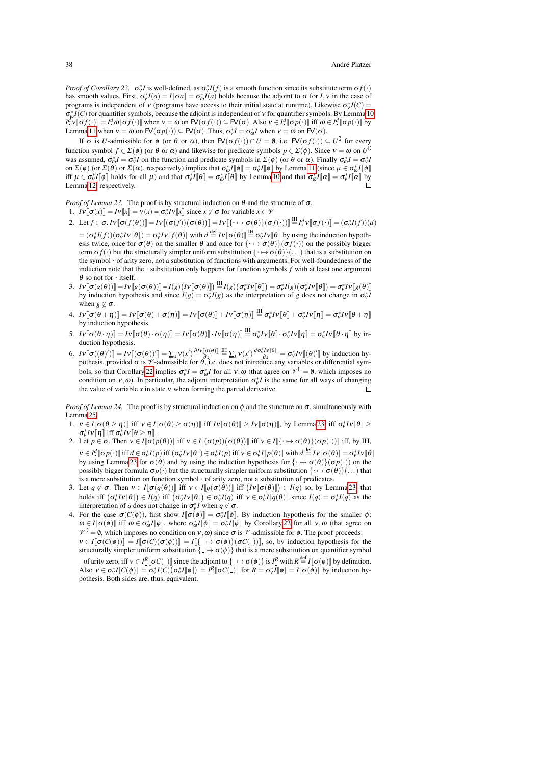*Proof of Corollary 22.*  $\sigma_v^* I$  is well-defined, as  $\sigma_v^* I(f)$  is a smooth function since its substitute term  $\sigma f(\cdot)$ has smooth values. First,  $\sigma_v^* I(a) = I[\![\sigma a]\!] = \sigma_o^* I(a)$  holds because the adjoint to  $\sigma$  for *I*, *v* in the case of programs is independent of  $v$  (programs have access to their initial state at runtime). Likewise  $\sigma_v^* I(C)$  $\sigma_{\varphi}^*I(C)$  for quantifier symbols, because the adjoint is independent of v for quantifier symbols. By Lemma [10,](#page-8-0) *I*<sup>*d*</sup>  $\mathbf{v} \in \mathcal{I}^d$   $\mathbf{v} \in \mathcal{I}^d$  ( $\mathbf{v} \in \mathcal{I}^d$   $\mathbf{v} \in \mathcal{I}^d$   $\mathbf{v} \in \mathcal{I}^d$  ( $\mathbf{v} \in \mathcal{I}^d$   $\mathbf{v} \in \mathcal{I}^d$   $\mathbf{v} \in \mathcal{I}^d$   $\mathbf{v} \in \mathcal{I}^d$   $\mathbf{v} \in \mathcal{I}^d$   $\mathbf{v} \in \mathcal{I}^d$  ( Lemma [11](#page-8-2) when  $v = \omega$  on  $F(v) = F(v)$ . Thus,  $\sigma_v^* I = \sigma_{\omega}^* I$  when  $v = \omega$  on  $F(v)$ .

If  $\sigma$  is *U*-admissible for  $\phi$  (or  $\theta$  or  $\alpha$ ), then  $FV(\sigma f(\cdot)) \cap U = \emptyset$ , i.e.  $FV(\sigma f(\cdot)) \subseteq U^{\downarrow}$  for every function symbol  $f \in \Sigma(\phi)$  (or  $\theta$  or  $\alpha$ ) and likewise for predicate symbols  $p \in \Sigma(\phi)$ . Since  $v = \omega$  on  $U^{\downarrow}$ was assumed,  $\sigma_{\omega}^* I = \sigma_v^* I$  on the function and predicate symbols in  $\Sigma(\phi)$  (or  $\theta$  or  $\alpha$ ). Finally  $\sigma_{\omega}^* I = \sigma_v^* I$ on  $\Sigma(\phi)$  (or  $\Sigma(\theta)$  or  $\Sigma(\alpha)$ , respectively) implies that  $\sigma_{\omega}^*I[\![\phi]\!] = \sigma_v^*I[\![\phi]\!]$  by Lemma [11](#page-8-2) (since  $\mu \in \sigma_{\omega}^*I[\![\phi]\!]$ iff  $\mu \in \sigma_v^* I[\![\phi]\!]$  holds for all  $\mu$ ) and that  $\sigma_v^* I[\![\theta]\!] = \sigma_\omega^* I[\![\theta]\!]$  by Lemma [10](#page-8-0) and that  $\sigma_\omega^* I[\![\alpha]\!] = \sigma_v^* I[\![\alpha]\!]$  by Lemma [12,](#page-8-1) respectively.

*Proof of Lemma 23.* The proof is by structural induction on  $\theta$  and the structure of  $\sigma$ .

- 1.  $Iv[\![\sigma(x)]\!] = IV[[x]] = v(x) = \sigma_v^* Iv[[x]]$  since  $x \notin \sigma$  for variable  $x \in V$
- 2. Let  $f \in \sigma$ .  $Iv[\sigma(f(\theta))] = Iv[(\sigma(f))(\sigma(\theta))] = IV[\{\cdot \mapsto \sigma(\theta)\}(\sigma f(\cdot))] \stackrel{\text{IH}}{=} I^d v[\sigma f(\cdot)] = (\sigma_v^* I(f))(d)$  $= (\sigma_v^* I(f))(\sigma_v^* Iv[\![\theta]\!]) = \sigma_v^* Iv[\![\tau(\theta)\!])$  with  $d \stackrel{\text{def}}{=} Iv[\![\sigma(\theta)\!]] \stackrel{\text{def}}{=} \sigma_v^* Iv[\![\theta]\!])$  by using the induction hypothesis twice, once for  $\sigma(\theta)$  on the smaller  $\theta$  and once for  $\{\cdot \mapsto \sigma(\theta)\}(\sigma f(\cdot))$  on the possibly bigger term  $\sigma f(\cdot)$  but the structurally simpler uniform substitution  $\{\cdot \mapsto \sigma(\theta)\}(\ldots)$  that is a substitution on the symbol · of arity zero, not a substitution of functions with arguments. For well-foundedness of the induction note that the  $\cdot$  substitution only happens for function symbols  $f$  with at least one argument  $\theta$  so not for  $\cdot$  itself.
- 3.  $Iv[\![\sigma(g(\theta))]\!]=\!Iv[\![g(\sigma(\theta))]\!]=\!I(g)\big(Iv[\![\sigma(\theta)]\!]\big) \stackrel{\mathrm{IH}}{=} I(g)\big(\sigma_v^*Iv[\![\theta]\!]\big)=\sigma_v^*I(g)\big(\sigma_v^*Iv[\![\theta]\!]\big)=\sigma_v^*Iv[\![g(\theta)]\!]$ by induction hypothesis and since  $I(g) = \sigma_v^* I(g)$  as the interpretation of *g* does not change in  $\sigma_v^* I(g)$ when  $g \notin \sigma$ .
- $4. \ \ Iv[\![\sigma(\theta + \eta)]\!] = IV[\![\sigma(\theta) + \sigma(\eta)]\!] = IV[\![\sigma(\theta)]\!] + IV[\![\sigma(\eta)]\!] \stackrel{\text{IH}}{=} \sigma_v^*IV[\![\theta]\!] + \sigma_v^*IV[\![\eta]\!] = \sigma_v^*IV[\![\theta + \eta]\!]$ by induction hypothesis.
- 5.  $Iv[\![\sigma(\theta \cdot \eta)]\!] = Iv[\![\sigma(\theta) \cdot \sigma(\eta)]\!] = Iv[\![\sigma(\theta)]\!] \cdot Iv[\![\sigma(\eta)]\!] \stackrel{\text{IH}}{=} \sigma_v^* Iv[\![\theta]\!] \cdot \sigma_v^* Iv[\![\eta]\!] = \sigma_v^* Iv[\![\theta \cdot \eta]\!]$  by induction hypothesis.
- 6.  $I v [\![\sigma((\theta)')]\!] = I v [\![\sigma(\theta))] = \sum_x v(x') \frac{\partial I v [\![\sigma(\theta)]\!]}{\partial x} \stackrel{\text{III}}{=} \sum_x v(x') \frac{\partial \sigma_v^* I v [\![\theta]}{\partial x} = \sigma_v^* I v [\![\theta)'] \text{ by induction hypothesis.}$ pothesis, provided  $\sigma$  is  $\mathcal V$ -admissible for  $\theta$ , i.e. does not introduce any variables or differential sym-bols, so that Corollary [22](#page-15-1) implies  $\sigma_v^* I = \sigma_o^* I$  for all  $v, \omega$  (that agree on  $\mathcal{V}^{\mathbb{C}} = \emptyset$ , which imposes no condition on  $v, \omega$ ). In particular, the adjoint interpretation  $\sigma_v^* I$  is the same for all ways of changing the value of variable  $x$  in state  $v$  when forming the partial derivative.  $\Box$

*Proof of Lemma 24.* The proof is by structural induction on  $\phi$  and the structure on  $\sigma$ , simultaneously with Lemma [25.](#page-15-2)

- 1.  $v \in I[\![\sigma(\theta \geq \eta)]\!]$  iff  $v \in I[\![\sigma(\theta) \geq \sigma(\eta)]\!]$  iff  $Iv[\![\sigma(\theta)]\!] \geq Iv[\![\sigma(\eta)]\!]$ , by Lemma [23,](#page-15-3) iff  $\sigma_v^*Iv[\![\theta]\!] \geq$  $\sigma_v^* I v[\![\eta]\!]$  iff  $\sigma_v^* I v[\![\theta \geq \eta]\!]$ .
- 2. Let  $p \in \sigma$ . Then  $v \in I[\![\sigma(p(\theta))]$  iff  $v \in I[(\sigma(p))(\sigma(\theta))]$  iff  $v \in I[\{\cdot \mapsto \sigma(\theta)\}(\sigma p(\cdot))]$  iff, by IH,  $v \in I^d$   $[\sigma p(\cdot)]$  iff  $d \in \sigma_v^* I(p)$  iff  $(\sigma_v^* I v[\theta]) \in \sigma_v^* I(p)$  iff  $v \in \sigma_v^* I[p(\theta)]$  with  $d \stackrel{\text{def}}{=} I v[\sigma(\theta)] = \sigma_v^* I v[\theta]$ by using Lemma [23](#page-15-3) for  $\sigma(\theta)$  and by using the induction hypothesis for  $\{\rightarrow \sigma(\theta)\}$ ( $\sigma p(\cdot)$ ) on the by using Lemma 23 for  $\sigma(\theta)$  and by using the induction hypothesis for  $\{\rightarrow \sigma(\theta)\}$ ( $\sigma p(\cdot)$ ) on the possibly bigger formula  $\sigma p(\cdot)$  but the structurally simpler uniform substitution  $\{\cdot \mapsto \sigma(\theta)\}(\dots)$  that is a mere substitution on function symbol · of arity zero, not a substitution of predicates.
- 3. Let  $q \notin \sigma$ . Then  $v \in I[\sigma(q(\theta))]$  iff  $v \in I[q(\sigma(\theta))]$  iff  $(V[\sigma(\theta)]) \in I(q)$  so, by Lemma [23,](#page-15-3) that holds iff  $(\sigma_v^* I \vee [\![\theta]\!]) \in I(q)$  iff  $(\sigma_v^* I \vee [\![\theta]\!]) \in \sigma_v^* I(q)$  iff  $v \in \sigma_v^* I[\![q(\theta)]\!]$  since  $I(q) = \sigma_v^* I(q)$  as the interpretation of *q* does not change in  $\sigma_v^* I$  when  $q \notin \sigma$ .
- 4. For the case  $\sigma(C(\phi))$ , first show  $I[\![\sigma(\phi)]\!] = \sigma_v^* I[\![\phi]\!]$ . By induction hypothesis for the smaller  $\phi$ :  $\omega \in I[\![\sigma(\phi)]\!]$  iff  $\omega \in \sigma^*_{\omega}I[\![\phi]\!]$ , where  $\sigma^*_{\omega}I[\![\phi]\!] = \sigma^*_{\nu}I[\![\phi]\!]$  by Corollary [22](#page-15-1) for all  $v, \omega$  (that agree on  $V^{\mathcal{L}} = \emptyset$ , which imposes no condition on  $V, \omega$ ) since  $\sigma$  is  $\mathcal{V}$ -admissible for  $\phi$ . The proof proceeds:  $v \in I[\![\sigma(C(\phi))] = I[\![\sigma(C)(\sigma(\phi))] = I[\![{\{\_\mapsto \sigma(\phi)\}(\sigma(C(\_\cdot))]}\!]$ , so, by induction hypothesis for the structurally simpler uniform substitution  $\{-\mapsto \sigma(\phi)\}\$  that is a mere substitution on quantifier symbol of arity zero, iff  $v \in I^R$   $[\sigma C(\_)]$  since the adjoint to  $\{- \to \sigma(\phi)\}$  is  $I^R$  with  $R \stackrel{\text{def}}{=} I [\![\sigma(\phi)]\!]$  by definition. Also  $v \in \sigma_v^* I[[C(\phi)]] = \sigma_v^* I(C) (\sigma_v^* I[\phi]) = I^R[\sigma C(\phi)]$  for  $R = \sigma_v^* I[\phi] = I[\sigma(\phi)]$  by induction hypothesis. Both sides are, thus, equivalent.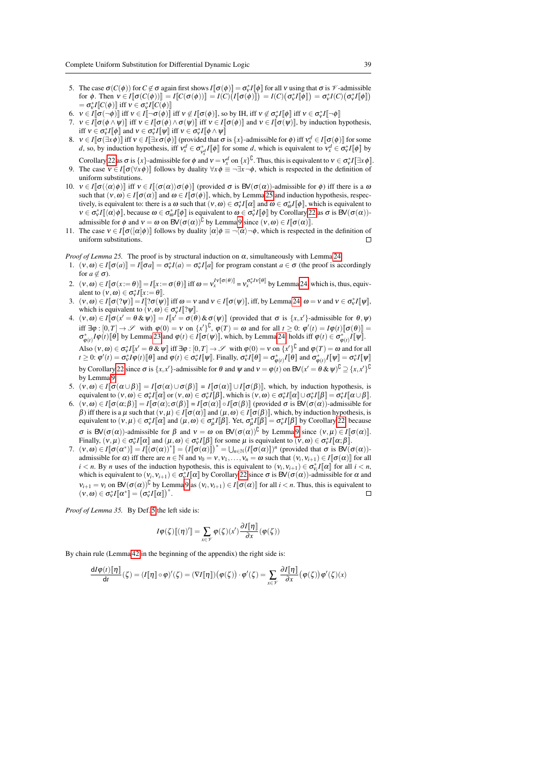- 5. The case  $\sigma(C(\phi))$  for  $C \notin \sigma$  again first shows  $I[\sigma(\phi)] = \sigma_v^* I[\phi]$  for all v using that  $\sigma$  is V-admissible for  $\phi$ . Then  $v \in I[\![\sigma(C(\phi))]]=I[\![C(\sigma(\phi))]]=I(C)\big(I[\![\sigma(\phi)]\!\big])=I(C)\big(\sigma_v^*I[\![\phi]\!\big])=\sigma_v^*I(C)\big(\sigma_v^*I[\![\phi]\!\big]$  $= \sigma_v^* I \llbracket C(\phi) \rrbracket$  iff  $v \in \sigma_v^* I \llbracket C(\phi) \rrbracket$
- 6.  $v \in I[\![\sigma(\neg\phi)]\!]$  iff  $v \in I[\![\neg\sigma(\phi)]\!]$  iff  $v \notin I[\![\sigma(\phi)]\!]$ , so by IH, iff  $v \notin \sigma_v^*I[\![\phi]\!]$  iff  $v \in \sigma_v^*I[\![\neg\phi]\!]$
- 7.  $v \in I[\![\sigma(\phi \wedge \psi)]\!]$  iff  $v \in I[\![\sigma(\phi) \wedge \sigma(\psi)]\!]$  iff  $v \in I[\![\sigma(\phi)]\!]$  and  $v \in I[\![\sigma(\psi)]\!]$ , by induction hypothesis, iff  $v \in \sigma_v^* I[\![\phi]\!]$  and  $v \in \sigma_v^* I[\![\psi]\!]$  iff  $v \in \sigma_v^* I[\![\phi \wedge \psi]\!]$
- 8.  $v \in I[\![\sigma(\exists x \phi)]\!]$  iff  $v \in I[\![\exists x \sigma(\phi)]\!]$  (provided that  $\sigma$  is  $\{x\}$ -admissible for  $\phi$ ) iff  $v_x^d \in I[\![\sigma(\phi)]\!]$  for some *d*, so, by induction hypothesis, iff  $v_x^d \in \sigma_{y_x^d}^* I[\![\phi]\!]$  for some *d*, which is equivalent to  $v_x^d \in \sigma_v^* I[\![\phi]\!]$  by
- Corollary [22](#page-15-1) as  $\sigma$  is  $\{x\}$ -admissible for  $\phi$  and  $v = v_x^d$  on  $\{x\}^U$ . Thus, this is equivalent to  $v \in \sigma_v^* I[\exists x \phi]$ . 9. The case  $v \in I[\![\sigma(\forall x \phi)]\!]$  follows by duality  $\forall x \phi \equiv \neg \exists x \neg \phi$ , which is respected in the definition of uniform substitutions.
- 10.  $v \in I[\![\sigma(\langle \alpha \rangle \phi)]\!]$  iff  $v \in I[\![\langle \sigma(\alpha) \rangle \sigma(\phi)]\!]$  (provided  $\sigma$  is BV( $\sigma(\alpha)$ )-admissible for  $\phi$ ) iff there is a  $\omega$ such that  $(v, \omega) \in I[\![\sigma(\alpha)]\!]$  and  $\omega \in I[\![\sigma(\phi)]\!]$ , which, by Lemm[a 25](#page-15-2) and induction hypothesis, respectively, is equivalent to: there is a  $\omega$  such that  $(v, \omega) \in \sigma_v^* I[\![\alpha]\!]$  and  $\omega \in \sigma_{\omega}^* I[\![\phi]\!]$ , which is equivalent to  $v \in \sigma_v^* I[\langle \alpha \rangle \phi]$ , because  $\omega \in \sigma_\omega^* I[\![\phi]\!]$  is equivalent to  $\omega \in \sigma_v^* I[\![\phi]\!]$  by Corollar[y 22](#page-15-1) as  $\sigma$  is  $BV(\sigma(\alpha))$ admissible for  $\phi$  and  $v = \omega$  on  $BV(\sigma(\alpha))^{\complement}$  by Lemma [9](#page-7-0) since  $(v, \omega) \in I[\![\sigma(\alpha)]\!]$ .
- 11. The case  $v \in I[\![\sigma([\alpha]\phi)]\!]$  follows by duality  $[\alpha]\phi \equiv \neg(\alpha)\neg\phi$ , which is respected in the definition of uniform substitutions.
- *Proof of Lemma 25.* The proof is by structural induction on  $\alpha$ , simultaneously with Lemma [24.](#page-15-0)
- 1.  $(v, \omega) \in I[\![\sigma(a)]\!] = I[\![\sigma a]\!] = \sigma_v^* I[a] = \sigma_v^* I[\![a]\!]$  for program constant  $a \in \sigma$  (the proof is accordingly for  $a \notin \sigma$ ).
- 2.  $(v, \omega) \in I[\![\sigma(x:=\theta)]\!] = I[x := \sigma(\theta)]$  iff  $\omega = v_x^{[v[\![\sigma(\theta)]\!]} = v_x^{\sigma_v^* I v[\![\theta]\!]}$  by Lemm[a 24,](#page-15-0) which is, thus, equivalent to  $(v, \omega) \in \sigma_v^* I[x := \theta]$ .
- 3.  $(v, \omega) \in I[\![\sigma(? \psi)]\!] = I[\![? \sigma(\psi)]\!]$  iff  $\omega = v$  and  $v \in I[\![\sigma(\psi)]\!]$ , iff, by Lemm[a 24,](#page-15-0)  $\omega = v$  and  $v \in \sigma_v^* I[\![\psi]\!]$ , which is equivalent to  $(v, \omega) \in \sigma_v^* I$ [? $\psi$ ].
- 4.  $(v, \omega) \in I[\![\sigma(x' = \theta \& \psi)]\!] = I[\![x' = \sigma(\theta) \& \sigma(\psi)]\!]$  (provided that  $\sigma$  is  $\{x, x'\}$ -admissible for  $\theta, \psi$ ) iff  $\exists \varphi : [0, T] \to \mathscr{S}$  with  $\varphi(0) = v$  on  $\{x'\}^{\complement}$ ,  $\varphi(T) = \omega$  and for all  $t \geq 0$ :  $\varphi'(t) = I\varphi(t)[\sigma(\theta)]$  $\sigma_{\varphi(t)}^* I \varphi(t) [\![\theta]\!]$  by Lemma [23](#page-15-3) and  $\varphi(t) \in I[\![\sigma(\psi)]\!]$ , which, by Lemma [24,](#page-15-0) holds iff  $\varphi(t) \in \sigma_{\varphi(t)}^* I[\![\psi]\!]$ . Also  $(v, \omega) \in \sigma_v^* I[x' = \theta \& \psi]$  iff  $\exists \varphi : [0, T] \rightarrow \mathscr{S}$  with  $\varphi(0) = v$  on  $\{x'\}^{\cup}$  and  $\varphi(T) = \omega$  and for all  $t \geq 0$ :  $\varphi'(t) = \sigma_v^* I \varphi(t) [\![\theta]\!]$  and  $\varphi(t) \in \sigma_v^* I [\![\psi]\!]$ . Finally,  $\sigma_v^* I [\![\theta]\!] = \sigma_{\varphi(t)}^* I [\![\theta]\!]$  and  $\sigma_{\varphi(t)}^* I [\![\psi]\!] = \sigma_v^* I [\![\psi]\!]$ by Corollary [22](#page-15-1) since  $\sigma$  is  $\{x, x'\}$ -admissible for  $\theta$  and  $\psi$  and  $v = \phi(t)$  on  $BV(x' = \theta \& \psi)^{\complement} \supseteq \{x, x'\}^{\complement}$ by Lemma [9.](#page-7-0)
- 5.  $(v, \omega) \in I[\![\sigma(\alpha \cup \beta)]\!] = I[\![\sigma(\alpha) \cup \sigma(\beta)]\!] = I[\![\sigma(\alpha)]\!] \cup I[\![\sigma(\beta)]\!]$ , which, by induction hypothesis, is equivalent to  $(v, \omega) \in \sigma_v^* I[\![\alpha]\!]$  or  $(v, \omega) \in \sigma_v^* I[\![\beta]\!]$ , which is  $(v, \omega) \in \sigma_v^* I[\![\alpha]\!] \cup \sigma_v^* I[\![\beta]\!] = \sigma_v^* I[\![\alpha \cup \beta]\!]$ .
- 6.  $(v, \omega) \in I[\![\sigma(\alpha;\beta)]\!] = I[\![\sigma(\alpha);\sigma(\beta)]\!] = I[\![\sigma(\alpha)]\!] \circ I[\![\sigma(\beta)]\!]$  (provided  $\sigma$  is  $BV(\sigma(\alpha))$ -admissible for β) iff there is a μ such that  $(v, μ) \in I[\![\sigma(\alpha)]\!]$  and  $(u, \omega) \in I[\![\sigma(\beta)]\!]$ , which, by induction hypothesis, is equivalent to  $(v, \mu) \in \sigma_v^* I[\![\alpha]\!]$  and  $(\mu, \omega) \in \sigma_\mu^* I[\![\beta]\!]$ . Yet,  $\sigma_\mu^* I[\![\beta]\!] = \sigma_v^* I[\![\beta]\!]$  by Corollary [22,](#page-15-1) because  $\sigma$  is BV( $\sigma(\alpha)$ )-admissible for β and  $v = ω$  on BV( $\sigma(\alpha)$ )<sup>C</sup> by Lemma [9](#page-7-0) since  $(v, μ) ∈ I[*σ*(α)]$ . Finally,  $(v, \mu) \in \sigma_v^* I[\![\alpha]\!]$  and  $(\mu, \omega) \in \sigma_v^* I[\![\beta]\!]$  for some  $\mu$  is equivalent to  $(v, \omega) \in \sigma_v^* I[\![\alpha; \beta]\!]$ .
- 7.  $(v, \omega) \in I[\![\sigma(\alpha^*)]\!] = I[\![\sigma(\alpha))^*] = (I[\![\sigma(\alpha)]\!])^* = \bigcup_{n \in \mathbb{N}} (I[\![\sigma(\alpha)]\!])^n$  (provided that  $\sigma$  is  $BV(\sigma(\alpha))$ ) admissible for  $\alpha$ ) iff there are  $n \in \mathbb{N}$  and  $v_0 = v, v_1, \ldots, v_n = \omega$  such that  $(v_i, v_{i+1}) \in I[\![\sigma(\alpha)]\!]$  for all *i* < *n*. By *n* uses of the induction hypothesis, this is equivalent to  $(v_i, v_{i+1}) \in \sigma_{v_i}^* I[\![\alpha]\!]$  for all  $i < n$ , which is equivalent to  $(v_i, v_{i+1}) \in \sigma_v^* I[\![\alpha]\!]$  by Corollary [22](#page-15-1) since  $\sigma$  is  $BV(\sigma(\alpha))$ -admissible for  $\alpha$  and  $v_{i+1} = v_i$  on  $\mathsf{BV}(\sigma(\alpha))^{\complement}$  by Lemma [9](#page-7-0) as  $(v_i, v_{i+1}) \in I[\sigma(\alpha)]$  for all  $i < n$ . Thus, this is equivalent to  $(v, \omega) \in \sigma_v^* I \llbracket \alpha^* \rrbracket = (\sigma_v^* I \llbracket \alpha \rrbracket)^*.$

*Proof of Lemma 35.* By Def. [5](#page-5-1) the left side is:

$$
I\varphi(\zeta)[[\eta]'] = \sum_{x \in \mathscr{V}} \varphi(\zeta)(x') \frac{\partial I[\![\eta]\!]}{\partial x}(\varphi(\zeta))
$$

By chain rule (Lemma [42](#page-33-3) in the beginning of the appendix) the right side is:

$$
\frac{dI\varphi(t)[\![\eta]\!]}{dt}(\zeta) = (I[\![\eta]\!]\circ\varphi)'(\zeta) = (\nabla I[\![\eta]\!])\big(\varphi(\zeta)\big)\cdot\varphi'(\zeta) = \sum_{x\in\mathscr{V}}\frac{\partial I[\![\eta]\!]}{\partial x}\big(\varphi(\zeta)\big)\varphi'(\zeta)(x)
$$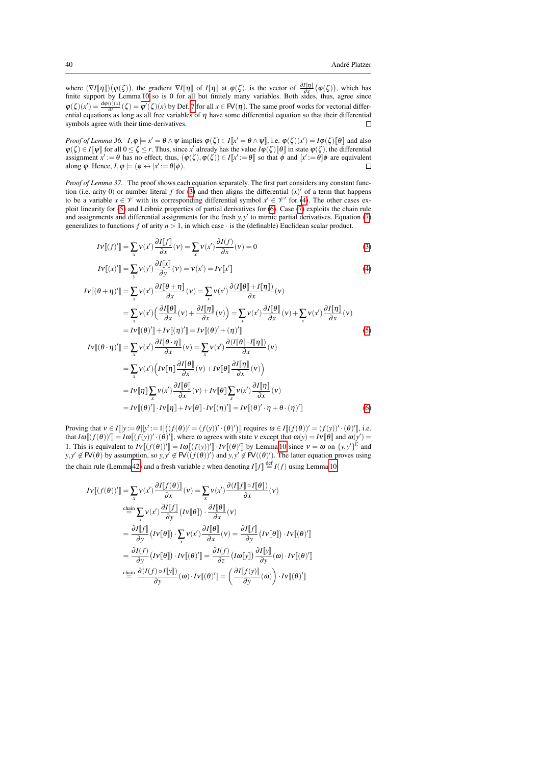where  $(\nabla I[\![\eta]\!]) (\varphi(\zeta))$ , the gradient  $\nabla I[\![\eta]\!]$  of  $I[\![\eta]\!]$  at  $\varphi(\zeta)$ , is the vector of  $\frac{\partial I[\![\eta]\!]}{\partial x} (\varphi(\zeta))$ , which has finite support by Lemma [10](#page-8-0) so is 0 for all but finitely many variables. Both sides, thus, agree since  $\varphi(\zeta)(x') = \frac{d\varphi(t)(x)}{dt}(\zeta) = \varphi'(\zeta)(x)$  by Def. [7](#page-6-1) for all  $x \in \mathbb{F}(n)$ . The same proof works for vectorial differential equations as long as all free variables of  $\eta$  have some differential equation so that their diff symbols agree with their time-derivatives.  $\Box$ 

*Proof of Lemma 36.*  $I, \varphi \models x' = \theta \land \psi$  implies  $\varphi(\zeta) \in I[x' = \theta \land \psi]$ , i.e.  $\varphi(\zeta)(x') = I\varphi(\zeta)[\theta]$  and also  $\varphi(\zeta) \in I[\![\psi]\!]$  for all  $0 \leq \zeta \leq r$ . Thus, since  $x'$  already has the value  $I\varphi(\zeta)[\![\theta]\!]$  in state  $\varphi(\zeta)$ , the differential assignment  $x' := \theta$  has no effect, thus,  $(\varphi(\zeta), \varphi(\zeta)) \in I[\![x' := \theta]\!]$  so that  $\phi$  and  $[x' := \theta]\phi$  are equivalent along  $\varphi$ . Hence,  $I, \varphi \models (\phi \leftrightarrow [x] := \theta]\varphi)$ .

*Proof of Lemma 37.* The proof shows each equation separately. The first part considers any constant function (i.e. arity 0) or number literal  $f$  for [\(3\)](#page-27-5) and then aligns the differential  $(x)'$  of a term that happens to be a variable  $x \in \mathcal{V}$  with its corresponding differential symbol  $x' \in \mathcal{V}'$  for [\(4\)](#page-27-6). The other cases exploit linearity for [\(5\)](#page-27-2) and Leibniz properties of partial derivatives for [\(6\)](#page-27-3). Case [\(7\)](#page-27-4) exploits the chain rule and assignments and differential assignments for the fresh  $y, y'$  to mimic partial derivatives. Equation [\(7\)](#page-27-4) generalizes to functions  $f$  of arity  $n > 1$ , in which case  $\cdot$  is the (definable) Euclidean scalar product.

$$
I\mathbf{v}[(f)'] = \sum_{x} \mathbf{v}(x') \frac{\partial I[f]}{\partial x}(\mathbf{v}) = \sum_{x} \mathbf{v}(x') \frac{\partial I(f)}{\partial x}(\mathbf{v}) = 0
$$
\n(3)

$$
IV[[x']] = \sum_{\mathbf{y}} \mathbf{v}(\mathbf{y}') \frac{\partial I[[x]}{\partial \mathbf{y}}(\mathbf{v}) = \mathbf{v}(\mathbf{x}') = IV[[x']]
$$
\n<sup>(4)</sup>

$$
IV[(\theta + \eta)'] = \sum_{x} v(x') \frac{\partial I[\theta + \eta]}{\partial x}(v) = \sum_{x} v(x') \frac{\partial (I[\theta] + I[\eta])}{\partial x}(v)
$$
  
\n
$$
= \sum_{x} v(x') \left(\frac{\partial I[\theta]}{\partial x}(v) + \frac{\partial I[\eta]}{\partial x}(v)\right) = \sum_{x} v(x') \frac{\partial I[\theta]}{\partial x}(v) + \sum_{x} v(x') \frac{\partial I[\eta]}{\partial x}(v)
$$
  
\n
$$
= IV[(\theta)'] + IV[(\eta)'] = IV[(\theta)' + (\eta)'] \qquad (5)
$$
  
\n
$$
IV[(\theta \cdot \eta)'] = \sum_{x} v(x') \frac{\partial I[\theta \cdot \eta]}{\partial x}(v) = \sum_{x} v(x') \frac{\partial (I[\theta] \cdot I[\eta])}{\partial x}(v)
$$
  
\n
$$
= \sum_{x} v(x') \left( IV[\eta] \frac{\partial I[\theta]}{\partial x}(v) + IV[\theta] \frac{\partial I[\eta]}{\partial x}(v) \right)
$$
  
\n
$$
= IV[\eta] \sum_{x} v(x') \frac{\partial I[\theta]}{\partial x}(v) + IV[\theta] \sum_{x} v(x') \frac{\partial I[\eta]}{\partial x}(v)
$$
  
\n
$$
= IV[(\theta)'] \cdot IV[\eta] + IV[\theta] \cdot IV[(\eta)'] = IV[(\theta)' \cdot \eta + \theta \cdot (\eta)'] \qquad (6)
$$

Proving that  $v \in I[[y := \theta][y' := 1]((f(\theta))' = (f(y))' \cdot (\theta)')$  requires  $\omega \in I[(f(\theta))' = (f(y))' \cdot (\theta)']$ , i.e. that  $I\omega[(f(\theta))'] = I\omega[(f(y))' \cdot (\theta)']$ , where  $\omega$  agrees with state  $\nu$  except that  $\omega(y) = I\nu[\theta]$  and  $\omega(y') =$ 1. This is equivalent to  $Iv[(f(\theta))'] = I\omega[(f(y))'] \cdot IV[(\theta)']$  by Lemma [10](#page-8-0) since  $v = \omega$  on  $\{y, y'\}^{\mathbb{C}}$  and  $y, y' \notin \mathsf{FV}(\theta)$  by assumption, so  $y, y' \notin \mathsf{FV}((f(\theta))')$  and  $y, y' \notin \mathsf{FV}((\theta)')$ . The latter equation proves using the chain rule (Lemma [42\)](#page-33-3) and a fresh variable *z* when denoting  $I[f] \stackrel{\text{def}}{=} I(f)$  using Lemma [10:](#page-8-0)

$$
IV[(f(\theta))'] = \sum_{x} v(x') \frac{\partial I[f(\theta)]}{\partial x} (v) = \sum_{x} v(x') \frac{\partial (I[f] \circ I[\theta])}{\partial x} (v)
$$
  
\n
$$
\stackrel{\text{chain}}{=} \sum_{x} v(x') \frac{\partial I[f]}{\partial y} (Iv[\theta]) \cdot \frac{\partial I[\theta]}{\partial x} (v)
$$
  
\n
$$
= \frac{\partial I[f]}{\partial y} (IV[\theta]) \cdot \sum_{x} v(x') \frac{\partial I[\theta]}{\partial x} (v) = \frac{\partial I[f]}{\partial y} (IV[\theta]) \cdot IV[(\theta)']
$$
  
\n
$$
= \frac{\partial I(f)}{\partial y} (IV[\theta]) \cdot IV[(\theta)'] = \frac{\partial I(f)}{\partial z} (I\omega[y]) \frac{\partial I[y]}{\partial y} (\omega) \cdot IV[(\theta)']
$$
  
\n
$$
\stackrel{\text{chain}}{=} \frac{\partial (I(f) \circ I[y])}{\partial y} (\omega) \cdot IV[(\theta)'] = \left(\frac{\partial I[f(y)]}{\partial y} (\omega)\right) \cdot IV[(\theta)']
$$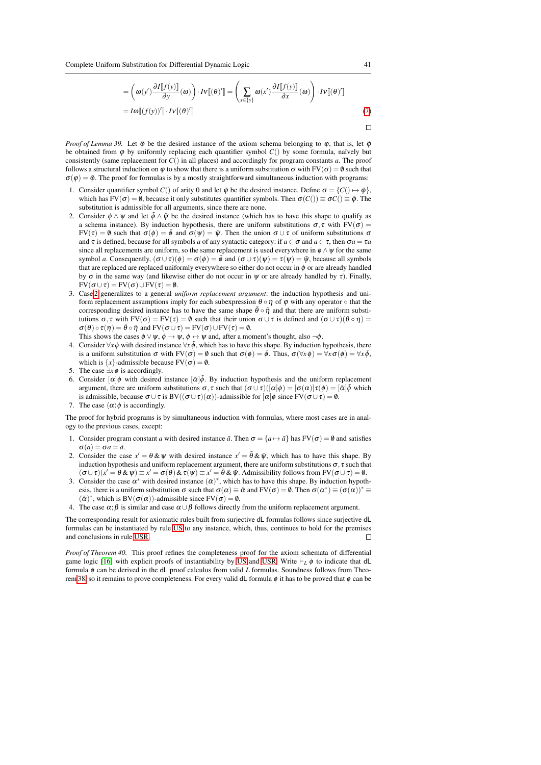Complete Uniform Substitution for Differential Dynamic Logic 41

$$
= \left(\omega(y')\frac{\partial I[f(y)]}{\partial y}(\omega)\right) \cdot IV[(\theta)'] = \left(\sum_{x \in \{y\}} \omega(x')\frac{\partial I[f(y)]}{\partial x}(\omega)\right) \cdot IV[(\theta)']
$$
  
=  $I\omega[(f(y))'] \cdot IV[(\theta)']$  (7)

 $\Box$ 

*Proof of Lemma 39.* Let  $\tilde{\varphi}$  be the desired instance of the axiom schema belonging to  $\varphi$ , that is, let  $\tilde{\varphi}$ be obtained from  $\varphi$  by uniformly replacing each quantifier symbol  $C()$  by some formula, naïvely but consistently (same replacement for *C*() in all places) and accordingly for program constants *a*. The proof follows a structural induction on  $\varphi$  to show that there is a uniform substitution  $\sigma$  with FV( $\sigma$ ) = 0 such that  $\sigma(\varphi) = \tilde{\varphi}$ . The proof for formulas is by a mostly straightforward simultaneous induction with programs:

- 1. Consider quantifier symbol *C*() of arity 0 and let  $\tilde{\varphi}$  be the desired instance. Define  $\sigma = \{C \mid \rightarrow \tilde{\varphi}\}\,$ , which has FV( $\sigma$ ) = 0, because it only substitutes quantifier symbols. Then  $\sigma(C)$ )  $\equiv \sigma C$ ()  $\equiv \tilde{\varphi}$ . The substitution is admissible for all arguments, since there are none.
- <span id="page-40-0"></span>2. Consider  $\phi \wedge \psi$  and let  $\tilde{\phi} \wedge \tilde{\psi}$  be the desired instance (which has to have this shape to qualify as a schema instance). By induction hypothesis, there are uniform substitutions  $\sigma, \tau$  with  $FV(\sigma) =$  $FV(\tau) = \emptyset$  such that  $\sigma(\phi) = \tilde{\phi}$  and  $\sigma(\psi) = \tilde{\psi}$ . Then the union  $\sigma \cup \tau$  of uniform substitutions  $\sigma$ and  $\tau$  is defined, because for all symbols *a* of any syntactic category: if  $a \in \sigma$  and  $a \in \tau$ , then  $\sigma a = \tau a$ since all replacements are uniform, so the same replacement is used everywhere in  $\phi \wedge \psi$  for the same symbol *a*. Consequently,  $(\sigma \cup \tau)(\phi) = \sigma(\phi) = \tilde{\phi}$  and  $(\sigma \cup \tau)(\psi) = \tau(\psi) = \tilde{\psi}$ , because all symbols that are replaced are replaced uniformly everywhere so either do not occur in  $\phi$  or are already handled by  $\sigma$  in the same way (and likewise either do not occur in  $\psi$  or are already handled by  $\tau$ ). Finally,  $FV(\sigma \cup \tau) = FV(\sigma) \cup FV(\tau) = \emptyset.$
- 3. Case [2](#page-40-0) generalizes to a general *uniform replacement argument*: the induction hypothesis and uniform replacement assumptions imply for each subexpression  $\theta \circ \eta$  of  $\varphi$  with any operator  $\circ$  that the corresponding desired instance has to have the same shape  $\tilde{\theta} \circ \tilde{\eta}$  and that there are uniform substitutions  $\sigma$ ,  $\tau$  with  $FV(\sigma) = FV(\tau) = \emptyset$  such that their union  $\sigma \cup \tau$  is defined and  $(\sigma \cup \tau)(\theta \circ \eta) =$  $\sigma(\theta) \circ \tau(\eta) = \tilde{\theta} \circ \tilde{\eta}$  and  $FV(\sigma \cup \tau) = FV(\sigma) \cup FV(\tau) = \emptyset$ .
- This shows the cases  $\phi \lor \psi$ ,  $\phi \to \psi$ ,  $\phi \leftrightarrow \psi$  and, after a moment's thought, also  $\neg \phi$ . 4. Consider  $\forall x \phi$  with desired instance  $\forall x \tilde{\phi}$ , which has to have this shape. By induction hypothesis, there is a uniform substitution  $\sigma$  with  $FV(\sigma) = \emptyset$  such that  $\sigma(\phi) = \tilde{\phi}$ . Thus,  $\sigma(\forall x \phi) = \forall x \sigma(\phi) = \forall x \tilde{\phi}$ , which is  $\{x\}$ -admissible because  $FV(\sigma) = \emptyset$ .
- 5. The case  $\exists x \phi$  is accordingly.
- 6. Consider  $\lbrack \alpha \rbrack \phi$  with desired instance  $\lbrack \alpha \rbrack \phi$ . By induction hypothesis and the uniform replacement argument, there are uniform substitutions  $\sigma, \tau$  such that  $(\sigma \cup \tau)([\alpha]\phi) = [\sigma(\alpha)]\tau(\phi) = [\tilde{\alpha}]\tilde{\phi}$  which is admissible, because  $\sigma \cup \tau$  is BV( $(\sigma \cup \tau)(\alpha)$ )-admissible for  $[\alpha]\phi$  since FV $(\sigma \cup \tau) = \emptyset$ .
- 7. The case  $\langle \alpha \rangle \phi$  is accordingly.

The proof for hybrid programs is by simultaneous induction with formulas, where most cases are in analogy to the previous cases, except:

- 1. Consider program constant *a* with desired instance  $\tilde{a}$ . Then  $\sigma = \{a \mapsto \tilde{a}\}\$  has FV( $\sigma$ ) = 0 and satisfies  $\sigma(a) = \sigma a = \tilde{a}.$
- 2. Consider the case  $x' = \theta \& \psi$  with desired instance  $x' = \tilde{\theta} \& \tilde{\psi}$ , which has to have this shape. By induction hypothesis and uniform replacement argument, there are uniform substitutions  $\sigma$ ,  $\tau$  such that  $(\sigma \cup \tau)(x' = \theta \& \psi) \equiv x' = \sigma(\theta) \& \tau(\psi) \equiv x' = \tilde{\theta} \& \tilde{\psi}$ . Admissibility follows from FV( $\sigma \cup \tau$ ) = 0.
- 3. Consider the case  $\alpha^*$  with desired instance  $(\tilde{\alpha})^*$ , which has to have this shape. By induction hypothesis, there is a uniform substitution  $\sigma$  such that  $\sigma(\alpha) \equiv \tilde{\alpha}$  and  $FV(\sigma) = \emptyset$ . Then  $\sigma(\alpha^*) \equiv (\sigma(\alpha))^* \equiv$  $(\tilde{\alpha})^*$ , which is BV( $\sigma(\alpha)$ )-admissible since FV( $\sigma$ ) = 0.
- 4. The case  $\alpha$ ;  $\beta$  is similar and case  $\alpha \cup \beta$  follows directly from the uniform replacement argument.

The corresponding result for axiomatic rules built from surjective dL formulas follows since surjective dL formulas can be instantiated by rule [US](#page-12-3) to any instance, which, thus, continues to hold for the premises and conclusions in rule [USR.](#page-16-2)  $\Box$ 

*Proof of Theorem 40.* This proof refines the completeness proof for the axiom schemata of differential game logic [\[16\]](#page-44-4) with explicit proofs of instantiability by [US](#page-12-3) and [USR.](#page-16-2) Write  $\vdash_L \phi$  to indicate that dL formula φ can be derived in the dL proof calculus from valid *L* formulas. Soundness follows from Theo-rem [38,](#page-27-1) so it remains to prove completeness. For every valid dL formula  $\phi$  it has to be proved that  $\phi$  can be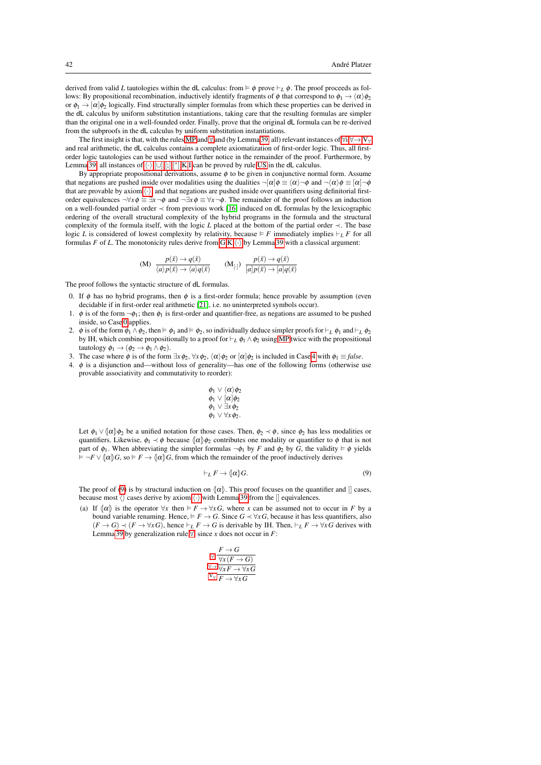derived from valid *L* tautologies within the dL calculus: from  $\models \phi$  prove  $\models_L \phi$ . The proof proceeds as follows: By propositional recombination, inductively identify fragments of  $\phi$  that correspond to  $\phi_1 \rightarrow \langle \alpha \rangle \phi_2$ or  $\phi_1 \rightarrow [\alpha]\phi_2$  logically. Find structurally simpler formulas from which these properties can be derived in the dL calculus by uniform substitution instantiations, taking care that the resulting formulas are simpler than the original one in a well-founded order. Finally, prove that the original dL formula can be re-derived from the subproofs in the dL calculus by uniform substitution instantiations.

The first insight is that, with the rules [MP](#page-18-0) and  $\forall$  and (by Lemma [39,](#page-32-0) all) relevant instances of  $\forall i, \forall \rightarrow, V_{\forall}$ and real arithmetic, the dL calculus contains a complete axiomatization of first-order logic. Thus, all firstorder logic tautologies can be used without further notice in the remainder of the proof. Furthermore, by Lemma [39,](#page-32-0) all instances of  $\langle \cdot \rangle$ , [[∪](#page-18-5)], [[;](#page-18-6)],[\*], K,[I](#page-18-9) can be proved by rule [US](#page-12-3) in the dL calculus.

By appropriate propositional derivations, assume  $\phi$  to be given in conjunctive normal form. Assume that negations are pushed inside over modalities using the dualities  $\neg [\alpha] \phi \equiv \langle \alpha \rangle \neg \phi$  and  $\neg \langle \alpha \rangle \phi \equiv [\alpha] \neg \phi$ that are provable by axiom  $\langle \cdot \rangle$ , and that negations are pushed inside over quantifiers using definitorial firstorder equivalences  $\neg \forall x \phi \equiv \exists x \neg \phi$  and  $\neg \exists x \phi \equiv \forall x \neg \phi$ . The remainder of the proof follows an induction on a well-founded partial order  $\prec$  from previous work [\[16\]](#page-44-4) induced on dL formulas by the lexicographic ordering of the overall structural complexity of the hybrid programs in the formula and the structural complexity of the formula itself, with the logic *L* placed at the bottom of the partial order ≺. The base logic *L* is considered of lowest complexity by relativity, because  $\models F$  immediately implies  $\models_L F$  for all formulas *F* of *L*. The monotonicity rules derive from [G](#page-18-11)[,K,](#page-18-8) $\langle \cdot \rangle$  by Lemma [39](#page-32-0) with a classical argument:

<span id="page-41-4"></span><span id="page-41-3"></span>(M) 
$$
\frac{p(\bar{x}) \to q(\bar{x})}{\langle a \rangle p(\bar{x}) \to \langle a \rangle q(\bar{x})}
$$
  $(\mathbf{M}_{[\cdot]}) \frac{p(\bar{x}) \to q(\bar{x})}{[a]p(\bar{x}) \to [a]q(\bar{x})}$ 

The proof follows the syntactic structure of dL formulas.

- <span id="page-41-0"></span>0. If  $\phi$  has no hybrid programs, then  $\phi$  is a first-order formula; hence provable by assumption (even decidable if in first-order real arithmetic [\[21\]](#page-44-23), i.e. no uninterpreted symbols occur).
- 1.  $\phi$  is of the form  $\neg \phi_1$ ; then  $\phi_1$  is first-order and quantifier-free, as negations are assumed to be pushed inside, so Case [0](#page-41-0) applies.
- 2.  $\phi$  is of the form  $\phi_1 \wedge \phi_2$ , then  $\models \phi_1$  and  $\models \phi_2$ , so individually deduce simpler proofs for  $\models_L \phi_1$  and  $\models_L \phi_2$ by IH, which combine propositionally to a proof for  $\vdash_L \phi_1 \land \phi_2$  using [MP](#page-18-0) twice with the propositional tautology  $\phi_1 \rightarrow (\phi_2 \rightarrow \phi_1 \land \phi_2)$ .
- 3. The case where  $\phi$  is of the form  $\exists x \phi_2, \forall x \phi_2, \langle \alpha \rangle \phi_2$  or  $\lceil \alpha \rceil \phi_2$  is included in Cas[e 4](#page-41-1) with  $\phi_1 \equiv \text{false}$ .
- <span id="page-41-1"></span>4. φ is a disjunction and—without loss of generality—has one of the following forms (otherwise use provable associativity and commutativity to reorder):

$$
\begin{array}{l} \phi_1 \lor \langle \alpha \rangle \phi_2 \\ \phi_1 \lor [\alpha] \phi_2 \\ \phi_1 \lor \exists x \phi_2 \\ \phi_1 \lor \forall x \phi_2. \end{array}
$$

Let  $\phi_1 \vee (\alpha) \phi_2$  be a unified notation for those cases. Then,  $\phi_2 \prec \phi$ , since  $\phi_2$  has less modalities or quantifiers. Likewise,  $\phi_1 \prec \phi$  because  $\{\alpha\}\phi_2$  contributes one modality or quantifier to  $\phi$  that is not part of  $\phi_1$ . When abbreviating the simpler formulas  $\neg \phi_1$  by *F* and  $\phi_2$  by *G*, the validity  $\models \phi$  yields  $\models \neg F \vee (\alpha)G$ , so  $\models F \rightarrow (\alpha)G$ , from which the remainder of the proof inductively derives

<span id="page-41-2"></span>
$$
\vdash_L F \to \langle \alpha \rangle G. \tag{9}
$$

The proof of [\(9\)](#page-41-2) is by structural induction on  $\{\alpha\}$ . This proof focuses on the quantifier and  $\|\$ cases, because most  $\langle \rangle$  cases derive by axiom  $\langle \cdot \rangle$  with Lemm[a 39](#page-32-0) from the  $\parallel$  equivalences.

(a) If  $\langle \alpha \rangle$  is the operator  $\forall x$  then  $\models F \rightarrow \forall x G$ , where *x* can be assumed not to occur in *F* by a bound variable renaming. Hence,  $\models F \rightarrow G$ . Since  $G \prec \forall x G$ , because it has less quantifiers, also  $(F \to G) \prec (F \to \forall x G)$ , hence  $\models_L F \to G$  is derivable by IH. Then,  $\models_L F \to \forall x G$  derives with Lemma [39](#page-32-0) by generalization rule [∀](#page-18-12), since *x* does not occur in *F*:

$$
\forall \frac{F \to G}{\forall x (F \to G)}
$$
  

$$
\forall \forall \frac{\forall x F \to \forall x G}{V \lor F \to \forall x G}
$$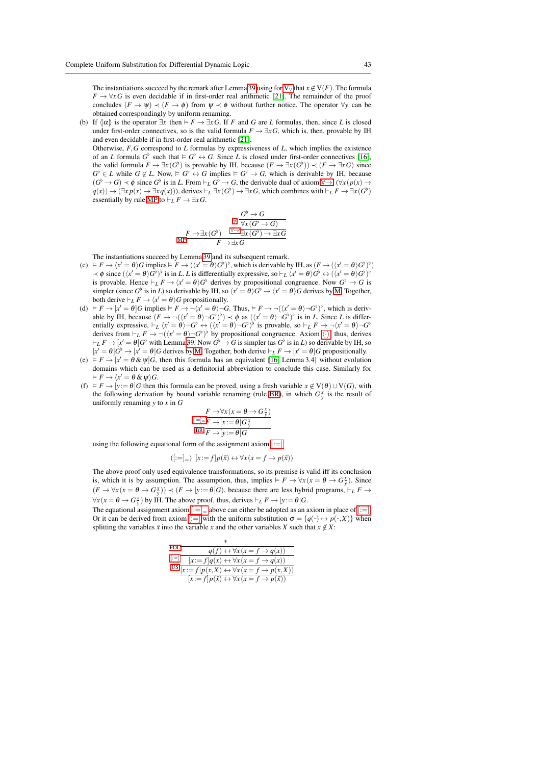The instantiations succeed by the remark after Lemma [39](#page-32-0) using for  $V_\forall$  that  $x \notin V(F)$  $x \notin V(F)$  $x \notin V(F)$ . The formula  $F \to \forall x G$  is even decidable if in first-order real arithmetic [\[21\]](#page-44-23). The remainder of the proof concludes  $(F \to \psi) \prec (F \to \phi)$  from  $\psi \prec \phi$  without further notice. The operator  $\forall y$  can be obtained correspondingly by uniform renaming.

(b) If  $\{\alpha\}$  is the operator  $\exists x$  then  $\models F \rightarrow \exists x G$ . If *F* and *G* are *L* formulas, then, since *L* is closed under first-order connectives, so is the valid formula  $F \to \exists x G$ , which is, then, provable by IH and even decidable if in first-order real arithmetic [\[21\]](#page-44-23).

Otherwise, *F*,*G* correspond to *L* formulas by expressiveness of *L*, which implies the existence of an *L* formula  $G^{\flat}$  such that  $\models G^{\flat} \leftrightarrow G$ . Since *L* is closed under first-order connectives [\[16\]](#page-44-4), the valid formula  $F \to \exists x (G^{\flat})$  is provable by IH, because  $(F \to \exists x (G^{\flat})) \prec (F \to \exists x G)$  since  $G^{\flat} \in L$  while  $G \notin L$ . Now,  $\dashv G^{\flat} \leftrightarrow G$  implies  $\dashv G^{\flat} \to G$ , which is derivable by IH, because  $(G^{\flat} \to G) \prec \phi$  since  $G^{\flat}$  is in *L*. From  $\vdash_L G^{\flat} \to G$ , the derivable dual of axiom  $\forall \to, (\forall x (p(x) \to q(x))))$  $q(x)$   $\to \exists x q(x)$   $\to \exists x q(x)$ )), derives  $\vdash_L \exists x (G^{\flat}) \to \exists x G$ , which combines with  $\vdash_L F \to \exists x (G^{\flat})$ essentially by rule [MP](#page-18-0) to  $\vdash_L F \to \exists x G$ .

$$
\begin{array}{cc}\n\sqrt{G^{\flat} \to G} \\
\hline\n\sqrt{\sqrt{2\pi (G^{\flat}) \to G^{\flat}}}\n\end{array}
$$
\n
$$
\begin{array}{cc}\nF \to \exists x (G^{\flat}) \quad \forall \to \exists x (G^{\flat}) \to \exists x G \\
F \to \exists x G\n\end{array}
$$

The instantiations succeed by Lemma [39](#page-32-0) and its subsequent remark.

- (c)  $F \to \langle x' = \theta \rangle G$  implies  $F \to (\langle x' = \theta \rangle G^{\flat})^{\flat}$ , which is derivable by IH, as  $(F \to (\langle x' = \theta \rangle G^{\flat})^{\flat})$  $\prec \phi$  since  $(\langle x' = \theta \rangle G^{\flat})^{\flat}$  is in *L*. *L* is differentially expressive, so  $\vdash_L \langle x' = \theta \rangle G^{\flat} \leftrightarrow (\langle x' = \theta \rangle G^{\flat})^{\flat}$ is provable. Hence  $\vdash_L F \to \langle x' = \theta \rangle G^{\flat}$  derives by propositional congruence. Now  $G^{\flat} \to G$  is simpler (since  $G^{\flat}$  is in *L*) so derivable by IH, so  $\langle x' = \theta \rangle G^{\flat} \to \langle x' = \theta \rangle G$  derives by [M.](#page-41-3) Together, both derive  $\vdash_L F \to \langle x' = \theta \rangle G$  propositionally.
- (d)  $F \rightarrow [x' = \theta]$ *G* implies  $F \rightarrow \neg (x' = \theta) \neg G$ . Thus,  $F \rightarrow \neg ((x' = \theta) \neg G)$ <sup>b</sup>, which is derivable by IH, because  $(F \to \neg((x' = \theta) \neg G^{\flat})^{\flat}) \prec \phi$  as  $((x' = \theta) \neg G^{\flat})^{\flat}$  is in *L*. Since *L* is differentially expressive,  $\vdash_L \langle x' = \theta \rangle \neg G^{\flat} \leftrightarrow (\langle x' = \theta \rangle \neg G^{\flat})^{\flat}$  is provable, so  $\vdash_L F \to \neg \langle x' = \theta \rangle \neg G^{\flat}$ derives from  $\vdash_L F \to \neg((x' = \theta) \neg G^{\flat})^{\flat}$  by propositional congruence. Axiom  $\langle \cdot \rangle$ , thus, derives  $\vdash_L F \to [x' = \theta]$ *G*<sup>b</sup> with Lemma [39.](#page-32-0) Now *G*<sup>b</sup>  $\to$  *G* is simpler (as *G*<sup>b</sup> is in *L*) so derivable by IH, so  $[x' = \theta]$  $G^{\flat} \rightarrow [x' = \theta]$ *G* derives by [M.](#page-41-3) Together, both derive  $\vdash_L F \rightarrow [x' = \theta]$ *G* propositionally.
- (e)  $F \rightarrow [x' = \theta \& \psi]$ *G*, then this formula has an equivalent [\[16,](#page-44-4) Lemma 3.4] without evolution domains which can be used as a definitorial abbreviation to conclude this case. Similarly for  $F \to \langle x' = \theta \& \psi \rangle G.$
- <span id="page-42-0"></span>(f)  $\models F \rightarrow [y := \theta]G$  then this formula can be proved, using a fresh variable  $x \notin V(\theta) \cup V(G)$ , with the following derivation by bound variable renaming (rule [BR\)](#page-42-0), in which  $G_{\overline{y}}^{\overline{x}}$  is the result of uniformly renaming *y* to *x* in *G*

$$
F \rightarrow \forall x (x = \theta \rightarrow G_{y}^{x})
$$
  
\n
$$
F \rightarrow [x := \theta] G_{y}^{x}
$$
  
\n
$$
B R \overline{F \rightarrow [y := \theta] G}
$$

using the following equational form of the assignment axiom  $[:=]$  $[:=]$ 

<span id="page-42-1"></span> $([:=]_+)$   $[x:= f]p(\bar{x}) \leftrightarrow \forall x (x = f \rightarrow p(\bar{x}))$ 

The above proof only used equivalence transformations, so its premise is valid iff its conclusion is, which it is by assumption. The assumption, thus, implies  $F \to \forall x (x = \theta \to G_y^x)$ . Since  $(F \to \forall x (x = \theta \to G_y^x)) \prec (F \to [y := \theta]G)$ , because there are less hybrid programs,  $\vdash_L F \to$  $\forall x (x = \theta \rightarrow G_y^x)$  by IH. The above proof, thus, derives  $\vdash_L F \rightarrow [y := \theta]G$ .

The equational assignment axiom  $|:=|$  above can either be adopted as an axiom in place of  $|:=|$ . Or it can be derived from axiom [:[=\]](#page-18-3) with the uniform substitution  $\sigma = \{q(\cdot) \mapsto p(\cdot, X)\}\$  when splitting the variables  $\bar{x}$  into the variable  $x$  and the other variables  $X$  such that  $x \notin X$ :

<span id="page-42-2"></span>

| FOL.   | $q(f) \leftrightarrow \forall x (x = f \rightarrow q(x))$                         |
|--------|-----------------------------------------------------------------------------------|
| $ := $ | $[x:=f]q(x) \leftrightarrow \forall x (x = f \rightarrow q(x))$                   |
|        | US $\overline{[x:=f]p(x,X)} \leftrightarrow \forall x (x = f \rightarrow p(x,X))$ |
|        | $[x:=f]p(\bar{x}) \leftrightarrow \forall x (x = f \rightarrow p(\bar{x}))$       |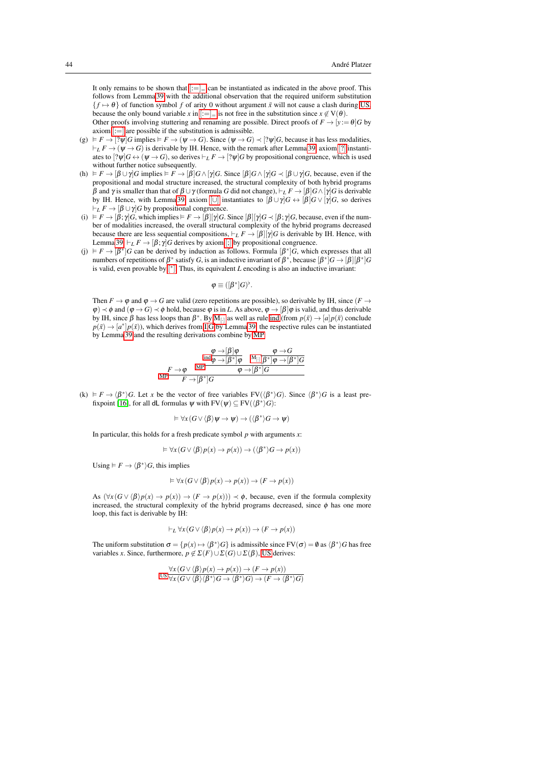It only remains to be shown that  $\left| := \right| =$  can be instantiated as indicated in the above proof. This follows from Lemma [39](#page-32-0) with the additional observation that the required uniform substitution  ${f \mapsto \theta}$  of function symbol *f* of arity 0 without argument  $\bar{x}$  will not cause a clash during [US,](#page-12-3) because the only bound variable *x* in  $[:=]_$  $[:=]_$  $[:=]_$  is not free in the substitution since  $x \notin V(\theta)$ .

Other proofs involving stuttering and renaming are possible. Direct proofs of  $F \rightarrow [y := \theta]G$  by axiom  $|:=|$  are possible if the substitution is admissible.

- (g)  $\models F \rightarrow [? \psi]G$  implies  $\models F \rightarrow (\psi \rightarrow G)$ . Since  $(\psi \rightarrow G) \prec [? \psi]G$ , because it has less modalities,  $\vdash_L F \to (\psi \to G)$  is derivable by IH. Hence, with the remark after Lemma [39,](#page-32-0) axiom [[?](#page-18-4)] instantiates to  $[? \psi]$ *G*  $\leftrightarrow$   $(\psi \rightarrow G)$ , so derives  $\vdash_L F \rightarrow [? \psi]$ *G* by propositional congruence, which is used without further notice subsequently.
- (h)  $\models F \rightarrow [\beta \cup \gamma]$ *G* implies  $\models F \rightarrow [\beta]$ *G* ∧[ $\gamma$ ]*G*. Since  $[\beta]$ *G* ∧ [ $\gamma$ ]*G*  $\prec [\beta \cup \gamma]$ *G*, because, even if the propositional and modal structure increased, the structural complexity of both hybrid programs  $β$  and γ is smaller than that of  $β ∪ γ$  (formula *G* did not change),  $\models_L F \rightarrow [β]G ∧ [γ]G$  is derivable by IH. Hence, with Lemma [39,](#page-32-0) axiom [[∪](#page-18-5)] instantiates to  $[\beta \cup \gamma]$ *G*  $\leftrightarrow [\beta]$ *G*  $\lor [\gamma]$ *G*, so derives  $\vdash_L F \to [\beta \cup \gamma]$ *G* by propositional congruence.
- (i)  $F \to [\beta; \gamma]$ *G*, which implies  $F \to [\beta][\gamma]$ *G*. Since  $[\beta][\gamma]$ *G*  $\prec [\beta; \gamma]$ *G*, because, even if the number of modalities increased, the overall structural complexity of the hybrid programs decreased because there are less sequential compositions,  $\vdash_L F \to [\beta][\gamma]G$  is derivable by IH. Hence, with Lemma [39,](#page-32-0)  $\vdash_L F \to [\beta; \gamma]$  $\vdash_L F \to [\beta; \gamma]$  $\vdash_L F \to [\beta; \gamma]$ *G* derives by axiom [;] by propositional congruence.
- (j)  $F \to [\beta^*]$ *G* can be derived by induction as follows. Formula  $[\beta^*]$ *G*, which expresses that all numbers of repetitions of  $\beta^*$  satisfy *G*, is an inductive invariant of  $\beta^*$ , because  $[\beta^*]G \rightarrow [\beta][\beta^*]G$ is valid, even provable by [ [∗](#page-18-7) ]. Thus, its equivalent *L* encoding is also an inductive invariant:

$$
\varphi \equiv ([\beta^*]G)^{\flat}.
$$

Then  $F \to \varphi$  and  $\varphi \to G$  are valid (zero repetitions are possible), so derivable by IH, since ( $F \to$  $\varphi$   $\prec$   $\phi$  and  $(\varphi \rightarrow G) \prec \phi$  hold, because  $\varphi$  is in *L*. As above,  $\varphi \rightarrow [\beta] \varphi$  is valid, and thus derivable by IH, since β has less loops than  $β^*$ . By [M](#page-41-4)<sub>[·]</sub> as well as rule [ind](#page-2-1) (from  $p(\bar{x}) \rightarrow [a]p(\bar{x})$  conclude  $p(\bar{x}) \rightarrow [a^*]p(\bar{x})$ , which derives from [I,](#page-18-9)[G](#page-18-11) by Lemm[a 39,](#page-32-0) the respective rules can be instantiated by Lemma [39](#page-32-0) and the resulting derivations combine by [MP:](#page-18-0)

$$
\frac{\frac{\varphi\to[\beta]\varphi}{\text{ind}\varphi\to[\beta^*]\varphi}\quad\frac{\varphi\to G}{\text{M}_{[\cdot]}[\overline{\beta^*]\varphi\to[\beta^*]G}}}{\frac{F\to\varphi\quad\text{MP}}{\text{ind}\varphi\to[\beta^*]\overline{G}}\quad\frac{\varphi\to G}{\varphi\to[\beta^*]G}}
$$

(k)  $\models F \rightarrow \langle \beta^* \rangle$ *G*. Let *x* be the vector of free variables  $FV(\langle \beta^* \rangle G)$ . Since  $\langle \beta^* \rangle G$  is a least pre-fixpoint [\[16\]](#page-44-4), for all **dL** formulas  $\psi$  with  $FV(\psi) \subseteq FV(\langle \beta^* \rangle G)$ :

$$
\vDash \forall x (G \lor \langle \beta \rangle \psi \to \psi) \to (\langle \beta^* \rangle G \to \psi)
$$

In particular, this holds for a fresh predicate symbol *p* with arguments *x*:

$$
\vDash \forall x (G \lor \langle \beta \rangle p(x) \to p(x)) \to (\langle \beta^* \rangle G \to p(x))
$$

Using  $\models F \rightarrow \langle \beta^* \rangle G$ , this implies

$$
\vDash \forall x (G \lor \langle \beta \rangle p(x) \to p(x)) \to (F \to p(x))
$$

As  $(\forall x (G \lor \langle \beta \rangle p(x) \to p(x)) \to (F \to p(x))) \prec \phi$ , because, even if the formula complexity increased, the structural complexity of the hybrid programs decreased, since  $\phi$  has one more loop, this fact is derivable by IH:

$$
\vdash_L \forall x (G \vee \langle \beta \rangle p(x) \to p(x)) \to (F \to p(x))
$$

The uniform substitution  $\sigma = \{p(x) \mapsto \langle \beta^* \rangle G\}$  is admissible since  $FV(\sigma) = \emptyset$  as  $\langle \beta^* \rangle G$  has free variables *x*. Since, furthermore,  $p \notin \Sigma(F) \cup \Sigma(G) \cup \Sigma(\beta)$ , [US](#page-12-3) derives:

$$
\frac{\forall x (G \lor \langle \beta \rangle p(x) \to p(x)) \to (F \to p(x))}{\forall x (G \lor \langle \beta \rangle \langle \beta^* \rangle G \to \langle \beta^* \rangle G) \to (F \to \langle \beta^* \rangle G)}
$$